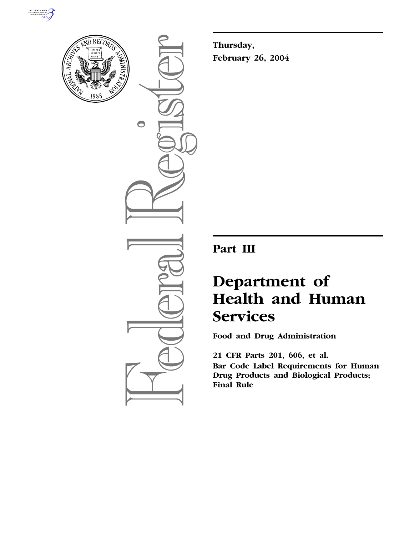



 $\bigcirc$ 

**Thursday, February 26, 2004**

**Part III**

# **Department of Health and Human Services**

**Food and Drug Administration** 

**21 CFR Parts 201, 606, et al. Bar Code Label Requirements for Human Drug Products and Biological Products; Final Rule**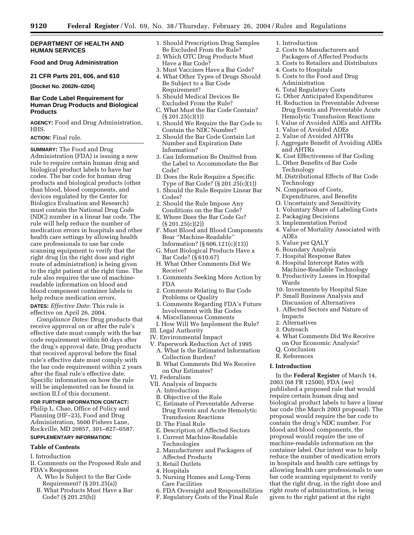# **DEPARTMENT OF HEALTH AND HUMAN SERVICES**

# **Food and Drug Administration**

### **21 CFR Parts 201, 606, and 610**

**[Docket No. 2002N–0204]**

# **Bar Code Label Requirement for Human Drug Products and Biological Products**

**AGENCY:** Food and Drug Administration, HHS.

# **ACTION:** Final rule.

**SUMMARY:** The Food and Drug Administration (FDA) is issuing a new rule to require certain human drug and biological product labels to have bar codes. The bar code for human drug products and biological products (other than blood, blood components, and devices regulated by the Center for Biologics Evaluation and Research) must contain the National Drug Code (NDC) number in a linear bar code. The rule will help reduce the number of medication errors in hospitals and other health care settings by allowing health care professionals to use bar code scanning equipment to verify that the right drug (in the right dose and right route of administration) is being given to the right patient at the right time. The rule also requires the use of machinereadable information on blood and blood component container labels to help reduce medication errors.

**DATES:** *Effective Date*: This rule is effective on April 26, 2004.

*Compliance Dates*: Drug products that receive approval on or after the rule's effective date must comply with the bar code requirement within 60 days after the drug's approval date. Drug products that received approval before the final rule's effective date must comply with the bar code requirement within 2 years after the final rule's effective date. Specific information on how the rule will be implemented can be found in section II.I of this document.

### **FOR FURTHER INFORMATION CONTACT:**

Philip L. Chao, Office of Policy and Planning (HF–23), Food and Drug Administration, 5600 Fishers Lane, Rockville, MD 20857, 301–827–0587.

# **SUPPLEMENTARY INFORMATION:**

# **Table of Contents**

- I. Introduction
- II. Comments on the Proposed Rule and FDA's Responses
	- A. Who Is Subject to the Bar Code Requirement? (§ 201.25(a))
	- B. What Products Must Have a Bar Code? (§ 201.25(b))
- 1. Should Prescription Drug Samples Be Excluded From the Rule?
- 2. Which OTC Drug Products Must Have a Bar Code?
- 3. Must Vaccines Have a Bar Code?
- 4. What Other Types of Drugs Should Be Subject to a Bar Code Requirement?
- 5. Should Medical Devices Be Excluded From the Rule?
- C. What Must the Bar Code Contain?  $(S 201.25(c)(1))$
- 1. Should We Require the Bar Code to Contain the NDC Number?
- 2. Should the Bar Code Contain Lot Number and Expiration Date Information?
- 3. Can Information Be Omitted from the Label to Accommodate the Bar Code?
- D. Does the Rule Require a Specific Type of Bar Code? (§ 201.25(c)(1))
- 1. Should the Rule Require Linear Bar Codes?
- 2. Should the Rule Impose Any Conditions on the Bar Code?
- E. Where Does the Bar Code Go? (§ 201.25(c)(2))
- F. Must Blood and Blood Components Bear ''Machine-Readable'' Information? (§ 606.121(c)(13))
- G. Must Biological Products Have a Bar Code? (§ 610.67)
- H. What Other Comments Did We Receive?
- 1. Comments Seeking More Action by FDA
- 2. Comments Relating to Bar Code Problems or Quality
- 3. Comments Regarding FDA's Future Involvement with Bar Codes
- 4. Miscellaneous Comments
- I. How Will We Implement the Rule?
- III. Legal Authority
- IV. Environmental Impact
- V. Paperwork Reduction Act of 1995 A. What Is the Estimated Information Collection Burden?
	- B. What Comments Did We Receive on Our Estimates?
- VI. Federalism
- VII. Analysis of Impacts
	- A. Introduction
	- B. Objective of the Rule
	- C. Estimate of Preventable Adverse Drug Events and Acute Hemolytic Transfusion Reactions
	- D. The Final Rule
	- E. Description of Affected Sectors
	- 1. Current Machine-Readable
	- Technologies 2. Manufacturers and Packagers of
	- Affected Products
	- 3. Retail Outlets
	- 4. Hospitals
	- 5. Nursing Homes and Long-Term Care Facilities
	- 6. FDA Oversight and Responsibilities
	- F. Regulatory Costs of the Final Rule
- 1. Introduction
- 2. Costs to Manufacturers and
- Packagers of Affected Products
- 3. Costs to Retailers and Distributors
- 4. Costs to Hospitals
- 5. Costs to the Food and Drug Administration
- 6. Total Regulatory Costs
- G. Other Anticipated Expenditures
- H. Reduction in Preventable Adverse Drug Events and Preventable Acute Hemolytic Transfusion Reactions
- I. Value of Avoided ADEs and AHTRs
- 1. Value of Avoided ADEs
- 2. Value of Avoided AHTRs
- J. Aggregate Benefit of Avoiding ADEs and AHTRs
- K. Cost Effectiveness of Bar Coding
	- L. Other Benefits of Bar Code Technology
	- M. Distributional Effects of Bar Code Technology
	- N. Comparison of Costs, Expenditures, and Benefits
	- O. Uncertainty and Sensitivity
	- 1. Voluntary Share of Labeling Costs
	- 2. Packaging Decisions
	- 3. Implementation Period
	- 4. Value of Mortality Associated with ADEs
	- 5. Value per QALY
	- 6. Boundary Analysis
	- 7. Hospital Response Rates
	- 8. Hospital Intercept Rates with
	- Machine-Readable Technology 9. Productivity Losses in Hospital Wards
	- 10. Investments by Hospital Size
		- P. Small Business Analysis and
		- Discussion of Alternatives 1. Affected Sectors and Nature of
		- Impacts
		- 2. Alternatives
	- 3. Outreach
	- 4. What Comments Did We Receive on Our Economic Analysis?
	- Q. Conclusion
	- R. References

### **I. Introduction**

In the **Federal Register** of March 14, 2003 (68 FR 12500), FDA (we) published a proposed rule that would require certain human drug and biological product labels to have a linear bar code (the March 2003 proposal). The proposal would require the bar code to contain the drug's NDC number. For blood and blood components, the proposal would require the use of machine-readable information on the container label. Our intent was to help reduce the number of medication errors in hospitals and health care settings by allowing health care professionals to use bar code scanning equipment to verify that the right drug, in the right dose and right route of administration, is being given to the right patient at the right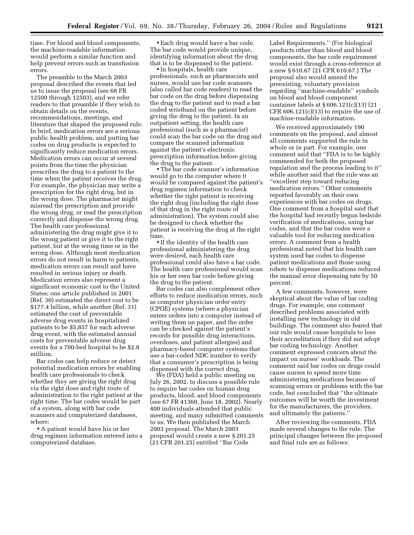time. For blood and blood components, the machine-readable information would perform a similar function and help prevent errors such as transfusion errors.

The preamble to the March 2003 proposal described the events that led us to issue the proposal (see 68 FR 12500 through 12503), and we refer readers to that preamble if they wish to obtain details on the events, recommendations, meetings, and literature that shaped the proposed rule. In brief, medication errors are a serious public health problem, and putting bar codes on drug products is expected to significantly reduce medication errors. Medication errors can occur at several points from the time the physician prescribes the drug to a patient to the time when the patient receives the drug. For example, the physician may write a prescription for the right drug, but in the wrong dose. The pharmacist might misread the prescription and provide the wrong drug, or read the prescription correctly and dispense the wrong drug. The health care professional administering the drug might give it to the wrong patient or give it to the right patient, but at the wrong time or in the wrong dose. Although most medication errors do not result in harm to patients, medication errors can result and have resulted in serious injury or death. Medication errors also represent a significant economic cost to the United States; one article published in 2001 (Ref. 30) estimated the direct cost to be \$177.4 billion, while another (Ref. 31) estimated the cost of preventable adverse drug events in hospitalized patients to be \$5,857 for each adverse drug event, with the estimated annual costs for preventable adverse drug events for a 700-bed hospital to be \$2.8 million.

Bar codes can help reduce or detect potential medication errors by enabling health care professionals to check whether they are giving the right drug via the right dose and right route of administration to the right patient at the right time. The bar codes would be part of a system, along with bar code scanners and computerized databases, where:

• A patient would have his or her drug regimen information entered into a computerized database.

• Each drug would have a bar code. The bar code would provide unique, identifying information about the drug that is to be dispensed to the patient.

• In hospitals, health care professionals, such as pharmacists and nurses, would use bar code scanners (also called bar code readers) to read the bar code on the drug before dispensing the drug to the patient and to read a bar coded wristband on the patient before giving the drug to the patient. In an outpatient setting, the health care professional (such as a pharmacist) could scan the bar code on the drug and compare the scanned information against the patient's electronic prescription information before giving the drug to the patient.

• The bar code scanner's information would go to the computer where it would be compared against the patient's drug regimen information to check whether the right patient is receiving the right drug (including the right dose of that drug in the right route of administration). The system could also be designed to check whether the patient is receiving the drug at the right time.

• If the identity of the health care professional administering the drug were desired, each health care professional could also have a bar code. The health care professional would scan his or her own bar code before giving the drug to the patient.

Bar codes can also complement other efforts to reduce medication errors, such as computer physician order entry (CPOE) systems (where a physician enters orders into a computer instead of writing them on paper, and the order can be checked against the patient's records for possible drug interactions, overdoses, and patient allergies) and pharmacy-based computer systems that use a bar-coded NDC number to verify that a consumer's prescription is being dispensed with the correct drug.

We (FDA) held a public meeting on July 26, 2002, to discuss a possible rule to require bar codes on human drug products, blood, and blood components (see 67 FR 41360, June 18, 2002). Nearly 400 individuals attended that public meeting, and many submitted comments to us. We then published the March 2003 proposal. The March 2003 proposal would create a new § 201.25 (21 CFR 201.25) entitled ''Bar Code

Label Requirements.'' (For biological products other than blood and blood components, the bar code requirement would exist through a cross-reference at a new § 610.67 (21 CFR 610.67.) The proposal also would amend the preexisting, voluntary provision regarding ''machine-readable'' symbols on blood and blood component container labels at § 606.121(c)(13) (21 CFR  $606.121(c)(13)$  to require the use of machine-readable information.

We received approximately 190 comments on the proposal, and almost all comments supported the rule in whole or in part. For example, one comment said that ''FDA is to be highly commended for both the proposed regulation and the process leading to it'' while another said that the rule was an ''excellent step toward reducing medication errors.'' Other comments reported favorably on their own experiences with bar codes on drugs. One comment from a hospital said that the hospital had recently begun bedside verification of medications, using bar codes, and that the bar codes were a valuable tool for reducing medication errors. A comment from a health professional noted that his health care system used bar codes to dispense patient medications and those using robots to dispense medications reduced the manual error dispensing rate by 50 percent.

A few comments, however, were skeptical about the value of bar coding drugs. For example, one comment described problems associated with installing new technology in old buildings. The comment also feared that our rule would cause hospitals to lose their accreditation if they did not adopt bar coding technology. Another comment expressed concern about the impact on nurses' workloads. The comment said bar codes on drugs could cause nurses to spend more time administering medications because of scanning errors or problems with the bar code, but concluded that ''the ultimate outcomes will be worth the investment for the manufacturers, the providers, and ultimately the patients.''

After reviewing the comments, FDA made several changes to the rule. The principal changes between the proposed and final rule are as follows: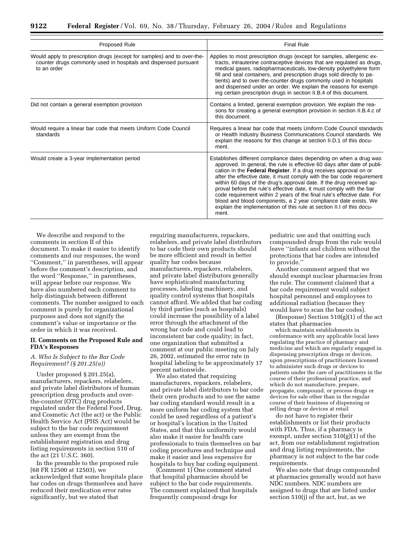| Proposed Rule                                                                                                                                             | <b>Final Rule</b>                                                                                                                                                                                                                                                                                                                                                                                                                                                                                                                                                                                                                                                              |  |  |  |
|-----------------------------------------------------------------------------------------------------------------------------------------------------------|--------------------------------------------------------------------------------------------------------------------------------------------------------------------------------------------------------------------------------------------------------------------------------------------------------------------------------------------------------------------------------------------------------------------------------------------------------------------------------------------------------------------------------------------------------------------------------------------------------------------------------------------------------------------------------|--|--|--|
| Would apply to prescription drugs (except for samples) and to over-the-<br>counter drugs commonly used in hospitals and dispensed pursuant<br>to an order | Applies to most prescription drugs (except for samples, allergenic ex-<br>tracts, intrauterine contraceptive devices that are regulated as drugs,<br>medical gases, radiopharmaceuticals, low-density polyethylene form<br>fill and seal containers, and prescription drugs sold directly to pa-<br>tients) and to over-the-counter drugs commonly used in hospitals<br>and dispensed under an order. We explain the reasons for exempt-<br>ing certain prescription drugs in section II.B.4 of this document.                                                                                                                                                                 |  |  |  |
| Did not contain a general exemption provision                                                                                                             | Contains a limited, general exemption provision. We explain the rea-<br>sons for creating a general exemption provision in section II.B.4.c of<br>this document.                                                                                                                                                                                                                                                                                                                                                                                                                                                                                                               |  |  |  |
| Would require a linear bar code that meets Uniform Code Council<br>standards                                                                              | Requires a linear bar code that meets Uniform Code Council standards<br>or Health Industry Business Communications Council standards. We<br>explain the reasons for this change at section II.D.1 of this docu-<br>ment.                                                                                                                                                                                                                                                                                                                                                                                                                                                       |  |  |  |
| Would create a 3-year implementation period                                                                                                               | Establishes different compliance dates depending on when a drug was<br>approved. In general, the rule is effective 60 days after date of publi-<br>cation in the Federal Register. If a drug receives approval on or<br>after the effective date, it must comply with the bar code requirement<br>within 60 days of the drug's approval date. If the drug received ap-<br>proval before the rule's effective date, it must comply with the bar<br>code requirement within 2 years of the final rule's effective date. For<br>blood and blood components, a 2 year compliance date exists. We<br>explain the implementation of this rule at section II.I of this docu-<br>ment. |  |  |  |

We describe and respond to the comments in section II of this document. To make it easier to identify comments and our responses, the word ''Comment,'' in parentheses, will appear before the comment's description, and the word ''Response,'' in parentheses, will appear before our response. We have also numbered each comment to help distinguish between different comments. The number assigned to each comment is purely for organizational purposes and does not signify the comment's value or importance or the order in which it was received.

# **II. Comments on the Proposed Rule and FDA's Responses**

# *A. Who Is Subject to the Bar Code Requirement? (§ 201.25(a))*

Under proposed § 201.25(a), manufacturers, repackers, relabelers, and private label distributors of human prescription drug products and overthe-counter (OTC) drug products regulated under the Federal Food, Drug, and Cosmetic Act (the act) or the Public Health Service Act (PHS Act) would be subject to the bar code requirement unless they are exempt from the establishment registration and drug listing requirements in section 510 of the act (21 U.S.C. 360).

In the preamble to the proposed rule (68 FR 12500 at 12503), we acknowledged that some hospitals place bar codes on drugs themselves and have reduced their medication error rates significantly, but we stated that

requiring manufacturers, repackers, relabelers, and private label distributors to bar code their own products should be more efficient and result in better quality bar codes because manufacturers, repackers, relabelers, and private label distributors generally have sophisticated manufacturing processes, labeling machinery, and quality control systems that hospitals cannot afford. We added that bar coding by third parties (such as hospitals) could increase the possibility of a label error through the attachment of the wrong bar code and could lead to inconsistent bar code quality; in fact, one organization that submitted a comment at our public meeting on July 26, 2002, estimated the error rate in hospital labeling to be approximately 17 percent nationwide.

We also stated that requiring manufacturers, repackers, relabelers, and private label distributors to bar code their own products and to use the same bar coding standard would result in a more uniform bar coding system that could be used regardless of a patient's or hospital's location in the United States, and that this uniformity would also make it easier for health care professionals to train themselves on bar coding procedures and technique and make it easier and less expensive for hospitals to buy bar coding equipment.

(Comment 1) One comment stated that hospital pharmacies should be subject to the bar code requirements. The comment explained that hospitals frequently compound drugs for

pediatric use and that omitting such compounded drugs from the rule would leave ''infants and children without the protections that bar codes are intended to provide.''

Another comment argued that we should exempt nuclear pharmacies from the rule. The comment claimed that a bar code requirement would subject hospital personnel and employees to additional radiation (because they would have to scan the bar codes).

(Response) Section 510(g)(1) of the act states that pharmacies

which maintain establishments in conformance with any applicable local laws regulating the practice of pharmacy and medicine and which are regularly engaged in dispensing prescription drugs or devices, upon prescriptions of practitioners licensed to administer such drugs or devices to patients under the care of practitioners in the course of their professional practice, and which do not manufacture, prepare, propagate, compound, or process drugs or devices for sale other than in the regular course of their business of dispensing or selling drugs or devices at retail

do not have to register their establishments or list their products with FDA. Thus, if a pharmacy is exempt, under section  $510(g)(1)$  of the act, from our establishment registration and drug listing requirements, the pharmacy is not subject to the bar code requirements.

We also note that drugs compounded at pharmacies generally would not have NDC numbers. NDC numbers are assigned to drugs that are listed under section 510(j) of the act, but, as we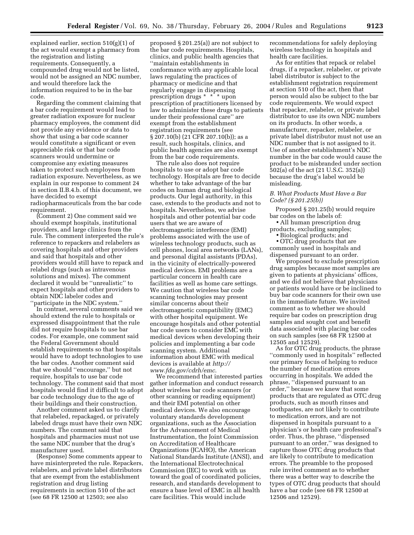explained earlier, section 510(g)(1) of the act would exempt a pharmacy from the registration and listing requirements. Consequently, a compounded drug would not be listed, would not be assigned an NDC number, and would therefore lack the information required to be in the bar code.

Regarding the comment claiming that a bar code requirement would lead to greater radiation exposure for nuclear pharmacy employees, the comment did not provide any evidence or data to show that using a bar code scanner would constitute a significant or even appreciable risk or that bar code scanners would undermine or compromise any existing measures taken to protect such employees from radiation exposure. Nevertheless, as we explain in our response to comment 24 in section II.B.4.b. of this document, we have decided to exempt radiopharmaceuticals from the bar code requirement.

(Comment 2) One comment said we should exempt hospitals, institutional providers, and large clinics from the rule. The comment interpreted the rule's reference to repackers and relabelers as covering hospitals and other providers and said that hospitals and other providers would still have to repack and relabel drugs (such as intravenous solutions and mixes). The comment declared it would be ''unrealistic'' to expect hospitals and other providers to obtain NDC labeler codes and ''participate in the NDC system.''

In contrast, several comments said we should extend the rule to hospitals or expressed disappointment that the rule did not require hospitals to use bar codes. For example, one comment said the Federal Government should establish requirements so that hospitals would have to adopt technologies to use the bar codes. Another comment said that we should ''encourage,'' but not require, hospitals to use bar code technology. The comment said that most hospitals would find it difficult to adopt bar code technology due to the age of their buildings and their construction.

Another comment asked us to clarify that relabeled, repackaged, or privately labeled drugs must have their own NDC numbers. The comment said that hospitals and pharmacies must not use the same NDC number that the drug's manufacturer used.

(Response) Some comments appear to have misinterpreted the rule. Repackers, relabelers, and private label distributors that are exempt from the establishment registration and drug listing requirements in section 510 of the act (see 68 FR 12500 at 12503; see also

proposed § 201.25(a)) are not subject to the bar code requirements. Hospitals, clinics, and public health agencies that ''maintain establishments in conformance with any applicable local laws regulating the practices of pharmacy or medicine and that regularly engage in dispensing prescription drugs \* \* \* upon prescription of practitioners licensed by law to administer these drugs to patients under their professional care'' are exempt from the establishment registration requirements (see § 207.10(b) (21 CFR 207.10(b)); as a result, such hospitals, clinics, and public health agencies are also exempt from the bar code requirements.

The rule also does not require hospitals to use or adopt bar code technology. Hospitals are free to decide whether to take advantage of the bar codes on human drug and biological products. Our legal authority, in this case, extends to the products and not to hospitals. Nevertheless, we advise hospitals and other potential bar code users that we are aware of electromagnetic interference (EMI) problems associated with the use of wireless technology products, such as cell phones, local area networks (LANs), and personal digital assistants (PDAs), in the vicinity of electrically-powered medical devices. EMI problems are a particular concern in health care facilities as well as home care settings. We caution that wireless bar code scanning technologies may present similar concerns about their electromagnetic compatibility (EMC) with other hospital equipment. We encourage hospitals and other potential bar code users to consider EMC with medical devices when developing their policies and implementing a bar code scanning system. Additional information about EMC with medical devices is available at *http:// www.fda.gov/cdrh/emc*.

We recommend that interested parties gather information and conduct research about wireless bar code scanners (or other scanning or reading equipment) and their EMI potential on other medical devices. We also encourage voluntary standards development organizations, such as the Association for the Advancement of Medical Instrumentation, the Joint Commission on Accreditation of Healthcare Organizations (JCAHO), the American National Standards Institute (ANSI), and the International Electrotechnical Commission (IEC) to work with us toward the goal of coordinated policies, research, and standards development to ensure a base level of EMC in all health care facilities. This would include

recommendations for safely deploying wireless technology in hospitals and health care facilities.

As for entities that repack or relabel drugs, if a repacker, relabeler, or private label distributor is subject to the establishment registration requirement at section 510 of the act, then that person would also be subject to the bar code requirements. We would expect that repacker, relabeler, or private label distributor to use its own NDC numbers on its products. In other words, a manufacturer, repacker, relabeler, or private label distributor must not use an NDC number that is not assigned to it. Use of another establishment's NDC number in the bar code would cause the product to be misbranded under section 502(a) of the act (21 U.S.C. 352(a)) because the drug's label would be misleading.

# *B. What Products Must Have a Bar Code? (§ 201.25(b))*

Proposed § 201.25(b) would require bar codes on the labels of:

• All human prescription drug products, excluding samples;

• Biological products; and

• OTC drug products that are commonly used in hospitals and dispensed pursuant to an order.

We proposed to exclude prescription drug samples because most samples are given to patients at physicians' offices, and we did not believe that physicians or patients would have or be inclined to buy bar code scanners for their own use in the immediate future. We invited comment as to whether we should require bar codes on prescription drug samples and sought cost and benefit data associated with placing bar codes on such samples (see 68 FR 12500 at 12505 and 12529).

As for OTC drug products, the phrase ''commonly used in hospitals'' reflected our primary focus of helping to reduce the number of medication errors occurring in hospitals. We added the phrase, ''dispensed pursuant to an order,'' because we knew that some products that are regulated as OTC drug products, such as mouth rinses and toothpastes, are not likely to contribute to medication errors, and are not dispensed in hospitals pursuant to a physician's or health care professional's order. Thus, the phrase, ''dispensed pursuant to an order,'' was designed to capture those OTC drug products that are likely to contribute to medication errors. The preamble to the proposed rule invited comment as to whether there was a better way to describe the types of OTC drug products that should have a bar code (see 68 FR 12500 at 12506 and 12529).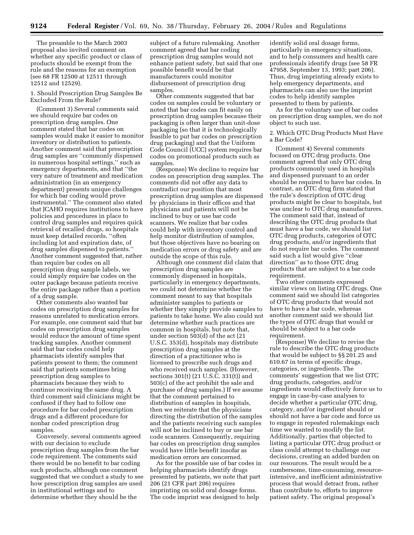The preamble to the March 2003 proposal also invited comment on whether any specific product or class of products should be exempt from the rule and the reasons for an exemption (see 68 FR 12500 at 12511 through 12512 and 12529).

1. Should Prescription Drug Samples Be Excluded From the Rule?

(Comment 3) Several comments said we should require bar codes on prescription drug samples. One comment stated that bar codes on samples would make it easier to monitor inventory or distribution to patients. Another comment said that prescription drug samples are ''commonly dispensed in numerous hospital settings,'' such as emergency departments, and that ''the very nature of treatment and medication administration (in an emergency department) presents unique challenges for which bar coding would prove instrumental.'' The comment also stated that JCAHO requires institutions to have policies and procedures in place to control drug samples and requires quick retrieval of recalled drugs, so hospitals must keep detailed records, ''often including lot and expiration date, of drug samples dispensed to patients.'' Another comment suggested that, rather than require bar codes on all prescription drug sample labels, we could simply require bar codes on the outer package because patients receive the entire package rather than a portion of a drug sample.

Other comments also wanted bar codes on prescription drug samples for reasons unrelated to medication errors. For example, one comment said that bar codes on prescription drug samples would reduce the amount of time spent tracking samples. Another comment said that bar codes could help pharmacists identify samples that patients present to them; the comment said that patients sometimes bring prescription drug samples to pharmacists because they wish to continue receiving the same drug. A third comment said clinicians might be confused if they had to follow one procedure for bar coded prescription drugs and a different procedure for nonbar coded prescription drug samples.

Conversely, several comments agreed with our decision to exclude prescription drug samples from the bar code requirement. The comments said there would be no benefit to bar coding such products, although one comment suggested that we conduct a study to see how prescription drug samples are used in institutional settings and to determine whether they should be the

subject of a future rulemaking. Another comment agreed that bar coding prescription drug samples would not enhance patient safety, but said that one possible benefit would be that manufacturers could monitor disbursement of prescription drug samples.

Other comments suggested that bar codes on samples could be voluntary or noted that bar codes can fit easily on prescription drug samples because their packaging is often larger than unit-dose packaging (so that it is technologically feasible to put bar codes on prescription drug packaging) and that the Uniform Code Council (UCC) system requires bar codes on promotional products such as samples.

(Response) We decline to require bar codes on prescription drug samples. The comments did not offer any data to contradict our position that most prescription drug samples are dispensed by physicians in their offices and that physicians and patients will not be inclined to buy or use bar code scanners. We realize that bar codes could help with inventory control and help monitor distribution of samples, but those objectives have no bearing on medication errors or drug safety and are outside the scope of this rule.

Although one comment did claim that prescription drug samples are commonly dispensed in hospitals, particularly in emergency departments, we could not determine whether the comment meant to say that hospitals administer samples to patients or whether they simply provide samples to patients to take home. We also could not determine whether such practices are common in hospitals, but note that, under section 503(d) of the act (21 U.S.C. 353(d), hospitals may distribute prescription drug samples at the direction of a practitioner who is licensed to prescribe such drugs and who received such samples. (However, sections 301(t) (21 U.S.C. 331(t)) and 503(c) of the act prohibit the sale and purchase of drug samples.) If we assume that the comment pertained to distribution of samples in hospitals, then we reiterate that the physicians directing the distribution of the samples and the patients receiving such samples will not be inclined to buy or use bar code scanners. Consequently, requiring bar codes on prescription drug samples would have little benefit insofar as medication errors are concerned.

As for the possible use of bar codes in helping pharmacists identify drugs presented by patients, we note that part 206 (21 CFR part 206) requires imprinting on solid oral dosage forms. The code imprint was designed to help

identify solid oral dosage forms, particularly in emergency situations, and to help consumers and health care professionals identify drugs (see 58 FR 47958, September 13, 1993; part 206). Thus, drug imprinting already exists to help emergency departments, and pharmacists can also use the imprint codes to help identify samples presented to them by patients.

As for the voluntary use of bar codes on prescription drug samples, we do not object to such use.

2. Which OTC Drug Products Must Have a Bar Code?

(Comment 4) Several comments focused on OTC drug products. One comment agreed that only OTC drug products commonly used in hospitals and dispensed pursuant to an order should be required to have bar codes. In contrast, an OTC drug firm stated that the rule's description of OTC drug products might be clear to hospitals, but was unclear to OTC drug manufacturers. The comment said that, instead of describing the OTC drug products that must have a bar code, we should list OTC drug products, categories of OTC drug products, and/or ingredients that do not require bar codes. The comment said such a list would give ''clear direction'' as to those OTC drug products that are subject to a bar code requirement.

Two other comments expressed similar views on listing OTC drugs. One comment said we should list categories of OTC drug products that would not have to have a bar code, whereas another comment said we should list the types of OTC drugs that would or should be subject to a bar code requirement.

(Response) We decline to revise the rule to describe the OTC drug products that would be subject to §§ 201.25 and 610.67 in terms of specific drugs, categories, or ingredients. The comments' suggestion that we list OTC drug products, categories, and/or ingredients would effectively force us to engage in case-by-case analyses to decide whether a particular OTC drug, category, and/or ingredient should or should not have a bar code and force us to engage in repeated rulemakings each time we wanted to modify the list. Additionally, parties that objected to listing a particular OTC drug product or class could attempt to challenge our decisions, creating an added burden on our resources. The result would be a cumbersome, time-consuming, resourceintensive, and inefficient administrative process that would detract from, rather than contribute to, efforts to improve patient safety. The original proposal's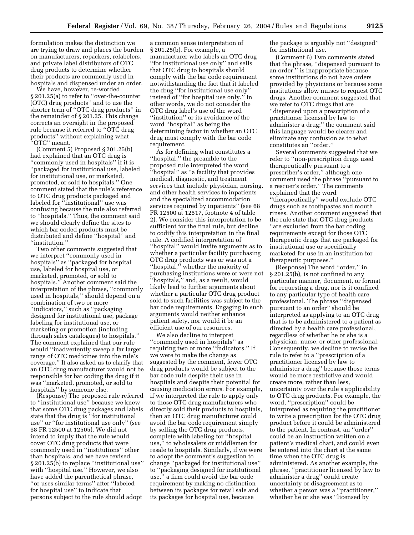formulation makes the distinction we are trying to draw and places the burden on manufacturers, repackers, relabelers, and private label distributors of OTC drug products to determine whether their products are commonly used in hospitals and dispensed under an order.

We have, however, re-worded § 201.25(a) to refer to ''over-the-counter (OTC) drug products'' and to use the shorter term of ''OTC drug products'' in the remainder of § 201.25. This change corrects an oversight in the proposed rule because it referred to ''OTC drug products'' without explaining what ''OTC'' meant.

(Comment 5) Proposed § 201.25(b) had explained that an OTC drug is ''commonly used in hospitals'' if it is ''packaged for institutional use, labeled for institutional use, or marketed, promoted, or sold to hospitals.'' One comment stated that the rule's reference to OTC drug products packaged and labeled for ''institutional'' use was confusing because the rule also referred to ''hospitals.'' Thus, the comment said we should clearly define the sites to which bar coded products must be distributed and define ''hospital'' and ''institution.''

Two other comments suggested that we interpret ''commonly used in hospitals'' as ''packaged for hospital use, labeled for hospital use, or marketed, promoted, or sold to hospitals.'' Another comment said the interpretation of the phrase, ''commonly used in hospitals,'' should depend on a combination of two or more ''indicators,'' such as ''packaging designed for institutional use, package labeling for institutional use, or marketing or promotion (including through sales catalogues) to hospitals.'' The comment explained that our rule would ''inadvertently sweep a far larger range of OTC medicines into the rule's coverage.'' It also asked us to clarify that an OTC drug manufacturer would not be responsible for bar coding the drug if it was ''marketed, promoted, or sold to hospitals'' by someone else.

(Response) The proposed rule referred to ''institutional use'' because we knew that some OTC drug packages and labels state that the drug is ''for institutional use'' or ''for institutional use only'' (see 68 FR 12500 at 12505). We did not intend to imply that the rule would cover OTC drug products that were commonly used in ''institutions'' other than hospitals, and we have revised § 201.25(b) to replace ''institutional use'' with ''hospital use.'' However, we also have added the parenthetical phrase, ''or uses similar terms'' after ''labeled for hospital use'' to indicate that persons subject to the rule should adopt

a common sense interpretation of § 201.25(b). For example, a manufacturer who labels an OTC drug ''for institutional use only'' and sells that OTC drug to hospitals should comply with the bar code requirement notwithstanding the fact that it labeled the drug ''for institutional use only'' instead of ''for hospital use only.'' In other words, we do not consider the OTC drug label's use of the word ''institution'' or its avoidance of the word ''hospital'' as being the determining factor in whether an OTC drug must comply with the bar code requirement.

As for defining what constitutes a ''hospital,'' the preamble to the proposed rule interpreted the word ''hospital'' as ''a facility that provides medical, diagnostic, and treatment services that include physician, nursing, and other health services to inpatients and the specialized accommodation services required by inpatients'' (see 68 FR 12500 at 12517, footnote 4 of table 2). We consider this interpretation to be sufficient for the final rule, but decline to codify this interpretation in the final rule. A codified interpretation of ''hospital'' would invite arguments as to whether a particular facility purchasing OTC drug products was or was not a ''hospital,'' whether the majority of purchasing institutions were or were not ''hospitals,'' and, as a result, would likely lead to further arguments about whether a particular OTC drug product sold to such facilities was subject to the bar code requirements. Engaging in such arguments would neither enhance patient safety, nor would it be an efficient use of our resources.

We also decline to interpret ''commonly used in hospitals'' as requiring two or more ''indicators.'' If we were to make the change as suggested by the comment, fewer OTC drug products would be subject to the bar code rule despite their use in hospitals and despite their potential for causing medication errors. For example, if we interpreted the rule to apply only to those OTC drug manufacturers who directly sold their products to hospitals, then an OTC drug manufacturer could avoid the bar code requirement simply by selling the OTC drug products, complete with labeling for ''hospital use,'' to wholesalers or middlemen for resale to hospitals. Similarly, if we were to adopt the comment's suggestion to change ''packaged for institutional use'' to ''packaging designed for institutional use,'' a firm could avoid the bar code requirement by making no distinction between its packages for retail sale and its packages for hospital use, because

the package is arguably not ''designed'' for institutional use.

(Comment 6) Two comments stated that the phrase, ''dispensed pursuant to an order,'' is inappropriate because some institutions do not have orders provided by physicians or because some institutions allow nurses to request OTC drugs. Another comment suggested that we refer to OTC drugs that are ''dispensed upon a prescription of a practitioner licensed by law to administer a drug;'' the comment said this language would be clearer and eliminate any confusion as to what constitutes an ''order.''

Several comments suggested that we refer to ''non-prescription drugs used therapeutically pursuant to a prescriber's order,'' although one comment used the phrase ''pursuant to a rescuer's order.'' The comments explained that the word ''therapeutically'' would exclude OTC drugs such as toothpastes and mouth rinses. Another comment suggested that the rule state that OTC drug products ''are excluded from the bar coding requirements except for those OTC therapeutic drugs that are packaged for institutional use or specifically marketed for use in an institution for therapeutic purposes.''

(Response) The word ''order,'' in § 201.25(b), is not confined to any particular manner, document, or format for requesting a drug, nor is it confined to any particular type of health care professional. The phrase ''dispensed pursuant to an order'' should be interpreted as applying to an OTC drug that is to be administered to a patient as directed by a health care professional, regardless of whether he or she is a physician, nurse, or other professional. Consequently, we decline to revise the rule to refer to a ''prescription of a practitioner licensed by law to administer a drug'' because those terms would be more restrictive and would create more, rather than less, uncertainty over the rule's applicability to OTC drug products. For example, the word, ''prescription'' could be interpreted as requiring the practitioner to write a prescription for the OTC drug product before it could be administered to the patient. In contrast, an ''order'' could be an instruction written on a patient's medical chart, and could even be entered into the chart at the same time when the OTC drug is administered. As another example, the phrase, ''practitioner licensed by law to administer a drug'' could create uncertainty or disagreement as to whether a person was a ''practitioner,'' whether he or she was ''licensed by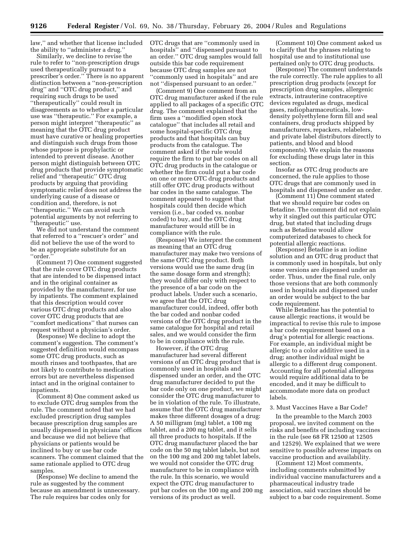law,'' and whether that license included the ability to ''administer a drug.''

Similarly, we decline to revise the rule to refer to ''non-prescription drugs used therapeutically pursuant to a prescriber's order.'' There is no apparent distinction between a ''non-prescription drug'' and ''OTC drug product,'' and requiring such drugs to be used ''therapeutically'' could result in disagreements as to whether a particular use was ''therapeutic.'' For example, a person might interpret ''therapeutic'' as meaning that the OTC drug product must have curative or healing properties and distinguish such drugs from those whose purpose is prophylactic or intended to prevent disease. Another person might distinguish between OTC drug products that provide symptomatic relief and ''therapeutic'' OTC drug products by arguing that providing symptomatic relief does not address the underlying cause of a disease or condition and, therefore, is not ''therapeutic.'' We can avoid such potential arguments by not referring to 'therapeutic' use.

We did not understand the comment that referred to a ''rescuer's order'' and did not believe the use of the word to be an appropriate substitute for an ''order.''

(Comment 7) One comment suggested that the rule cover OTC drug products that are intended to be dispensed intact and in the original container as provided by the manufacturer, for use by inpatients. The comment explained that this description would cover various OTC drug products and also cover OTC drug products that are ''comfort medications'' that nurses can request without a physician's order.

(Response) We decline to adopt the comment's suggestion. The comment's suggested definition would encompass some OTC drug products, such as mouth rinses and toothpastes, that are not likely to contribute to medication errors but are nevertheless dispensed intact and in the original container to inpatients.

(Comment 8) One comment asked us to exclude OTC drug samples from the rule. The comment noted that we had excluded prescription drug samples because prescription drug samples are usually dispensed in physicians' offices and because we did not believe that physicians or patients would be inclined to buy or use bar code scanners. The comment claimed that the same rationale applied to OTC drug samples.

(Response) We decline to amend the rule as suggested by the comment because an amendment is unnecessary. The rule requires bar codes only for

OTC drugs that are ''commonly used in hospitals'' and ''dispensed pursuant to an order.'' OTC drug samples would fall outside this bar code requirement because OTC drug samples are not ''commonly used in hospitals'' and are not ''dispensed pursuant to an order.''

(Comment 9) One comment from an OTC drug manufacturer asked if the rule applied to all packages of a specific OTC drug. The comment explained that the firm uses a ''modified open stock catalogue'' that includes all retail and some hospital-specific OTC drug products and that hospitals can buy products from the catalogue. The comment asked if the rule would require the firm to put bar codes on all OTC drug products in the catalogue or whether the firm could put a bar code on one or more OTC drug products and still offer OTC drug products without bar codes in the same catalogue. The comment appeared to suggest that hospitals could then decide which version (i.e., bar coded vs. nonbar coded) to buy, and the OTC drug manufacturer would still be in compliance with the rule.

(Response) We interpret the comment as meaning that an OTC drug manufacturer may make two versions of the same OTC drug product. Both versions would use the same drug (in the same dosage form and strength); they would differ only with respect to the presence of a bar code on the product labels. Under such a scenario, we agree that the OTC drug manufacturer could, indeed, offer both the bar coded and nonbar coded versions of the OTC drug product in the same catalogue for hospital and retail sales, and we would consider the firm to be in compliance with the rule.

However, if the OTC drug manufacturer had several different versions of an OTC drug product that is commonly used in hospitals and dispensed under an order, and the OTC drug manufacturer decided to put the bar code only on one product, we might consider the OTC drug manufacturer to be in violation of the rule. To illustrate, assume that the OTC drug manufacturer makes three different dosages of a drug: A 50 milligram (mg) tablet, a 100 mg tablet, and a 200 mg tablet, and it sells all three products to hospitals. If the OTC drug manufacturer placed the bar code on the 50 mg tablet labels, but not on the 100 mg and 200 mg tablet labels, we would not consider the OTC drug manufacturer to be in compliance with the rule. In this scenario, we would expect the OTC drug manufacturer to put bar codes on the 100 mg and 200 mg versions of its product as well.

(Comment 10) One comment asked us to clarify that the phrases relating to hospital use and to institutional use pertained only to OTC drug products.

(Response) The comment understands the rule correctly. The rule applies to all prescription drug products (except for prescription drug samples, allergenic extracts, intrauterine contraceptive devices regulated as drugs, medical gases, radiopharmaceuticals, lowdensity polyethylene form fill and seal containers, drug products shipped by manufacturers, repackers, relabelers, and private label distributors directly to patients, and blood and blood components). We explain the reasons for excluding these drugs later in this section.

Insofar as OTC drug products are concerned, the rule applies to those OTC drugs that are commonly used in hospitals and dispensed under an order.

(Comment 11) One comment stated that we should require bar codes on Betadine. The comment did not explain why it singled out this particular OTC drug, but stated that including drugs such as Betadine would allow computerized databases to check for potential allergic reactions.

(Response) Betadine is an iodine solution and an OTC drug product that is commonly used in hospitals, but only some versions are dispensed under an order. Thus, under the final rule, only those versions that are both commonly used in hospitals and dispensed under an order would be subject to the bar code requirement.

While Betadine has the potential to cause allergic reactions, it would be impractical to revise this rule to impose a bar code requirement based on a drug's potential for allergic reactions. For example, an individual might be allergic to a color additive used in a drug; another individual might be allergic to a different drug component. Accounting for all potential allergens would require additional data to be encoded, and it may be difficult to accommodate more data on product labels.

# 3. Must Vaccines Have a Bar Code?

In the preamble to the March 2003 proposal, we invited comment on the risks and benefits of including vaccines in the rule (see 68 FR 12500 at 12505 and 12529). We explained that we were sensitive to possible adverse impacts on vaccine production and availability.

(Comment 12) Most comments, including comments submitted by individual vaccine manufacturers and a pharmaceutical industry trade association, said vaccines should be subject to a bar code requirement. Some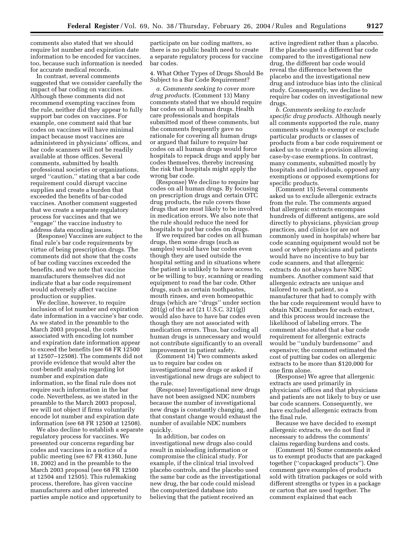comments also stated that we should require lot number and expiration date information to be encoded for vaccines, too, because such information is needed for accurate medical records.

In contrast, several comments suggested that we consider carefully the impact of bar coding on vaccines. Although these comments did not recommend exempting vaccines from the rule, neither did they appear to fully support bar codes on vaccines. For example, one comment said that bar codes on vaccines will have minimal impact because most vaccines are administered in physicians' offices, and bar code scanners will not be readily available at those offices. Several comments, submitted by health professional societies or organizations, urged ''caution,'' stating that a bar code requirement could disrupt vaccine supplies and create a burden that exceeded the benefits of bar-coded vaccines. Another comment suggested that we create a separate regulatory process for vaccines and that we ''engage'' the vaccine industry to address data encoding issues.

(Response) Vaccines are subject to the final rule's bar code requirements by virtue of being prescription drugs. The comments did not show that the costs of bar coding vaccines exceeded the benefits, and we note that vaccine manufacturers themselves did not indicate that a bar code requirement would adversely affect vaccine production or supplies.

We decline, however, to require inclusion of lot number and expiration date information in a vaccine's bar code. As we stated in the preamble to the March 2003 proposal, the costs associated with encoding lot number and expiration date information appear to exceed the benefits (see 68 FR 12500 at 12507–12508). The comments did not provide evidence that would alter the cost-benefit analysis regarding lot number and expiration date information, so the final rule does not require such information in the bar code. Nevertheless, as we stated in the preamble to the March 2003 proposal, we will not object if firms voluntarily encode lot number and expiration date information (see 68 FR 12500 at 12508).

We also decline to establish a separate regulatory process for vaccines. We presented our concerns regarding bar codes and vaccines in a notice of a public meeting (see 67 FR 41360, June 18, 2002) and in the preamble to the March 2003 proposal (see 68 FR 12500 at 12504 and 12505). This rulemaking process, therefore, has given vaccine manufacturers and other interested parties ample notice and opportunity to

participate on bar coding matters, so there is no public health need to create a separate regulatory process for vaccine bar codes.

4. What Other Types of Drugs Should Be Subject to a Bar Code Requirement?

*a. Comments seeking to cover more drug products.* (Comment 13) Many comments stated that we should require bar codes on all human drugs. Health care professionals and hospitals submitted most of these comments, but the comments frequently gave no rationale for covering all human drugs or argued that failure to require bar codes on all human drugs would force hospitals to repack drugs and apply bar codes themselves, thereby increasing the risk that hospitals might apply the wrong bar code.

(Response) We decline to require bar codes on all human drugs. By focusing on prescription drugs and certain OTC drug products, the rule covers those drugs that are most likely to be involved in medication errors. We also note that the rule should reduce the need for hospitals to put bar codes on drugs.

If we required bar codes on all human drugs, then some drugs (such as samples) would have bar codes even though they are used outside the hospital setting and in situations where the patient is unlikely to have access to, or be willing to buy, scanning or reading equipment to read the bar code. Other drugs, such as certain toothpastes, mouth rinses, and even homeopathic drugs (which are ''drugs'' under section 201(g) of the act (21 U.S.C. 321(g)) would also have to have bar codes even though they are not associated with medication errors. Thus, bar coding all human drugs is unnecessary and would not contribute significantly to an overall improvement in patient safety.

(Comment 14) Two comments asked us to require bar codes on investigational new drugs or asked if investigational new drugs are subject to the rule.

(Response) Investigational new drugs have not been assigned NDC numbers because the number of investigational new drugs is constantly changing, and that constant change would exhaust the number of available NDC numbers quickly.

In addition, bar codes on investigational new drugs also could result in misleading information or compromise the clinical study. For example, if the clinical trial involved placebo controls, and the placebo used the same bar code as the investigational new drug, the bar code could mislead the computerized database into believing that the patient received an

active ingredient rather than a placebo. If the placebo used a different bar code compared to the investigational new drug, the different bar code would reveal the difference between the placebo and the investigational new drug and introduce bias into the clinical study. Consequently, we decline to require bar codes on investigational new drugs.

*b. Comments seeking to exclude specific drug products.* Although nearly all comments supported the rule, many comments sought to exempt or exclude particular products or classes of products from a bar code requirement or asked us to create a provision allowing case-by-case exemptions. In contrast, many comments, submitted mostly by hospitals and individuals, opposed any exemptions or opposed exemptions for specific products.

(Comment 15) Several comments asked us to exclude allergenic extracts from the rule. The comments argued that allergenic extracts encompass hundreds of different antigens, are sold directly to physicians, physician group practices, and clinics (or are not commonly used in hospitals) where bar code scanning equipment would not be used or where physicians and patients would have no incentive to buy bar code scanners, and that allergenic extracts do not always have NDC numbers. Another comment said that allergenic extracts are unique and tailored to each patient, so a manufacturer that had to comply with the bar code requirement would have to obtain NDC numbers for each extract, and this process would increase the likelihood of labeling errors. The comment also stated that a bar code requirement for allergenic extracts would be ''unduly burdensome'' and expensive; the comment estimated the cost of putting bar codes on allergenic extracts to be more than \$120,000 for one firm alone.

(Response) We agree that allergenic extracts are used primarily in physicians' offices and that physicians and patients are not likely to buy or use bar code scanners. Consequently, we have excluded allergenic extracts from the final rule.

Because we have decided to exempt allergenic extracts, we do not find it necessary to address the comments' claims regarding burdens and costs.

(Comment 16) Some comments asked us to exempt products that are packaged together (''copackaged products''). One comment gave examples of products sold with titration packages or sold with different strengths or types in a package or carton that are used together. The comment explained that each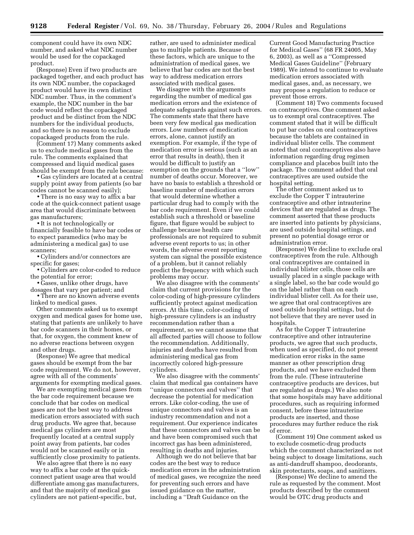component could have its own NDC number, and asked what NDC number would be used for the copackaged product.

(Response) Even if two products are packaged together, and each product has its own NDC number, the copackaged product would have its own distinct NDC number. Thus, in the comment's example, the NDC number in the bar code would reflect the copackaged product and be distinct from the NDC numbers for the individual products, and so there is no reason to exclude copackaged products from the rule.

(Comment 17) Many comments asked us to exclude medical gases from the rule. The comments explained that compressed and liquid medical gases should be exempt from the rule because:

• Gas cylinders are located at a central supply point away from patients (so bar codes cannot be scanned easily);

• There is no easy way to affix a bar code at the quick-connect patient usage area that would discriminate between gas manufacturers;

• It is not technologically or financially feasible to have bar codes or to expect paramedics (who may be administering a medical gas) to use scanners;

• Cylinders and/or connectors are specific for gases;

• Cylinders are color-coded to reduce the potential for error;

• Gases, unlike other drugs, have dosages that vary per patient; and

• There are no known adverse events linked to medical gases.

Other comments asked us to exempt oxygen and medical gases for home use, stating that patients are unlikely to have bar code scanners in their homes, or that, for oxygen, the comment knew of no adverse reactions between oxygen and other drugs.

(Response) We agree that medical gases should be exempt from the bar code requirement. We do not, however, agree with all of the comments' arguments for exempting medical gases.

We are exempting medical gases from the bar code requirement because we conclude that bar codes on medical gases are not the best way to address medication errors associated with such drug products. We agree that, because medical gas cylinders are most frequently located at a central supply point away from patients, bar codes would not be scanned easily or in sufficiently close proximity to patients.

We also agree that there is no easy way to affix a bar code at the quickconnect patient usage area that would differentiate among gas manufacturers, and that the majority of medical gas cylinders are not patient-specific, but,

rather, are used to administer medical gas to multiple patients. Because of these factors, which are unique to the administration of medical gases, we believe that bar codes are not the best way to address medication errors associated with medical gases.

We disagree with the arguments regarding the number of medical gas medication errors and the existence of adequate safeguards against such errors. The comments state that there have been very few medical gas medication errors. Low numbers of medication errors, alone, cannot justify an exemption. For example, if the type of medication error is serious (such as an error that results in death), then it would be difficult to justify an exemption on the grounds that a ''low'' number of deaths occur. Moreover, we have no basis to establish a threshold or baseline number of medication errors that would determine whether a particular drug had to comply with the bar code requirement. Even if we could establish such a threshold or baseline figure, that figure would be subject to challenge because health care professionals are not required to submit adverse event reports to us; in other words, the adverse event reporting system can signal the possible existence of a problem, but it cannot reliably predict the frequency with which such problems may occur.

We also disagree with the comments' claim that current provisions for the color-coding of high-pressure cylinders sufficiently protect against medication errors. At this time, color-coding of high-pressure cylinders is an industry recommendation rather than a requirement, so we cannot assume that all affected parties will choose to follow the recommendation. Additionally, injuries and deaths have resulted from administering medical gas from incorrectly colored high-pressure cylinders.

We also disagree with the comments' claim that medical gas containers have ''unique connectors and valves'' that decrease the potential for medication errors. Like color-coding, the use of unique connectors and valves is an industry recommendation and not a requirement. Our experience indicates that these connectors and valves can be and have been compromised such that incorrect gas has been administered, resulting in deaths and injuries.

Although we do not believe that bar codes are the best way to reduce medication errors in the administration of medical gases, we recognize the need for preventing such errors and have issued guidance on the matter, including a ''Draft Guidance on the

Current Good Manufacturing Practice for Medical Gases'' (68 FR 24005, May 6, 2003), as well as a ''Compressed Medical Gases Guideline'' (February 1989). We intend to continue to evaluate medication errors associated with medical gases, and, as necessary, we may propose a regulation to reduce or prevent those errors.

(Comment 18) Two comments focused on contraceptives. One comment asked us to exempt oral contraceptives. The comment stated that it will be difficult to put bar codes on oral contraceptives because the tablets are contained in individual blister cells. The comment noted that oral contraceptives also have information regarding drug regimen compliance and placebos built into the package. The comment added that oral contraceptives are used outside the hospital setting.

The other comment asked us to exclude the Copper T intrauterine contraceptive and other intrauterine devices that are regulated as drugs. The comment asserted that these products are inserted into patients by physicians, are used outside hospital settings, and present no potential dosage error or administration error.

(Response) We decline to exclude oral contraceptives from the rule. Although oral contraceptives are contained in individual blister cells, those cells are usually placed in a single package with a single label, so the bar code would go on the label rather than on each individual blister cell. As for their use, we agree that oral contraceptives are used outside hospital settings, but do not believe that they are never used in hospitals.

As for the Copper T intrauterine contraceptive and other intrauterine products, we agree that such products, when used as specified, do not present medication error risks in the same manner as other prescription drug products, and we have excluded them from the rule. (These intrauterine contraceptive products are devices, but are regulated as drugs.) We also note that some hospitals may have additional procedures, such as requiring informed consent, before these intrauterine products are inserted, and those procedures may further reduce the risk of error.

(Comment 19) One comment asked us to exclude cosmetic-drug products which the comment characterized as not being subject to dosage limitations, such as anti-dandruff shampoo, deodorants, skin protectants, soaps, and sanitizers.

(Response) We decline to amend the rule as requested by the comment. Most products described by the comment would be OTC drug products and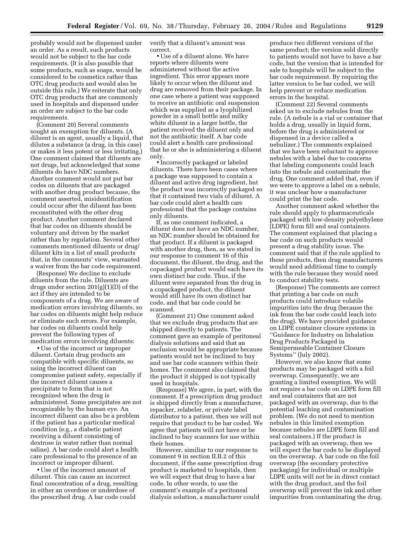probably would not be dispensed under an order. As a result, such products would not be subject to the bar code requirements. (It is also possible that some products, such as soaps, would be considered to be cosmetics rather than OTC drug products and would also be outside this rule.) We reiterate that only OTC drug products that are commonly used in hospitals and dispensed under an order are subject to the bar code requirements.

(Comment 20) Several comments sought an exemption for diluents. (A diluent is an agent, usually a liquid, that dilutes a substance (a drug, in this case) or makes it less potent or less irritating.) One comment claimed that diluents are not drugs, but acknowledged that some diluents do have NDC numbers. Another comment would not put bar codes on diluents that are packaged with another drug product because, the comment asserted, misidentification could occur after the diluent has been reconstituted with the other drug product. Another comment declared that bar codes on diluents should be voluntary and driven by the market rather than by regulation. Several other comments mentioned diluents or drug/ diluent kits in a list of small products that, in the comments' view, warranted a waiver from the bar code requirement.

(Response) We decline to exclude diluents from the rule. Diluents are drugs under section 201(g)(1)(D) of the act if they are intended to be components of a drug. We are aware of medication errors involving diluents, so bar codes on diluents might help reduce or eliminate such errors. For example, bar codes on diluents could help prevent the following types of medication errors involving diluents:

• Use of the incorrect or improper diluent. Certain drug products are compatible with specific diluents, so using the incorrect diluent can compromise patient safety, especially if the incorrect diluent causes a precipitate to form that is not recognized when the drug is administered. Some precipitates are not recognizable by the human eye. An incorrect diluent can also be a problem if the patient has a particular medical condition (e.g., a diabetic patient receiving a diluent consisting of dextrose in water rather than normal saline). A bar code could alert a health care professional to the presence of an incorrect or improper diluent.

• Use of the incorrect amount of diluent. This can cause an incorrect final concentration of a drug, resulting in either an overdose or underdose of the prescribed drug. A bar code could

verify that a diluent's amount was correct.

• Use of a diluent alone. We have reports where diluents were administered without the active ingredient. This error appears more likely to occur when the diluent and drug are removed from their package. In one case where a patient was supposed to receive an antibiotic oral suspension which was supplied as a lyophilized powder in a small bottle and milky white diluent in a larger bottle, the patient received the diluent only and not the antibiotic itself. A bar code could alert a health care professional that he or she is administering a diluent only.

• Incorrectly packaged or labeled diluents. There have been cases where a package was supposed to contain a diluent and active drug ingredient, but the product was incorrectly packaged so that it contained two vials of diluent. A bar code could alert a health care professional that the package contains only diluents.

If, as one comment indicated, a diluent does not have an NDC number, an NDC number should be obtained for that product. If a diluent is packaged with another drug, then, as we stated in our response to comment 16 of this document, the diluent, the drug, and the copackaged product would each have its own distinct bar code. Thus, if the diluent were separated from the drug in a copackaged product, the diluent would still have its own distinct bar code, and that bar code could be scanned.

(Comment 21) One comment asked that we exclude drug products that are shipped directly to patients. The comment gave an example of peritoneal dialysis solutions and said that an exclusion would be appropriate because patients would not be inclined to buy and use bar code scanners within their homes. The comment also claimed that the product it shipped is not typically used in hospitals.

(Response) We agree, in part, with the comment. If a prescription drug product is shipped directly from a manufacturer, repacker, relabeler, or private label distributor to a patient, then we will not require that product to be bar coded. We agree that patients will not have or be inclined to buy scanners for use within their homes.

However, similiar to our response to comment 9 in section II.B.2 of this document, if the same prescription drug product is marketed to hospitals, then we will expect that drug to have a bar code. In other words, to use the comment's example of a peritoneal dialysis solution, a manufacturer could

produce two different versions of the same product; the version sold directly to patients would not have to have a bar code, but the version that is intended for sale to hospitals will be subject to the bar code requirement. By requiring the latter version to be bar coded, we will help prevent or reduce medication errors in the hospital.

(Comment 22) Several comments asked us to exclude nebules from the rule. (A nebule is a vial or container that holds a drug, usually in liquid form, before the drug is administered or dispensed in a device called a nebulizer.) The comments explained that we have been reluctant to approve nebules with a label due to concerns that labeling components could leach into the nebule and contaminate the drug. One comment added that, even if we were to approve a label on a nebule, it was unclear how a manufacturer could print the bar code.

Another comment asked whether the rule should apply to pharmaceuticals packaged with low-density polyethylene (LDPE) form fill and seal containers. The comment explained that placing a bar code on such products would present a drug stability issue. The comment said that if the rule applied to these products, then drug manufacturers would need additional time to comply with the rule because they would need to conduct stability tests.

(Response) The comments are correct that printing a bar code on such products could introduce volatile impurities into the drug (because the ink from the bar code could leach into the drug). We have provided guidance on LDPE container closure systems in ''Guidance for Industry on Inhalation Drug Products Packaged in Semipermeable Container Closure Systems'' (July 2002).

However, we also know that some products may be packaged with a foil overwrap. Consequently, we are granting a limited exemption. We will not require a bar code on LDPE form fill and seal containers that are not packaged with an overwrap, due to the potential leaching and contamination problem. (We do not need to mention nebules in this limited exemption because nebules are LDPE form fill and seal containers.) If the product is packaged with an overwrap, then we will expect the bar code to be displayed on the overwrap. A bar code on the foil overwrap (the secondary protective packaging) for individual or multiple LDPE units will not be in direct contact with the drug product, and the foil overwrap will prevent the ink and other impurities from contaminating the drug.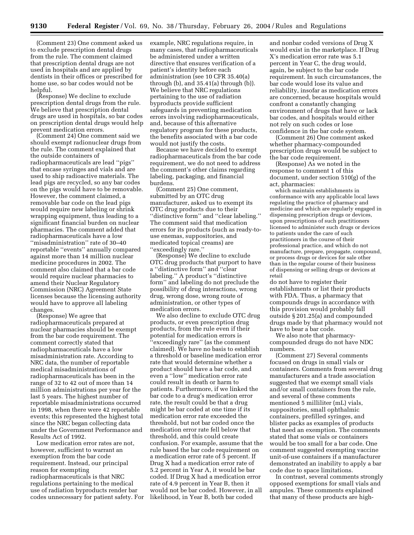(Comment 23) One comment asked us to exclude prescription dental drugs from the rule. The comment claimed that prescription dental drugs are not used in hospitals and are applied by dentists in their offices or prescribed for home use, so bar codes would not be helpful.

(Response) We decline to exclude prescription dental drugs from the rule. We believe that prescription dental drugs are used in hospitals, so bar codes on prescription dental drugs would help prevent medication errors.

(Comment 24) One comment said we should exempt radionuclear drugs from the rule. The comment explained that the outside containers of radiopharmaceuticals are lead ''pigs'' that encase syringes and vials and are used to ship radioactive materials. The lead pigs are recycled, so any bar codes on the pigs would have to be removable. However, the comment claimed, a removable bar code on the lead pigs would require new labeling or shrink wrapping equipment, thus leading to a significant financial burden on nuclear pharmacies. The comment added that radiopharmaceuticals have a low ''misadministration'' rate of 30–40 reportable ''events'' annually compared against more than 14 million nuclear medicine procedures in 2002. The comment also claimed that a bar code would require nuclear pharmacies to amend their Nuclear Regulatory Commission (NRC) Agreement State licenses because the licensing authority would have to approve all labeling changes.

(Response) We agree that radiopharmaceuticals prepared at nuclear pharmacies should be exempt from the bar code requirement. The comment correctly stated that radiopharmaceuticals have a low misadministration rate. According to NRC data, the number of reportable medical misadministrations of radiopharmaceuticals has been in the range of 32 to 42 out of more than 14 million administrations per year for the last 5 years. The highest number of reportable misadministrations occurred in 1998, when there were 42 reportable events; this represented the highest total since the NRC began collecting data under the Government Performance and Results Act of 1992.

Low medication error rates are not, however, sufficient to warrant an exemption from the bar code requirement. Instead, our principal reason for exempting radiopharmaceuticals is that NRC regulations pertaining to the medical use of radiation byproducts render bar codes unnecessary for patient safety. For

example, NRC regulations require, in many cases, that radiopharmaceuticals be administered under a written directive that ensures verification of a patient's identity before each administration (see 10 CFR 35.40(a) through (b), and 35.41(a) through (b)). We believe that NRC regulations pertaining to the use of radiation byproducts provide sufficient safeguards in preventing medication errors involving radiopharmaceuticals, and, because of this alternative regulatory program for these products, the benefits associated with a bar code would not justify the costs.

Because we have decided to exempt radiopharmaceuticals from the bar code requirement, we do not need to address the comment's other claims regarding labeling, packaging, and financial burdens.

(Comment 25) One comment, submitted by an OTC drug manufacturer, asked us to exempt its OTC drug products due to their ''distinctive form'' and ''clear labeling.'' The comment said that medication errors for its products (such as ready-touse enemas, suppositories, and medicated topical creams) are ''exceedingly rare.''

(Response) We decline to exclude OTC drug products that purport to have a ''distinctive form'' and ''clear labeling.'' A product's ''distinctive form'' and labeling do not preclude the possibility of drug interactions, wrong drug, wrong dose, wrong route of administration, or other types of medication errors.

We also decline to exclude OTC drug products, or even prescription drug products, from the rule even if their potential for medication errors is 'exceedingly rare'' (as the comment claimed). We have no basis to establish a threshold or baseline medication error rate that would determine whether a product should have a bar code, and even a ''low'' medication error rate could result in death or harm to patients. Furthermore, if we linked the bar code to a drug's medication error rate, the result could be that a drug might be bar coded at one time if its medication error rate exceeded the threshold, but not bar coded once the medication error rate fell below that threshold, and this could create confusion. For example, assume that the rule based the bar code requirement on a medication error rate of 5 percent. If Drug X had a medication error rate of 5.2 percent in Year A, it would be bar coded. If Drug X had a medication error rate of 4.9 percent in Year B, then it would not be bar coded. However, in all likelihood, in Year B, both bar coded

and nonbar coded versions of Drug X would exist in the marketplace. If Drug X's medication error rate was 5.1 percent in Year C, the drug would, again, be subject to the bar code requirement. In such circumstances, the bar code would lose its value and reliability, insofar as medication errors are concerned, because hospitals would confront a constantly changing environment of drugs that have or lack bar codes, and hospitals would either not rely on such codes or lose confidence in the bar code system.

(Comment 26) One comment asked whether pharmacy-compounded prescription drugs would be subject to the bar code requirement.

(Response) As we noted in the response to comment 1 of this document, under section 510(g) of the act, pharmacies:

which maintain establishments in conformance with any applicable local laws regulating the practice of pharmacy and medicine and which are regularly engaged in dispensing prescription drugs or devices, upon prescriptions of such practitioners licensed to administer such drugs or devices to patients under the care of such practitioners in the course of their professional practice, and which do not manufacture, prepare, propagate, compound, or process drugs or devices for sale other than in the regular course of their business of dispensing or selling drugs or devices at retail

do not have to register their establishments or list their products with FDA. Thus, a pharmacy that compounds drugs in accordance with this provision would probably fall outside § 201.25(a) and compounded drugs made by that pharmacy would not have to bear a bar code.

We also note that pharmacycompounded drugs do not have NDC numbers.

(Comment 27) Several comments focused on drugs in small vials or containers. Comments from several drug manufacturers and a trade association suggested that we exempt small vials and/or small containers from the rule, and several of these comments mentioned 5 milliliter (mL) vials, suppositories, small ophthalmic containers, prefilled syringes, and blister packs as examples of products that need an exemption. The comments stated that some vials or containers would be too small for a bar code. One comment suggested exempting vaccine unit-of-use containers if a manufacturer demonstrated an inability to apply a bar code due to space limitations.

In contrast, several comments strongly opposed exemptions for small vials and ampules. These comments explained that many of these products are high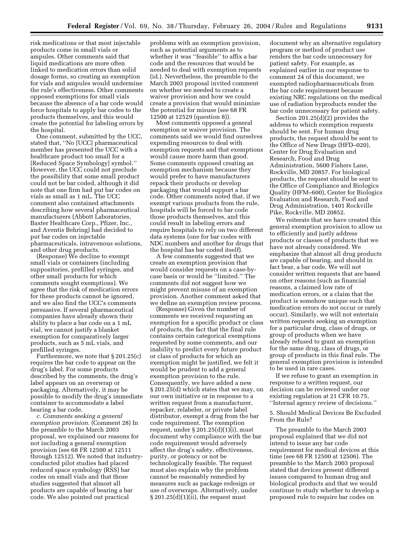risk medications or that most injectable products come in small vials or ampules. Other comments said that liquid medications are more often linked to medication errors than solid dosage forms, so creating an exemption for vials and ampules would undermine the rule's effectiveness. Other comments opposed exemptions for small vials because the absence of a bar code would force hospitals to apply bar codes to the products themselves, and this would create the potential for labeling errors by the hospital.

One comment, submitted by the UCC, stated that, ''No [UCC] pharmaceutical member has presented the UCC with a healthcare product too small for a [Reduced Space Symbology] symbol.'' However, the UCC could not preclude the possibility that some small product could not be bar coded, although it did note that one firm had put bar codes on vials as small as 1 mL. The UCC comment also contained attachments describing how several pharmaceutical manufacturers (Abbott Laboratories, Baxter Healthcare Corp., Pfizer, Inc., and Aventis Behring) had decided to put bar codes on injectable pharmaceuticals, intravenous solutions, and other drug products.

(Response) We decline to exempt small vials or containers (including suppositories, prefilled syringes, and other small products for which comments sought exemptions). We agree that the risk of medication errors for these products cannot be ignored, and we also find the UCC's comments persuasive. If several pharmaceutical companies have already shown their ability to place a bar code on a 1 mL vial, we cannot justify a blanket exemption for comparatively larger products, such as 5 mL vials, and prefilled syringes.

Furthermore, we note that § 201.25(c) requires the bar code to appear on the drug's label. For some products described by the comments, the drug's label appears on an overwrap or packaging. Alternatively, it may be possible to modify the drug's immediate container to accommodate a label bearing a bar code.

*c. Comments seeking a general exemption provision.* (Comment 28) In the preamble to the March 2003 proposal, we explained our reasons for not including a general exemption provision (see 68 FR 12500 at 12511 through 12512). We noted that industryconducted pilot studies had placed reduced space symbology (RSS) bar codes on small vials and that those studies suggested that almost all products are capable of bearing a bar code. We also pointed out practical

problems with an exemption provision, such as potential arguments as to whether it was ''feasible'' to affix a bar code and the resources that would be needed to deal with exemption requests (id.). Nevertheless, the preamble to the March 2003 proposal invited comment on whether we needed to create a waiver provision and how we could create a provision that would minimize the potential for misuse (see 68 FR 12500 at 12529 (question 8)).

Most comments opposed a general exemption or waiver provision. The comments said we would find ourselves expending resources to deal with exemption requests and that exemptions would cause more harm than good. Some comments opposed creating an exemption mechanism because they would prefer to have manufacturers repack their products or develop packaging that would support a bar code. Other comments noted that, if we exempt various products from the rule, hospitals will be forced to bar code those products themselves, and this could result in labeling errors and require hospitals to rely on two different data systems (one for bar codes with NDC numbers and another for drugs that the hospital has bar coded itself).

A few comments suggested that we create an exemption provision that would consider requests on a case-bycase basis or would be ''limited.'' The comments did not suggest how we might prevent misuse of an exemption provision. Another comment asked that we define an exemption review process.

(Response) Given the number of comments we received requesting an exemption for a specific product or class of products, the fact that the final rule contains certain categorical exemptions requested by some comments, and our inability to predict every future product or class of products for which an exemption might be justified, we felt it would be prudent to add a general exemption provision to the rule. Consequently, we have added a new § 201.25(d) which states that we may, on our own initiative or in response to a written request from a manufacturer, repacker, relabeler, or private label distributor, exempt a drug from the bar code requirement. The exemption request, under  $\S 201.25(d)(1)(i)$ , must document why compliance with the bar code requirement would adversely affect the drug's safety, effectiveness, purity, or potency or not be technologically feasible. The request must also explain why the problem cannot be reasonably remedied by measures such as package redesign or use of overwraps. Alternatively, under  $§ 201.25(d)(1)(ii)$ , the request must

document why an alternative regulatory program or method of product use renders the bar code unnecessary for patient safety. For example, as explained earlier in our response to comment 24 of this document, we exempted radiopharmaceuticals from the bar code requirement because existing NRC regulations on the medical use of radiation byproducts render the bar code unnecessary for patient safety.

Section 201.25(d)(2) provides the address to which exemption requests should be sent. For human drug products, the request should be sent to the Office of New Drugs (HFD–020), Center for Drug Evaluation and Research, Food and Drug Administration, 5600 Fishers Lane, Rockville, MD 20857. For biological products, the request should be sent to the Office of Compliance and Biologics Quality (HFM–600), Center for Biologics Evaluation and Research, Food and Drug Administration, 1401 Rockville Pike, Rockville, MD 20852.

We reiterate that we have created this general exemption provision to allow us to efficiently and justly address products or classes of products that we have not already considered. We emphasize that almost all drug products are capable of bearing, and should in fact bear, a bar code. We will not consider written requests that are based on other reasons (such as financial reasons, a claimed low rate of medication errors, or a claim that the product is somehow unique such that medication errors do not occur or rarely occur). Similarly, we will not entertain written requests seeking an exemption for a particular drug, class of drugs, or group of products when we have already refused to grant an exemption for the same drug, class of drugs, or group of products in this final rule. The general exemption provision is intended to be used in rare cases.

If we refuse to grant an exemption in response to a written request, our decision can be reviewed under our existing regulation at 21 CFR 10.75, ''Internal agency review of decisions.''

5. Should Medical Devices Be Excluded From the Rule?

The preamble to the March 2003 proposal explained that we did not intend to issue any bar code requirement for medical devices at this time (see 68 FR 12500 at 12506). The preamble to the March 2003 proposal stated that devices present different issues compared to human drug and biological products and that we would continue to study whether to develop a proposed rule to require bar codes on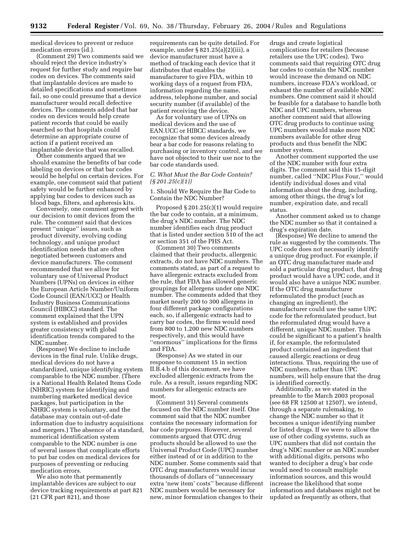medical devices to prevent or reduce medication errors (id.).

(Comment 29) Two comments said we should reject the device industry's request for further study and require bar codes on devices. The comments said that implantable devices are made to detailed specifications and sometimes fail, so one could presume that a device manufacturer would recall defective devices. The comments added that bar codes on devices would help create patient records that could be easily searched so that hospitals could determine an appropriate course of action if a patient received an implantable device that was recalled.

Other comments argued that we should examine the benefits of bar code labeling on devices or that bar codes would be helpful on certain devices. For example, one comment said that patient safety would be further enhanced by applying bar codes to devices such as blood bags, filters, and apheresis kits.

Conversely, one comment agreed with our decision to omit devices from the rule. The comment said that devices present ''unique'' issues, such as product diversity, evolving coding technology, and unique product identification needs that are often negotiated between customers and device manufacturers. The comment recommended that we allow for voluntary use of Universal Product Numbers (UPNs) on devices in either the European Article Number/Uniform Code Council (EAN/UCC) or Health Industry Business Communications Council (HIBCC) standard. The comment explained that the UPN system is established and provides greater consistency with global identification trends compared to the NDC number.

(Response) We decline to include devices in the final rule. Unlike drugs, medical devices do not have a standardized, unique identifying system comparable to the NDC number. (There is a National Health Related Items Code (NHRIC) system for identifying and numbering marketed medical device packages, but participation in the NHRIC system is voluntary, and the database may contain out-of-date information due to industry acquisitions and mergers.) The absence of a standard, numerical identification system comparable to the NDC number is one of several issues that complicate efforts to put bar codes on medical devices for purposes of preventing or reducing medication errors.

We also note that permanently implantable devices are subject to our device tracking requirements at part 821 (21 CFR part 821), and those

requirements can be quite detailed. For example, under § 821.25(a)(2)(iii), a device manufacturer must have a method of tracking each device that it distributes that enables the manufacturer to give FDA, within 10 working days of a request from FDA, information regarding the name, address, telephone number, and social security number (if available) of the patient receiving the device.

As for voluntary use of UPNs on medical devices and the use of EAN.UCC or HIBCC standards, we recognize that some devices already bear a bar code for reasons relating to purchasing or inventory control, and we have not objected to their use nor to the bar code standards used.

# *C. What Must the Bar Code Contain? (§ 201.25(c)(1))*

1. Should We Require the Bar Code to Contain the NDC Number?

Proposed § 201.25(c)(1) would require the bar code to contain, at a minimum, the drug's NDC number. The NDC number identifies each drug product that is listed under section 510 of the act or section 351 of the PHS Act.

(Comment 30) Two comments claimed that their products, allergenic extracts, do not have NDC numbers. The comments stated, as part of a request to have allergenic extracts excluded from the rule, that FDA has allowed generic groupings for allergens under one NDC number. The comments added that they market nearly 200 to 300 allergens in four different package configurations each, so, if allergenic extracts had to carry bar codes, the firms would need from 800 to 1,200 new NDC numbers respectively, and this would have ''enormous'' implications for the firms and FDA.

(Response) As we stated in our response to comment 15 in section II.B.4.b of this document, we have excluded allergenic extracts from the rule. As a result, issues regarding NDC numbers for allergenic extracts are moot.

(Comment 31) Several comments focused on the NDC number itself. One comment said that the NDC number contains the necessary information for bar code purposes. However, several comments argued that OTC drug products should be allowed to use the Universal Product Code (UPC) number either instead of or in addition to the NDC number. Some comments said that OTC drug manufacturers would incur thousands of dollars of ''unnecessary extra 'new item' costs'' because different NDC numbers would be necessary for new, minor formulation changes to their

drugs and create logistical complications for retailers (because retailers use the UPC codes). Two comments said that requiring OTC drug bar codes to contain the NDC number would increase the demand on NDC numbers, increase FDA's workload, or exhaust the number of available NDC numbers. One comment said it should be feasible for a database to handle both NDC and UPC numbers, whereas another comment said that allowing OTC drug products to continue using UPC numbers would make more NDC numbers available for other drug products and thus benefit the NDC number system.

Another comment supported the use of the NDC number with four extra digits. The comment said this 15-digit number, called ''NDC Plus Four,'' would identify individual doses and vital information about the drug, including, among other things, the drug's lot number, expiration date, and recall status.

Another comment asked us to change the NDC number so that it contained a drug's expiration date.

(Response) We decline to amend the rule as suggested by the comments. The UPC code does not necessarily identify a unique drug product. For example, if an OTC drug manufacturer made and sold a particular drug product, that drug product would have a UPC code, and it would also have a unique NDC number. If the OTC drug manufacturer reformulated the product (such as changing an ingredient), the manufacturer could use the same UPC code for the reformulated product, but the reformulated drug would have a different, unique NDC number. This could be significant to a patient's health if, for example, the reformulated product contained an ingredient that caused allergic reactions or drug interactions. Thus, requiring the use of NDC numbers, rather than UPC numbers, will help ensure that the drug is identified correctly.

Additionally, as we stated in the preamble to the March 2003 proposal (see 68 FR 12500 at 12507), we intend, through a separate rulemaking, to change the NDC number so that it becomes a unique identifying number for listed drugs. If we were to allow the use of other coding systems, such as UPC numbers that did not contain the drug's NDC number or an NDC number with additional digits, persons who wanted to decipher a drug's bar code would need to consult multiple information sources, and this would increase the likelihood that some information and databases might not be updated as frequently as others, that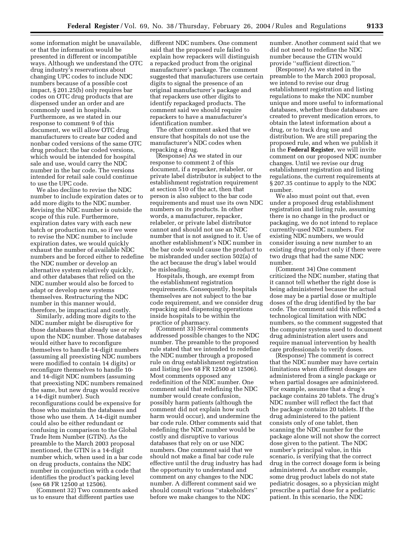some information might be unavailable, or that the information would be presented in different or incompatible ways. Although we understand the OTC drug industry's reservations about changing UPC codes to include NDC numbers because of a possible cost impact, § 201.25(b) only requires bar codes on OTC drug products that are dispensed under an order and are commonly used in hospitals. Furthermore, as we stated in our response to comment 9 of this document, we will allow OTC drug manufacturers to create bar coded and nonbar coded versions of the same OTC drug product; the bar coded versions, which would be intended for hospital sale and use, would carry the NDC number in the bar code. The versions intended for retail sale could continue to use the UPC code.

We also decline to revise the NDC number to include expiration dates or to add more digits to the NDC number. Revising the NDC number is outside the scope of this rule. Furthermore, expiration dates vary with each new batch or production run, so if we were to revise the NDC number to include expiration dates, we would quickly exhaust the number of available NDC numbers and be forced either to redefine the NDC number or develop an alternative system relatively quickly, and other databases that relied on the NDC number would also be forced to adapt or develop new systems themselves. Restructuring the NDC number in this manner would, therefore, be impractical and costly.

Similarly, adding more digits to the NDC number might be disruptive for those databases that already use or rely upon the NDC number. Those databases would either have to reconfigure themselves to handle 14-digit numbers (assuming all preexisting NDC numbers were modified to contain 14 digits) or reconfigure themselves to handle 10 and 14-digit NDC numbers (assuming that preexisting NDC numbers remained the same, but new drugs would receive a 14-digit number). Such reconfigurations could be expensive for those who maintain the databases and those who use them. A 14-digit number could also be either redundant or confusing in comparison to the Global Trade Item Number (GTIN). As the preamble to the March 2003 proposal mentioned, the GTIN is a 14-digit number which, when used in a bar code on drug products, contains the NDC number in conjunction with a code that identifies the product's packing level (see 68 FR 12500 at 12506).

(Comment 32) Two comments asked us to ensure that different parties use

different NDC numbers. One comment said that the proposed rule failed to explain how repackers will distinguish a repacked product from the original manufacturer's package. The comment suggested that manufacturers use certain digits to signal the presence of an original manufacturer's package and that repackers use other digits to identify repackaged products. The comment said we should require repackers to have a manufacturer's identification number.

The other comment asked that we ensure that hospitals do not use the manufacturer's NDC codes when repacking a drug.

(Response) As we stated in our response to comment 2 of this document, if a repacker, relabeler, or private label distributor is subject to the establishment registration requirement at section 510 of the act, then that person is also subject to the bar code requirements and must use its own NDC numbers on its products. In other words, a manufacturer, repacker, relabeler, or private label distributor cannot and should not use an NDC number that is not assigned to it. Use of another establishment's NDC number in the bar code would cause the product to be misbranded under section 502(a) of the act because the drug's label would be misleading.

Hospitals, though, are exempt from the establishment registration requirements. Consequently, hospitals themselves are not subject to the bar code requirement, and we consider drug repacking and dispensing operations inside hospitals to be within the practice of pharmacy.

(Comment 33) Several comments addressed possible changes to the NDC number. The preamble to the proposed rule stated that we intended to redefine the NDC number through a proposed rule on drug establishment registration and listing (see 68 FR 12500 at 12506). Most comments opposed any redefinition of the NDC number. One comment said that redefining the NDC number would create confusion, possibly harm patients (although the comment did not explain how such harm would occur), and undermine the bar code rule. Other comments said that redefining the NDC number would be costly and disruptive to various databases that rely on or use NDC numbers. One comment said that we should not make a final bar code rule effective until the drug industry has had the opportunity to understand and comment on any changes to the NDC number. A different comment said we should consult various ''stakeholders'' before we make changes to the NDC

number. Another comment said that we did not need to redefine the NDC number because the GTIN would provide ''sufficient direction.''

(Response) As we stated in the preamble to the March 2003 proposal, we intend to revise our drug establishment registration and listing regulations to make the NDC number unique and more useful to informational databases, whether those databases are created to prevent medication errors, to obtain the latest information about a drug, or to track drug use and distribution. We are still preparing the proposed rule, and when we publish it in the **Federal Register**, we will invite comment on our proposed NDC number changes. Until we revise our drug establishment registration and listing regulations, the current requirements at § 207.35 continue to apply to the NDC number.

We also must point out that, even under a proposed drug establishment registration and listing rule, assuming there is no change in the product or packaging, we do not intend to replace currently-used NDC numbers. For existing NDC numbers, we would consider issuing a new number to an existing drug product only if there were two drugs that had the same NDC number.

(Comment 34) One comment criticized the NDC number, stating that it cannot tell whether the right dose is being administered because the actual dose may be a partial dose or multiple doses of the drug identified by the bar code. The comment said this reflected a technological limitation with NDC numbers, so the comment suggested that the computer systems used to document drug administration alert users and require manual intervention by health care professionals to verify doses.

(Response) The comment is correct that the NDC number may have certain limitations when different dosages are administered from a single package or when partial dosages are administered. For example, assume that a drug's package contains 20 tablets. The drug's NDC number will reflect the fact that the package contains 20 tablets. If the drug administered to the patient consists only of one tablet, then scanning the NDC number for the package alone will not show the correct dose given to the patient. The NDC number's principal value, in this scenario, is verifying that the correct drug in the correct dosage form is being administered. As another example, some drug product labels do not state pediatric dosages, so a physician might prescribe a partial dose for a pediatric patient. In this scenario, the NDC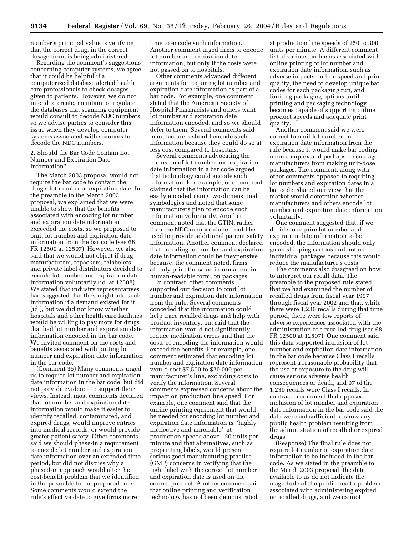number's principal value is verifying that the correct drug, in the correct dosage form, is being administered.

Regarding the comment's suggestions concerning computer systems, we agree that it could be helpful if a computerized database alerted health care professionals to check dosages given to patients. However, we do not intend to create, maintain, or regulate the databases that scanning equipment would consult to decode NDC numbers, so we advise parties to consider this issue when they develop computer systems associated with scanners to decode the NDC numbers.

2. Should the Bar Code Contain Lot Number and Expiration Date Information?

The March 2003 proposal would not require the bar code to contain the drug's lot number or expiration date. In the preamble to the March 2003 proposal, we explained that we were unable to show that the benefits associated with encoding lot number and expiration date information exceeded the costs, so we proposed to omit lot number and expiration date information from the bar code (see 68 FR 12500 at 12507). However, we also said that we would not object if drug manufacturers, repackers, relabelers, and private label distributors decided to encode lot number and expiration date information voluntarily (id. at 12508). We stated that industry representatives had suggested that they might add such information if a demand existed for it (id.), but we did not know whether hospitals and other health care facilities would be willing to pay more for drugs that had lot number and expiration date information encoded in the bar code. We invited comment on the costs and benefits associated with putting lot number and expiration date information in the bar code.

(Comment 35) Many comments urged us to require lot number and expiration date information in the bar code, but did not provide evidence to support their views. Instead, most comments declared that lot number and expiration date information would make it easier to identify recalled, contaminated, and expired drugs, would improve entries into medical records, or would provide greater patient safety. Other comments said we should phase-in a requirement to encode lot number and expiration date information over an extended time period, but did not discuss why a phased-in approach would alter the cost-benefit problem that we identified in the preamble to the proposed rule. Some comments would extend the rule's effective date to give firms more

time to encode such information. Another comment urged firms to encode lot number and expiration date information, but only if the costs were not passed on to hospitals.

Other comments advanced different arguments for requiring lot number and expiration date information as part of a bar code. For example, one comment stated that the American Society of Hospital Pharmacists and others want lot number and expiration date information encoded, and so we should defer to them. Several comments said manufacturers should encode such information because they could do so at less cost compared to hospitals.

Several comments advocating the inclusion of lot number and expiration date information in a bar code argued that technology could encode such information. For example, one comment claimed that the information can be easily encoded using two-dimensional symbologies and noted that some manufacturers plan to encode such information voluntarily. Another comment noted that the GTIN, rather than the NDC number alone, could be used to provide additional patient safety information. Another comment declared that encoding lot number and expiration date information could be inexpensive because, the comment noted, firms already print the same information, in human-readable form, on packages.

In contrast, other comments supported our decision to omit lot number and expiration date information from the rule. Several comments conceded that the information could help trace recalled drugs and help with product inventory, but said that the information would not significantly reduce medication errors and that the costs of encoding the information would exceed the benefits. For example, one comment estimated that encoding lot number and expiration date information would cost \$7,500 to \$20,000 per manufacturer's line, excluding costs to verify the information. Several comments expressed concerns about the impact on production line speed. For example, one comment said that the online printing equipment that would be needed for encoding lot number and expiration date information is ''highly ineffective and unreliable'' at production speeds above 120 units per minute and that alternatives, such as preprinting labels, would present serious good manufacturing practice (GMP) concerns in verifying that the right label with the correct lot number and expiration date is used on the correct product. Another comment said that online printing and verification technology has not been demonstrated

at production line speeds of 250 to 300 units per minute. A different comment listed various problems associated with online printing of lot number and expiration date information, such as adverse impacts on line speed and print quality, the need to develop unique bar codes for each packaging run, and limiting packaging options until printing and packaging technology becomes capable of supporting online product speeds and adequate print quality.

Another comment said we were correct to omit lot number and expiration date information from the rule because it would make bar coding more complex and perhaps discourage manufacturers from making unit-dose packages. The comment, along with other comments opposed to requiring lot numbers and expiration dates in a bar code, shared our view that the market would determine whether manufacturers and others encode lot number and expiration date information voluntarily.

One comment suggested that, if we decide to require lot number and expiration date information to be encoded, the information should only go on shipping cartons and not on individual packages because this would reduce the manufacturer's costs.

The comments also disagreed on how to interpret our recall data. The preamble to the proposed rule stated that we had examined the number of recalled drugs from fiscal year 1997 through fiscal year 2002 and that, while there were 1,230 recalls during that time period, there were few reports of adverse experiences associated with the administration of a recalled drug (see 68 FR 12500 at 12507). One comment said this data supported inclusion of lot number and expiration date information in the bar code because Class I recalls represent a reasonable probability that the use or exposure to the drug will cause serious adverse health consequences or death, and 97 of the 1,230 recalls were Class I recalls. In contrast, a comment that opposed inclusion of lot number and expiration date information in the bar code said the data were not sufficient to show any public health problem resulting from the administration of recalled or expired drugs.

(Response) The final rule does not require lot number or expiration date information to be included in the bar code. As we stated in the preamble to the March 2003 proposal, the data available to us do not indicate the magnitude of the public health problem associated with administering expired or recalled drugs, and we cannot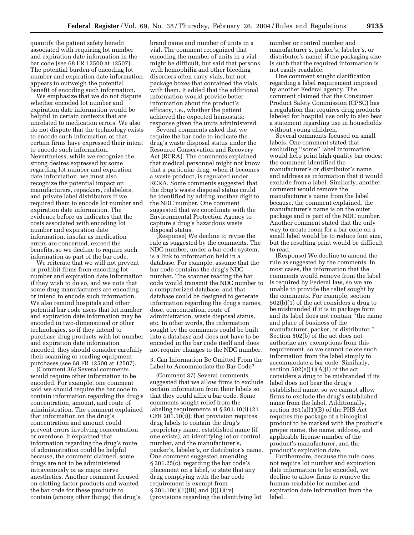quantify the patient safety benefit associated with requiring lot number and expiration date information in the bar code (see 68 FR 12500 at 12507). The potential burden of encoding lot number and expiration date information appears to outweigh the potential benefit of encoding such information.

We emphasize that we do not dispute whether encoded lot number and expiration date information would be helpful in certain contexts that are unrelated to medication errors. We also do not dispute that the technology exists to encode such information or that certain firms have expressed their intent to encode such information. Nevertheless, while we recognize the strong desires expressed by some regarding lot number and expiration date information, we must also recognize the potential impact on manufacturers, repackers, relabelers, and private label distributors if we required them to encode lot number and expiration date information. The evidence before us indicates that the costs associated with encoding lot number and expiration date information, insofar as medication errors are concerned, exceed the benefits, so we decline to require such information as part of the bar code.

We reiterate that we will not prevent or prohibit firms from encoding lot number and expiration date information if they wish to do so, and we note that some drug manufacturers are encoding or intend to encode such information. We also remind hospitals and other potential bar code users that lot number and expiration date information may be encoded in two-dimensional or other technologies, so if they intend to purchase drug products with lot number and expiration date information encoded, they should consider carefully their scanning or reading equipment purchases (see 68 FR 12500 at 12507).

(Comment 36) Several comments would require other information to be encoded. For example, one comment said we should require the bar code to contain information regarding the drug's concentration, amount, and route of administration. The comment explained that information on the drug's concentration and amount could prevent errors involving concentration or overdose. It explained that information regarding the drug's route of administration could be helpful because, the comment claimed, some drugs are not to be administered intravenously or as major nerve anesthetics. Another comment focused on clotting factor products and wanted the bar code for these products to contain (among other things) the drug's

brand name and number of units in a vial. The comment recognized that encoding the number of units in a vial might be difficult, but said that persons with hemophilia and other bleeding disorders often carry vials, but not package boxes that contained the vials, with them. It added that the additional information would provide better information about the product's efficacy, i.e., whether the patient achieved the expected hemostatic response given the units administered.

Several comments asked that we require the bar code to indicate the drug's waste disposal status under the Resource Conservation and Recovery Act (RCRA). The comments explained that medical personnel might not know that a particular drug, when it becomes a waste product, is regulated under RCRA. Some comments suggested that the drug's waste disposal status could be identified by adding another digit to the NDC number. One comment suggested that we coordinate with the Environmental Protection Agency to capture a drug's hazardous waste disposal status.

(Response) We decline to revise the rule as suggested by the comments. The NDC number, under a bar code system, is a link to information held in a database. For example, assume that the bar code contains the drug's NDC number. The scanner reading the bar code would transmit the NDC number to a computerized database, and that database could be designed to generate information regarding the drug's names, dose, concentration, route of administration, waste disposal status, etc. In other words, the information sought by the comments could be built into a database and does not have to be encoded in the bar code itself and does not require changes to the NDC number.

3. Can Information Be Omitted From the Label to Accommodate the Bar Code?

(Comment 37) Several comments suggested that we allow firms to exclude certain information from their labels so that they could affix a bar code. Some comments sought relief from the labeling requirements at § 201.10(i) (21 CFR 201.10(i)); that provision requires drug labels to contain the drug's proprietary name, established name (if one exists), an identifying lot or control number, and the manufacturer's, packer's, labeler's, or distributor's name. One comment suggested amending § 201.25(c), regarding the bar code's placement on a label, to state that any drug complying with the bar code requirement is exempt from  $\S 201.10(i)(1)(iii)$  and  $(i)(1)(iv)$ (provisions regarding the identifying lot

number or control number and manufacturer's, packer's, labeler's, or distributor's name) if the packaging size is such that the required information is not easily readable.

One comment sought clarification regarding a label requirement imposed by another Federal agency. The comment claimed that the Consumer Product Safety Commission (CPSC) has a regulation that requires drug products labeled for hospital use only to also bear a statement regarding use in households without young children.

Several comments focused on small labels. One comment stated that excluding ''some'' label information would help print high quality bar codes; the comment identified the manufacturer's or distributor's name and address as information that it would exclude from a label. Similarly, another comment would remove the manufacturer's name from the label because, the comment explained, the manufacturer's name is on the outer package and is part of the NDC number. Another comment stated that the only way to create room for a bar code on a small label would be to reduce font size, but the resulting print would be difficult to read.

(Response) We decline to amend the rule as suggested by the comments. In most cases, the information that the comments would remove from the label is required by Federal law, so we are unable to provide the relief sought by the comments. For example, section 502(b)(1) of the act considers a drug to be misbranded if it is in package form and its label does not contain ''the name and place of business of the manufacturer, packer, or distributor.'' Section 502(b) of the act does not authorize any exemptions from this requirement, so we cannot delete such information from the label simply to accommodate a bar code. Similarly, section 502(e)(1)(A)(i) of the act considers a drug to be misbranded if its label does not bear the drug's established name, so we cannot allow firms to exclude the drug's established name from the label. Additionally, section 351(a)(1)(B) of the PHS Act requires the package of a biological product to be marked with the product's proper name, the name, address, and applicable license number of the product's manufacturer, and the product's expiration date.

Furthermore, because the rule does not require lot number and expiration date information to be encoded, we decline to allow firms to remove the human-readable lot number and expiration date information from the label.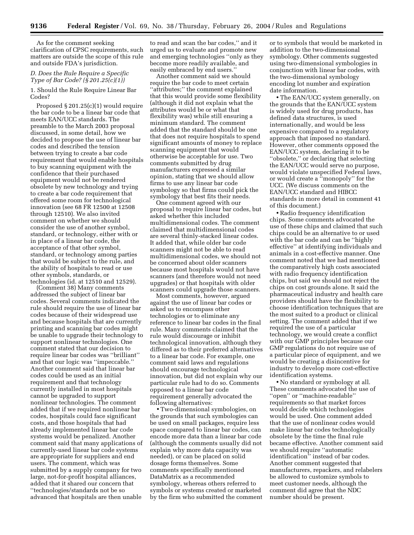As for the comment seeking clarification of CPSC requirements, such matters are outside the scope of this rule and outside FDA's jurisdiction.

# *D. Does the Rule Require a Specific Type of Bar Code? (§ 201.25(c)(1))*

1. Should the Rule Require Linear Bar Codes?

Proposed § 201.25(c)(1) would require the bar code to be a linear bar code that meets EAN/UCC standards. The preamble to the March 2003 proposal discussed, in some detail, how we decided to propose the use of linear bar codes and described the tension between trying to create a bar code requirement that would enable hospitals to buy scanning equipment with the confidence that their purchased equipment would not be rendered obsolete by new technology and trying to create a bar code requirement that offered some room for technological innovation (see 68 FR 12500 at 12508 through 12510). We also invited comment on whether we should consider the use of another symbol, standard, or technology, either with or in place of a linear bar code, the acceptance of that other symbol, standard, or technology among parties that would be subject to the rule, and the ability of hospitals to read or use other symbols, standards, or technologies (id. at 12510 and 12529).

(Comment 38) Many comments addressed the subject of linear bar codes. Several comments indicated the rule should require the use of linear bar codes because of their widespread use and because hospitals that are currently printing and scanning bar codes might be unable to upgrade their technology to support nonlinear technologies. One comment stated that our decision to require linear bar codes was ''brilliant'' and that our logic was ''impeccable.'' Another comment said that linear bar codes could be used as an initial requirement and that technology currently installed in most hospitals cannot be upgraded to support nonlinear technologies. The comment added that if we required nonlinear bar codes, hospitals could face significant costs, and those hospitals that had already implemented linear bar code systems would be penalized. Another comment said that many applications of currently-used linear bar code systems are appropriate for suppliers and end users. The comment, which was submitted by a supply company for two large, not-for-profit hospital alliances, added that it shared our concern that ''technologies/standards not be so advanced that hospitals are then unable

to read and scan the bar codes,'' and it urged us to evaluate and promote new and emerging technologies ''only as they become more readily available, and easily embraced by end users.''

Another comment said we should require the bar code to meet certain ''attributes;'' the comment explained that this would provide some flexibility (although it did not explain what the attributes would be or what that flexibility was) while still ensuring a minimum standard. The comment added that the standard should be one that does not require hospitals to spend significant amounts of money to replace scanning equipment that would otherwise be acceptable for use. Two comments submitted by drug manufacturers expressed a similar opinion, stating that we should allow firms to use any linear bar code symbology so that firms could pick the symbology that best fits their needs.

One comment agreed with our proposal to require linear bar codes, but asked whether this included multidimensional codes. The comment claimed that multidimensional codes are several thinly-stacked linear codes. It added that, while older bar code scanners might not be able to read multidimensional codes, we should not be concerned about older scanners because most hospitals would not have scanners (and therefore would not need upgrades) or that hospitals with older scanners could upgrade those scanners.

Most comments, however, argued against the use of linear bar codes or asked us to encompass other technologies or to eliminate any reference to linear bar codes in the final rule. Many comments claimed that the rule would discourage or inhibit technological innovation, although they differed as to their preferred alternatives to a linear bar code. For example, one comment said laws and regulations should encourage technological innovation, but did not explain why our particular rule had to do so. Comments opposed to a linear bar code requirement generally advocated the following alternatives:

• Two-dimensional symbologies, on the grounds that such symbologies can be used on small packages, require less space compared to linear bar codes, can encode more data than a linear bar code (although the comments usually did not explain why more data capacity was needed), or can be placed on solid dosage forms themselves. Some comments specifically mentioned DataMatrix as a recommended symbology, whereas others referred to symbols or systems created or marketed by the firm who submitted the comment

or to symbols that would be marketed in addition to the two-dimensional symbology. Other comments suggested using two-dimensional symbologies in conjunction with linear bar codes, with the two-dimensional symbology encoding lot number and expiration date information.

• The EAN/UCC system generally, on the grounds that the EAN/UCC system is widely used for drug products, has defined data structures, is used internationally, and would be less expensive compared to a regulatory approach that imposed no standard. However, other comments opposed the EAN/UCC system, declaring it to be ''obsolete,'' or declaring that selecting the EAN/UCC would serve no purpose, would violate unspecified Federal laws, or would create a ''monopoly'' for the UCC. (We discuss comments on the EAN/UCC standard and HIBCC standards in more detail in comment 41 of this document.)

• Radio frequency identification chips. Some comments advocated the use of these chips and claimed that such chips could be an alternative to or used with the bar code and can be ''highly effective'' at identifying individuals and animals in a cost-effective manner. One comment noted that we had mentioned the comparatively high costs associated with radio frequency identification chips, but said we should not reject the chips on cost grounds alone. It said the pharmaceutical industry and health care providers should have the flexibility to choose identification techniques that are the most suited to a product or clinical setting. The comment added that if we required the use of a particular technology, we would create a conflict with our GMP principles because our GMP regulations do not require use of a particular piece of equipment, and we would be creating a disincentive for industry to develop more cost-effective identification systems.

• No standard or symbology at all. These comments advocated the use of ''open'' or ''machine-readable'' requirements so that market forces would decide which technologies would be used. One comment added that the use of nonlinear codes would make linear bar codes technologically obsolete by the time the final rule became effective. Another comment said we should require ''automatic identification'' instead of bar codes. Another comment suggested that manufacturers, repackers, and relabelers be allowed to customize symbols to meet customer needs, although the comment did agree that the NDC number should be present.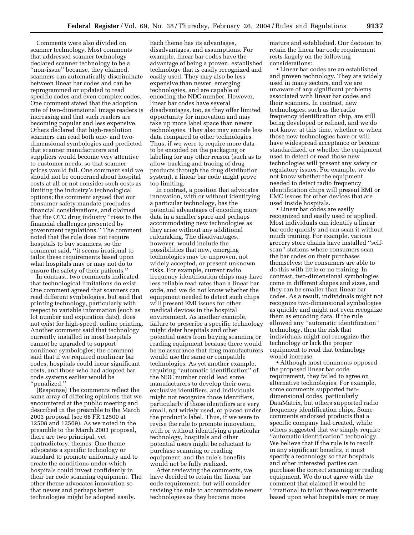Comments were also divided on scanner technology. Most comments that addressed scanner technology declared scanner technology to be a ''non-issue'' because, they claimed, scanners can automatically discriminate between linear bar codes and can be reprogrammed or updated to read specific codes and even complex codes. One comment stated that the adoption rate of two-dimensional image readers is increasing and that such readers are becoming popular and less expensive. Others declared that high-resolution scanners can read both one- and twodimensional symbologies and predicted that scanner manufacturers and suppliers would become very attentive to customer needs, so that scanner prices would fall. One comment said we should not be concerned about hospital costs at all or not consider such costs as limiting the industry's technological options; the comment argued that our consumer safety mandate precludes financial considerations, and claimed that the OTC drug industry ''rises to the financial challenges presented by government regulations.'' The comment noted that the rule does not require hospitals to buy scanners, so the comment said, ''it seems irrational to tailor these requirements based upon what hospitals may or may not do to ensure the safety of their patients.''

In contrast, two comments indicated that technological limitations do exist. One comment agreed that scanners can read different symbologies, but said that printing technology, particularly with respect to variable information (such as lot number and expiration date), does not exist for high-speed, online printing. Another comment said that technology currently installed in most hospitals cannot be upgraded to support nonlinear symbologies; the comment said that if we required nonlinear bar codes, hospitals could incur significant costs, and those who had adopted bar code systems earlier would be ''penalized.''

(Response) The comments reflect the same array of differing opinions that we encountered at the public meeting and described in the preamble to the March 2003 proposal (see 68 FR 12500 at 12508 and 12509). As we noted in the preamble to the March 2003 proposal, there are two principal, yet contradictory, themes. One theme advocates a specific technology or standard to promote uniformity and to create the conditions under which hospitals could invest confidently in their bar code scanning equipment. The other theme advocates innovation so that newer and perhaps better technologies might be adopted easily.

Each theme has its advantages, disadvantages, and assumptions. For example, linear bar codes have the advantage of being a proven, established technology that is easily recognized and easily used. They may also be less expensive than newer, emerging technologies, and are capable of encoding the NDC number. However, linear bar codes have several disadvantages, too, as they offer limited opportunity for innovation and may take up more label space than newer technologies. They also may encode less data compared to other technologies. Thus, if we were to require more data to be encoded on the packaging or labeling for any other reason (such as to allow tracking and tracing of drug products through the drug distribution system), a linear bar code might prove too limiting.

In contrast, a position that advocates innovation, with or without identifying a particular technology, has the potential advantages of encoding more data in a smaller space and perhaps accommodating new technologies as they arise without any additional rulemaking. The disadvantages, however, would include the possibilities that new, emerging technologies may be unproven, not widely accepted, or present unknown risks. For example, current radio frequency identification chips may have less reliable read rates than a linear bar code, and we do not know whether the equipment needed to detect such chips will present EMI issues for other medical devices in the hospital environment. As another example, failure to prescribe a specific technology might deter hospitals and other potential users from buying scanning or reading equipment because there would be no assurance that drug manufacturers would use the same or compatible technologies. As yet another example, requiring ''automatic identification'' of the NDC number could lead some manufacturers to develop their own, exclusive identifiers, and individuals might not recognize those identifiers, particularly if those identifiers are very small, not widely used, or placed under the product's label. Thus, if we were to revise the rule to promote innovation, with or without identifying a particular technology, hospitals and other potential users might be reluctant to purchase scanning or reading equipment, and the rule's benefits would not be fully realized.

After reviewing the comments, we have decided to retain the linear bar code requirement, but will consider revising the rule to accommodate newer technologies as they become more

mature and established. Our decision to retain the linear bar code requirement rests largely on the following considerations:

• Linear bar codes are an established and proven technology. They are widely used in many sectors, and we are unaware of any significant problems associated with linear bar codes and their scanners. In contrast, new technologies, such as the radio frequency identification chip, are still being developed or refined, and we do not know, at this time, whether or when those new technologies have or will have widespread acceptance or become standardized, or whether the equipment used to detect or read those new technologies will present any safety or regulatory issues. For example, we do not know whether the equipment needed to detect radio frequency identification chips will present EMI or EMC issues for other devices that are used inside hospitals.

• Linear bar codes are easily recognized and easily used or applied. Most individuals can identify a linear bar code quickly and can scan it without much training. For example, various grocery store chains have installed ''selfscan'' stations where consumers scan the bar codes on their purchases themselves; the consumers are able to do this with little or no training. In contrast, two-dimensional symbologies come in different shapes and sizes, and they can be smaller than linear bar codes. As a result, individuals might not recognize two-dimensional symbologies as quickly and might not even recognize them as encoding data. If the rule allowed any ''automatic identification'' technology, then the risk that individuals might not recognize the technology or lack the proper equipment to read that technology would increase.

• Although most comments opposed the proposed linear bar code requirement, they failed to agree on alternative technologies. For example, some comments supported twodimensional codes, particularly DataMatrix, but others supported radio frequency identification chips. Some comments endorsed products that a specific company had created, while others suggested that we simply require ''automatic identification'' technology. We believe that if the rule is to result in any significant benefits, it must specify a technology so that hospitals and other interested parties can purchase the correct scanning or reading equipment. We do not agree with the comment that claimed it would be ''irrational to tailor these requirements based upon what hospitals may or may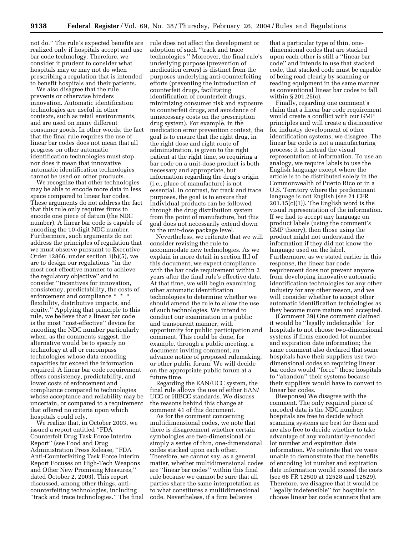not do.'' The rule's expected benefits are realized only if hospitals accept and use bar code technology. Therefore, we consider it prudent to consider what hospitals may or may not do when prescribing a regulation that is intended to benefit hospitals and their patients.

We also disagree that the rule prevents or otherwise hinders innovation. Automatic identification technologies are useful in other contexts, such as retail environments, and are used on many different consumer goods. In other words, the fact that the final rule requires the use of linear bar codes does not mean that all progress on other automatic identification technologies must stop, nor does it mean that innovative automatic identification technologies cannot be used on other products.

We recognize that other technologies may be able to encode more data in less space compared to linear bar codes. These arguments do not address the fact that this rule only requires firms to encode one piece of datum (the NDC number). A linear bar code is capable of encoding the 10-digit NDC number. Furthermore, such arguments do not address the principles of regulation that we must observe pursuant to Executive Order 12866; under section 1(b)(5), we are to design our regulations ''in the most cost-effective manner to achieve the regulatory objective'' and to consider ''incentives for innovation, consistency, predictability, the costs of enforcement and compliance \* \* \* flexibility, distributive impacts, and equity.'' Applying that principle to this rule, we believe that a linear bar code is the most ''cost-effective'' device for encoding the NDC number particularly when, as the comments suggest, the alternative would be to specify no technology at all or encompass technologies whose data encoding capacities far exceed the information required. A linear bar code requirement offers consistency, predictability, and lower costs of enforcement and compliance compared to technologies whose acceptance and reliability may be uncertain, or compared to a requirement that offered no criteria upon which hospitals could rely.

We realize that, in October 2003, we issued a report entitled ''FDA Counterfeit Drug Task Force Interim Report'' (see Food and Drug Administration Press Release, ''FDA Anti-Counterfeiting Task Force Interim Report Focuses on High-Tech Weapons and Other New Promising Measures,'' dated October 2, 2003). This report discussed, among other things, anticounterfeiting technologies, including ''track and trace technologies.'' The final rule does not affect the development or adoption of such ''track and trace technologies.'' Moreover, the final rule's underlying purpose (prevention of medication errors) is distinct from the purposes underlying anti-counterfeiting efforts (preventing the introduction of counterfeit drugs, facilitating identification of counterfeit drugs, minimizing consumer risk and exposure to counterfeit drugs, and avoidance of unnecessary costs on the prescription drug system). For example, in the medication error prevention context, the goal is to ensure that the right drug, in the right dose and right route of administration, is given to the right patient at the right time, so requiring a bar code on a unit-dose product is both necessary and appropriate, but information regarding the drug's origin (i.e., place of manufacture) is not essential. In contrast, for track and trace purposes, the goal is to ensure that individual products can be followed through the drug distribution system from the point of manufacture, but this goal does not necessarily extend down to the unit-dose package level.

Nevertheless, we reiterate that we will consider revising the rule to accommodate new technologies. As we explain in more detail in section II.I of this document, we expect compliance with the bar code requirement within 2 years after the final rule's effective date. At that time, we will begin examining other automatic identification technologies to determine whether we should amend the rule to allow the use of such technologies. We intend to conduct our examination in a public and transparent manner, with opportunity for public participation and comment. This could be done, for example, through a public meeting, a document inviting comment, an advance notice of proposed rulemaking, or other public forum. We will decide on the appropriate public forum at a future time.

Regarding the EAN/UCC system, the final rule allows the use of either EAN/ UCC or HIBCC standards. We discuss the reasons behind this change at comment 41 of this document.

As for the comment concerning multidimensional codes, we note that there is disagreement whether certain symbologies are two-dimensional or simply a series of thin, one-dimensional codes stacked upon each other. Therefore, we cannot say, as a general matter, whether multidimensional codes are ''linear bar codes'' within this final rule because we cannot be sure that all parties share the same interpretation as to what constitutes a multidimensional code. Nevertheless, if a firm believes

that a particular type of thin, onedimensional codes that are stacked upon each other is still a ''linear bar code'' and intends to use that stacked code, that stacked code must be capable of being read clearly by scanning or reading equipment in the same manner as conventional linear bar codes to fall within § 201.25(c).

Finally, regarding one comment's claim that a linear bar code requirement would create a conflict with our GMP principles and will create a disincentive for industry development of other identification systems, we disagree. The linear bar code is not a manufacturing process; it is instead the visual representation of information. To use an analogy, we require labels to use the English language except where the article is to be distributed solely in the Commonwealth of Puerto Rico or in a U.S. Territory where the predominant language is not English (see 21 CFR  $201.15(c)(1)$ . The English word is the visual representation of the information. If we had to accept any language on product labels (using the comment's GMP theory), then those using the product might not understand the information if they did not know the language used on the label. Furthermore, as we stated earlier in this response, the linear bar code requirement does not prevent anyone from developing innovative automatic identification technologies for any other industry for any other reason, and we will consider whether to accept other automatic identification technologies as they become more mature and accepted.

(Comment 39) One comment claimed it would be ''legally indefensible'' for hospitals to not choose two-dimensional systems if firms encoded lot number and expiration date information; the same comment also declared that some hospitals have their suppliers use twodimensional codes so requiring linear bar codes would ''force'' those hospitals to ''abandon'' their systems because their suppliers would have to convert to linear bar codes.

(Response) We disagree with the comment. The only required piece of encoded data is the NDC number; hospitals are free to decide which scanning systems are best for them and are also free to decide whether to take advantage of any voluntarily-encoded lot number and expiration date information. We reiterate that we were unable to demonstrate that the benefits of encoding lot number and expiration date information would exceed the costs (see 68 FR 12500 at 12528 and 12529). Therefore, we disagree that it would be ''legally indefensible'' for hospitals to choose linear bar code scanners that are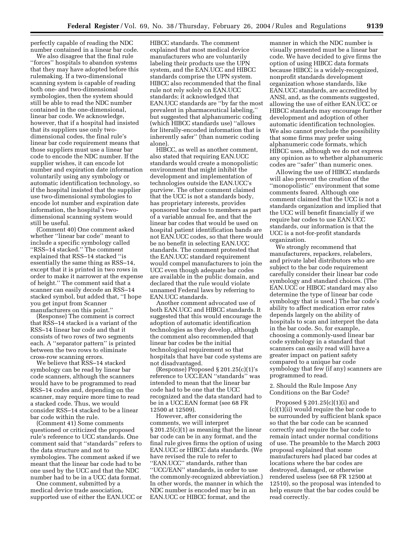perfectly capable of reading the NDC number contained in a linear bar code.

We also disagree that the final rule ''forces'' hospitals to abandon systems that they may have adopted before this rulemaking. If a two-dimensional scanning system is capable of reading both one- and two-dimensional symbologies, then the system should still be able to read the NDC number contained in the one-dimensional, linear bar code. We acknowledge, however, that if a hospital had insisted that its suppliers use only twodimensional codes, the final rule's linear bar code requirement means that those suppliers must use a linear bar code to encode the NDC number. If the supplier wishes, it can encode lot number and expiration date information voluntarily using any symbology or automatic identification technology, so if the hospital insisted that the supplier use two-dimensional symbologies to encode lot number and expiration date information, the hospital's twodimensional scanning system would still be useful.

(Comment 40) One comment asked whether ''linear bar code'' meant to include a specific symbology called ''RSS–14 stacked.'' The comment explained that RSS–14 stacked ''is essentially the same thing as RSS–14, except that it is printed in two rows in order to make it narrower at the expense of height.'' The comment said that a scanner can easily decode an RSS–14 stacked symbol, but added that, ''I hope you get input from Scanner manufacturers on this point.''

(Response) The comment is correct that RSS–14 stacked is a variant of the RSS–14 linear bar code and that it consists of two rows of two segments each. A ''separator pattern'' is printed between the two rows to eliminate cross-row scanning errors.

We believe that RSS-14 stacked symbology can be read by linear bar code scanners, although the scanners would have to be programmed to read RSS–14 codes and, depending on the scanner, may require more time to read a stacked code. Thus, we would consider RSS–14 stacked to be a linear bar code within the rule.

(Comment 41) Some comments questioned or criticized the proposed rule's reference to UCC standards. One comment said that ''standards'' refers to the data structure and not to symbologies. The comment asked if we meant that the linear bar code had to be one used by the UCC and that the NDC number had to be in a UCC data format.

One comment, submitted by a medical device trade association, supported use of either the EAN.UCC or

HIBCC standards. The comment explained that most medical device manufacturers who are voluntarily labeling their products use the UPN system, and the EAN.UCC and HIBCC standards comprise the UPN system. HIBCC also recommended that the final rule not rely solely on EAN.UCC standards; it acknowledged that EAN.UCC standards are ''by far the most prevalent in pharmaceutical labeling,'' but suggested that alphanumeric coding (which HIBCC standards use) ''allows for literally-encoded information that is inherently safer'' (than numeric coding alone).

HIBCC, as well as another comment, also stated that requiring EAN.UCC standards would create a monopolistic environment that might inhibit the development and implementation of technologies outside the EAN.UCC's purview. The other comment claimed that the UCC is not a standards body, has proprietary interests, provides sponsored bar codes to members as part of a variable annual fee, and that the linear bar codes that would be used on hospital patient identification bands are not EAN.UCC codes, so that there would be no benefit in selecting EAN.UCC standards. The comment protested that the EAN.UCC standard requirement would compel manufacturers to join the UCC even though adequate bar codes are available in the public domain, and declared that the rule would violate unnamed Federal laws by referring to EAN.UCC standards.

Another comment advocated use of both EAN.UCC and HIBCC standards. It suggested that this would encourage the adoption of automatic identification technologies as they develop, although the comment also recommended that linear bar codes be the initial technological requirement so that hospitals that have bar code systems are not disadvantaged.

(Response) Proposed  $\S 201.25(c)(1)$ 's reference to UCC.EAN ''standards'' was intended to mean that the linear bar code had to be one that the UCC recognized and the data standard had to be in a UCC.EAN format (see 68 FR 12500 at 12509).

However, after considering the comments, we will interpret § 201.25(c)(1) as meaning that the linear bar code can be in any format, and the final rule gives firms the option of using EAN.UCC or HIBCC data standards. (We have revised the rule to refer to ''EAN.UCC'' standards, rather than ''UCC/EAN'' standards, in order to use the commonly-recognized abbreviation.) In other words, the manner in which the NDC number is encoded may be in an EAN.UCC or HIBCC format, and the

manner in which the NDC number is visually presented must be a linear bar code. We have decided to give firms the option of using HIBCC data formats because HIBCC is a widely-recognized, nonprofit standards development organization whose standards, like EAN.UCC standards, are accredited by ANSI, and, as the comments suggested, allowing the use of either EAN.UCC or HIBCC standards may encourage further development and adoption of other automatic identification technologies. We also cannot preclude the possibility that some firms may prefer using alphanumeric code formats, which HIBCC uses, although we do not express any opinion as to whether alphanumeric codes are ''safer'' than numeric ones.

Allowing the use of HIBCC standards will also prevent the creation of the ''monopolistic'' environment that some comments feared. Although one comment claimed that the UCC is not a standards organization and implied that the UCC will benefit financially if we require bar codes to use EAN.UCC standards, our information is that the UCC is a not-for-profit standards organization.

We strongly recommend that manufacturers, repackers, relabelers, and private label distributors who are subject to the bar code requirement carefully consider their linear bar code symbology and standard choices. (The EAN.UCC or HIBCC standard may also determine the type of linear bar code symbology that is used.) The bar code's ability to affect medication error rates depends largely on the ability of hospitals to scan and interpret the data in the bar code. So, for example, choosing a commonly-used linear bar code symbology in a standard that scanners can easily read will have a greater impact on patient safety compared to a unique bar code symbology that few (if any) scanners are programmed to read.

2. Should the Rule Impose Any Conditions on the Bar Code?

Proposed § 201.25(c)(1)(i) and (c)(1)(ii) would require the bar code to be surrounded by sufficient blank space so that the bar code can be scanned correctly and require the bar code to remain intact under normal conditions of use. The preamble to the March 2003 proposal explained that some manufacturers had placed bar codes at locations where the bar codes are destroyed, damaged, or otherwise rendered useless (see 68 FR 12500 at 12510), so the proposal was intended to help ensure that the bar codes could be read correctly.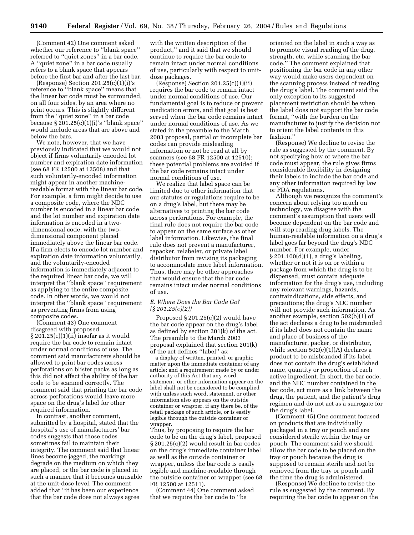(Comment 42) One comment asked whether our reference to ''blank space'' referred to ''quiet zones'' in a bar code. A ''quiet zone'' in a bar code usually refers to a blank space that appears before the first bar and after the last bar.

(Response) Section 201.25(c)(1)(i)'s reference to ''blank space'' means that the linear bar code must be surrounded, on all four sides, by an area where no print occurs. This is slightly different from the ''quiet zone'' in a bar code because  $\S 201.25(c)(1)(i)$ 's "blank space" would include areas that are above and below the bars.

We note, however, that we have previously indicated that we would not object if firms voluntarily encoded lot number and expiration date information (see 68 FR 12500 at 12508) and that such voluntarily-encoded information might appear in another machinereadable format with the linear bar code. For example, a firm might decide to use a composite code, where the NDC number is encoded in a linear bar code and the lot number and expiration date information is encoded in a twodimensional code, with the twodimensional component placed immediately above the linear bar code. If a firm elects to encode lot number and expiration date information voluntarily, and the voluntarily-encoded information is immediately adjacent to the required linear bar code, we will interpret the ''blank space'' requirement as applying to the entire composite code. In other words, we would not interpret the ''blank space'' requirement as preventing firms from using composite codes.

(Comment 43) One comment disagreed with proposed  $\S 201.25(c)(1)(ii)$  insofar as it would require the bar code to remain intact under normal conditions of use. The comment said manufacturers should be allowed to print bar codes across perforations on blister packs as long as this did not affect the ability of the bar code to be scanned correctly. The comment said that printing the bar code across perforations would leave more space on the drug's label for other required information.

In contrast, another comment, submitted by a hospital, stated that the hospital's use of manufacturers' bar codes suggests that those codes sometimes fail to maintain their integrity. The comment said that linear lines become jagged, the markings degrade on the medium on which they are placed, or the bar code is placed in such a manner that it becomes unusable at the unit-dose level. The comment added that ''it has been our experience that the bar code does not always agree

with the written description of the product,'' and it said that we should continue to require the bar code to remain intact under normal conditions of use, particularly with respect to unitdose packages.

(Response) Section 201.25(c)(1)(ii) requires the bar code to remain intact under normal conditions of use. Our fundamental goal is to reduce or prevent medication errors, and that goal is best served when the bar code remains intact under normal conditions of use. As we stated in the preamble to the March 2003 proposal, partial or incomplete bar codes can provide misleading information or not be read at all by scanners (see 68 FR 12500 at 12510); these potential problems are avoided if the bar code remains intact under normal conditions of use.

We realize that label space can be limited due to other information that our statutes or regulations require to be on a drug's label, but there may be alternatives to printing the bar code across perforations. For example, the final rule does not require the bar code to appear on the same surface as other label information. Likewise, the final rule does not prevent a manufacturer, repacker, relabeler, or private label distributor from revising its packaging to accommodate more label information. Thus, there may be other approaches that would ensure that the bar code remains intact under normal conditions of use.

# *E. Where Does the Bar Code Go? (§ 201.25(c)(2))*

Proposed § 201.25(c)(2) would have the bar code appear on the drug's label as defined by section 201(k) of the act. The preamble to the March 2003 proposal explained that section 201(k) of the act defines ''label'' as:

a display of written, printed, or graphic matter upon the immediate container of any article; and a requirement made by or under authority of this Act that any word, statement, or other information appear on the label shall not be considered to be complied with unless such word, statement, or other information also appears on the outside container or wrapper, if any there be, of the retail package of such article, or is easily legible through the outside container or wrapper.

Thus, by proposing to require the bar code to be on the drug's label, proposed § 201.25(c)(2) would result in bar codes on the drug's immediate container label as well as the outside container or wrapper, unless the bar code is easily legible and machine-readable through the outside container or wrapper (see 68 FR 12500 at 12511).

(Comment 44) One comment asked that we require the bar code to ''be

oriented on the label in such a way as to promote visual reading of the drug, strength, etc. while scanning the bar code.'' The comment explained that positioning the bar code in any other way would make users dependent on the scanning process instead of reading the drug's label. The comment said the only exception to its suggested placement restriction should be when the label does not support the bar code format, ''with the burden on the manufacturer to justify the decision not to orient the label contents in this fashion.''

(Response) We decline to revise the rule as suggested by the comment. By not specifying how or where the bar code must appear, the rule gives firms considerable flexibility in designing their labels to include the bar code and any other information required by law or FDA regulations.

Although we recognize the comment's concern about relying too much on technology, we disagree with the comment's assumption that users will become dependent on the bar code and will stop reading drug labels. The human-readable information on a drug's label goes far beyond the drug's NDC number. For example, under § 201.100(d)(1), a drug's labeling, whether or not it is on or within a package from which the drug is to be dispensed, must contain adequate information for the drug's use, including any relevant warnings, hazards, contraindications, side effects, and precautions; the drug's NDC number will not provide such information. As another example, section 502(b)(1) of the act declares a drug to be misbranded if its label does not contain the name and place of business of the manufacturer, packer, or distributor, while section 502(e)(1)(A) declares a product to be misbranded if its label does not contain the drug's established name, quantity or proportion of each active ingredient. In short, the bar code, and the NDC number contained in the bar code, act more as a link between the drug, the patient, and the patient's drug regimen and do not act as a surrogate for the drug's label.

(Comment 45) One comment focused on products that are individually packaged in a tray or pouch and are considered sterile within the tray or pouch. The comment said we should allow the bar code to be placed on the tray or pouch because the drug is supposed to remain sterile and not be removed from the tray or pouch until the time the drug is administered.

(Response) We decline to revise the rule as suggested by the comment. By requiring the bar code to appear on the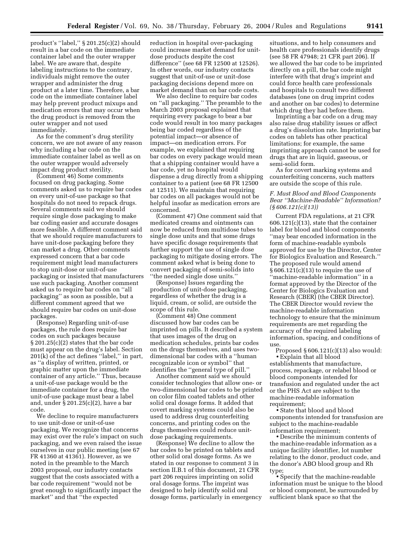product's ''label,'' § 201.25(c)(2) should result in a bar code on the immediate container label and the outer wrapper label. We are aware that, despite labeling instructions to the contrary, individuals might remove the outer wrapper and administer the drug product at a later time. Therefore, a bar code on the immediate container label may help prevent product mixups and medication errors that may occur when the drug product is removed from the outer wrapper and not used immediately.

As for the comment's drug sterility concern, we are not aware of any reason why including a bar code on the immediate container label as well as on the outer wrapper would adversely impact drug product sterility.

(Comment 46) Some comments focused on drug packaging. Some comments asked us to require bar codes on every unit-of-use package so that hospitals do not need to repack drugs. Several comments said we should require single dose packaging to make bar coding easier and accurate dosages more feasible. A different comment said that we should require manufacturers to have unit-dose packaging before they can market a drug. Other comments expressed concern that a bar code requirement might lead manufacturers to stop unit-dose or unit-of-use packaging or insisted that manufacturers use such packaging. Another comment asked us to require bar codes on ''all packaging'' as soon as possible, but a different comment agreed that we should require bar codes on unit-dose packages.

(Response) Regarding unit-of-use packages, the rule does require bar codes on such packages because § 201.25(c)(2) states that the bar code must appear on the drug's label. Section 201(k) of the act defines ''label,'' in part, as ''a display of written, printed, or graphic matter upon the immediate container of any article.'' Thus, because a unit-of-use package would be the immediate container for a drug, the unit-of-use package must bear a label and, under § 201.25(c)(2), have a bar code.

We decline to require manufacturers to use unit-dose or unit-of-use packaging. We recognize that concerns may exist over the rule's impact on such packaging, and we even raised the issue ourselves in our public meeting (see 67 FR 41360 at 41361). However, as we noted in the preamble to the March 2003 proposal, our industry contacts suggest that the costs associated with a bar code requirement ''would not be great enough to significantly impact the market'' and that ''the expected

reduction in hospital over-packaging could increase market demand for unitdose products despite the cost difference'' (see 68 FR 12500 at 12526). In other words, our industry contacts suggest that unit-of-use or unit-dose packaging decisions depend more on market demand than on bar code costs.

We also decline to require bar codes on ''all packaging.'' The preamble to the March 2003 proposal explained that requiring every package to bear a bar code would result in too many packages being bar coded regardless of the potential impact—or absence of impact—on medication errors. For example, we explained that requiring bar codes on every package would mean that a shipping container would have a bar code, yet no hospital would dispense a drug directly from a shipping container to a patient (see 68 FR 12500 at 12511). We maintain that requiring bar codes on all packages would not be helpful insofar as medication errors are concerned.

(Comment 47) One comment said that medicated creams and ointments can now be reduced from multidose tubes to single dose units and that some drugs have specific dosage requirements that further support the use of single dose packaging to mitigate dosing errors. The comment asked what is being done to convert packaging of semi-solids into ''the needed single dose units.''

(Response) Issues regarding the production of unit-dose packaging, regardless of whether the drug is a liquid, cream, or solid, are outside the scope of this rule.

(Comment 48) One comment discussed how bar codes can be imprinted on pills. It described a system that uses images of the drug on medication schedules, prints bar codes on the drugs themselves, and uses twodimensional bar codes with a ''human recognizable icon or symbol'' that identifies the ''general type of pill.''

Another comment said we should consider technologies that allow one- or two-dimensional bar codes to be printed on color film coated tablets and other solid oral dosage forms. It added that covert marking systems could also be used to address drug counterfeiting concerns, and printing codes on the drugs themselves could reduce unitdose packaging requirements.

(Response) We decline to allow the bar codes to be printed on tablets and other solid oral dosage forms. As we stated in our response to comment 3 in section II.B.1 of this document, 21 CFR part 206 requires imprinting on solid oral dosage forms. The imprint was designed to help identify solid oral dosage forms, particularly in emergency

situations, and to help consumers and health care professionals identify drugs (see 58 FR 47948; 21 CFR part 206). If we allowed the bar code to be imprinted directly on a pill, the bar code might interfere with that drug's imprint and could force health care professionals and hospitals to consult two different databases (one on drug imprint codes and another on bar codes) to determine which drug they had before them.

Imprinting a bar code on a drug may also raise drug stability issues or affect a drug's dissolution rate. Imprinting bar codes on tablets has other practical limitations; for example, the same imprinting approach cannot be used for drugs that are in liquid, gaseous, or semi-solid form.

As for covert marking systems and counterfeiting concerns, such matters are outside the scope of this rule.

# *F. Must Blood and Blood Components Bear ''Machine-Readable'' Information? (§ 606.121(c)(13))*

Current FDA regulations, at 21 CFR 606.121(c)(13), state that the container label for blood and blood components ''may bear encoded information in the form of machine-readable symbols approved for use by the Director, Center for Biologics Evaluation and Research.'' The proposed rule would amend § 606.121(c)(13) to require the use of ''machine-readable information'' in a format approved by the Director of the Center for Biologics Evaluation and Research (CBER) (the CBER Director). The CBER Director would review the machine-readable information technology to ensure that the minimum requirements are met regarding the accuracy of the required labeling information, spacing, and conditions of use.

Proposed  $\S 606.121(c)(13)$  also would:

• Explain that all blood establishments that manufacture, process, repackage, or relabel blood or blood components intended for transfusion and regulated under the act or the PHS Act are subject to the machine-readable information requirement;

• State that blood and blood components intended for transfusion are subject to the machine-readable information requirement;

• Describe the minimum contents of the machine-readable information as a unique facility identifier, lot number relating to the donor, product code, and the donor's ABO blood group and Rh type;

• Specify that the machine-readable information must be unique to the blood or blood component, be surrounded by sufficient blank space so that the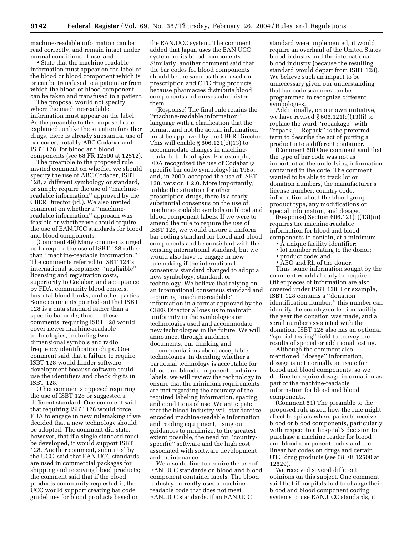machine-readable information can be read correctly, and remain intact under normal conditions of use; and

• State that the machine-readable information must appear on the label of the blood or blood component which is or can be transfused to a patient or from which the blood or blood component can be taken and transfused to a patient.

The proposal would not specify where the machine-readable information must appear on the label. As the preamble to the proposed rule explained, unlike the situation for other drugs, there is already substantial use of bar codes, notably ABC Codabar and ISBT 128, for blood and blood components (see 68 FR 12500 at 12512).

The preamble to the proposed rule invited comment on whether we should specify the use of ABC Codabar, ISBT 128, a different symbology or standard, or simply require the use of ''machinereadable information'' approved by the CBER Director (id.). We also invited comment on whether a ''machinereadable information'' approach was feasible or whether we should require the use of EAN.UCC standards for blood and blood components.

(Comment 49) Many comments urged us to require the use of ISBT 128 rather than ''machine-readable information.'' The comments referred to ISBT 128's international acceptance, ''negligible'' licensing and registration costs, superiority to Codabar, and acceptance by FDA, community blood centers, hospital blood banks, and other parties. Some comments pointed out that ISBT 128 is a data standard rather than a specific bar code; thus, to these comments, requiring ISBT 128 would cover newer machine-readable technologies, including twodimensional symbols and radio frequency identification chips. One comment said that a failure to require ISBT 128 would hinder software development because software could use the identifiers and check digits in ISBT 128.

Other comments opposed requiring the use of ISBT 128 or suggested a different standard. One comment said that requiring ISBT 128 would force FDA to engage in new rulemaking if we decided that a new technology should be adopted. The comment did state, however, that if a single standard must be developed, it would support ISBT 128. Another comment, submitted by the UCC, said that EAN.UCC standards are used in commercial packages for shipping and receiving blood products; the comment said that if the blood products community requested it, the UCC would support creating bar code guidelines for blood products based on

the EAN.UCC system. The comment added that Japan uses the EAN.UCC system for its blood components. Similarly, another comment said that the bar codes for blood components should be the same as those used on prescription and OTC drug products because pharmacies distribute blood components and nurses administer them.

(Response) The final rule retains the ''machine-readable information'' language with a clarification that the format, and not the actual information, must be approved by the CBER Director. This will enable  $\S 606.121(c)(13)$  to accommodate changes in machinereadable technologies. For example, FDA recognized the use of Codabar (a specific bar code symbology) in 1985, and, in 2000, accepted the use of ISBT 128, version 1.2.0. More importantly, unlike the situation for other prescription drugs, there is already substantial consensus on the use of machine-readable symbols on blood and blood component labels. If we were to amend the rule to require the use of ISBT 128, we would ensure a uniform bar coding standard for blood and blood components and be consistent with the existing international standard, but we would also have to engage in new rulemaking if the international consensus standard changed to adopt a new symbology, standard, or technology. We believe that relying on an international consensus standard and requiring ''machine-readable'' information in a format approved by the CBER Director allows us to maintain uniformity in the symbologies or technologies used and accommodate new technologies in the future. We will announce, through guidance documents, our thinking and recommendations about acceptable technologies. In deciding whether a particular technology is acceptable for blood and blood component container labels, we will review the technology to ensure that the minimum requirements are met regarding the accuracy of the required labeling information, spacing, and conditions of use. We anticipate that the blood industry will standardize encoded machine-readable information and reading equipment, using our guidances to minimize, to the greatest extent possible, the need for ''countryspecific'' software and the high cost associated with software development and maintenance.

We also decline to require the use of EAN.UCC standards on blood and blood component container labels. The blood industry currently uses a machinereadable code that does not meet EAN.UCC standards. If an EAN.UCC

standard were implemented, it would require an overhaul of the United States blood industry and the international blood industry (because the resulting standard would depart from ISBT 128). We believe such an impact to be unnecessary given our understanding that bar code scanners can be programmed to recognize different symbologies.

Additionally, on our own initiative, we have revised § 606.121(c)(13)(i) to replace the word ''repackage'' with ''repack.'' ''Repack'' is the preferred term to describe the act of putting a product into a different container.

(Comment 50) One comment said that the type of bar code was not as important as the underlying information contained in the code. The comment wanted to be able to track lot or donation numbers, the manufacturer's license number, country code, information about the blood group, product type, any modifications or special information, and dosage.

(Response) Section 606.121(c)(13)(iii) requires the machine-readable information for blood and blood components to contain, at a minimum,

- A unique facility identifier;
- lot number relating to the donor;

• product code; and

• ABO and Rh of the donor.

Thus, some information sought by the comment would already be required. Other pieces of information are also covered under ISBT 128. For example, ISBT 128 contains a ''donation identification number;'' this number can identify the country/collection facility, the year the donation was made, and a serial number associated with the donation. ISBT 128 also has an optional ''special testing'' field to convey the results of special or additional testing.

Although the comment also mentioned ''dosage'' information, dosage is not normally an issue for blood and blood components, so we decline to require dosage information as part of the machine-readable information for blood and blood components.

(Comment 51) The preamble to the proposed rule asked how the rule might affect hospitals where patients receive blood or blood components, particularly with respect to a hospital's decision to purchase a machine reader for blood and blood component codes and the linear bar codes on drugs and certain OTC drug products (see 68 FR 12500 at 12529).

We received several different opinions on this subject. One comment said that if hospitals had to change their blood and blood component coding systems to use EAN.UCC standards, it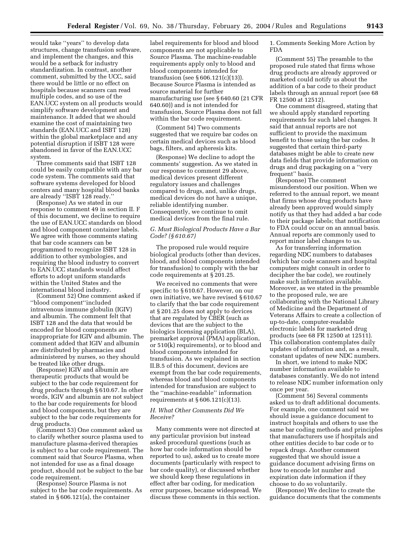would take ''years'' to develop data structures, change transfusion software, and implement the changes, and this would be a setback for industry standardization. In contrast, another comment, submitted by the UCC, said there would be little or no effect on hospitals because scanners can read multiple codes, and so use of the EAN.UCC system on all products would simplify software development and maintenance. It added that we should examine the cost of maintaining two standards (EAN.UCC and ISBT 128) within the global marketplace and any potential disruption if ISBT 128 were abandoned in favor of the EAN.UCC system.

Three comments said that ISBT 128 could be easily compatible with any bar code system. The comments said that software systems developed for blood centers and many hospital blood banks are already ''ISBT 128 ready.''

(Response) As we stated in our response to comment 49 in section II. F of this document, we decline to require the use of EAN.UCC standards on blood and blood component container labels. We agree with those comments stating that bar code scanners can be programmed to recognize ISBT 128 in addition to other symbologies, and requiring the blood industry to convert to EAN.UCC standards would affect efforts to adopt uniform standards within the United States and the international blood industry.

(Comment 52) One comment asked if ''blood component''included intravenous immune globulin (IGIV) and albumin. The comment felt that ISBT 128 and the data that would be encoded for blood components are inappropriate for IGIV and albumin. The comment added that IGIV and albumin are distributed by pharmacies and administered by nurses, so they should be treated like other drugs.

(Response) IGIV and albumin are therapeutic products that would be subject to the bar code requirement for drug products through § 610.67. In other words, IGIV and albumin are not subject to the bar code requirements for blood and blood components, but they are subject to the bar code requirements for drug products.

(Comment 53) One comment asked us to clarify whether source plasma used to manufacture plasma-derived therapies is subject to a bar code requirement. The comment said that Source Plasma, when not intended for use as a final dosage product, should not be subject to the bar code requirement.

(Response) Source Plasma is not subject to the bar code requirements. As stated in § 606.121(a), the container

label requirements for blood and blood components are not applicable to Source Plasma. The machine-readable requirements apply only to blood and blood components intended for transfusion (see § 606.121(c)(13)). Because Source Plasma is intended as source material for further manufacturing use (see § 640.60 (21 CFR 640.60)) and is not intended for transfusion, Source Plasma does not fall within the bar code requirement.

(Comment 54) Two comments suggested that we require bar codes on certain medical devices such as blood bags, filters, and apheresis kits.

(Response) We decline to adopt the comments' suggestion. As we stated in our response to comment 29 above, medical devices present different regulatory issues and challenges compared to drugs, and, unlike drugs, medical devices do not have a unique, reliable identifying number. Consequently, we continue to omit medical devices from the final rule.

# *G. Must Biological Products Have a Bar Code? (§ 610.67)*

The proposed rule would require biological products (other than devices, blood, and blood components intended for transfusion) to comply with the bar code requirements at § 201.25.

We received no comments that were specific to § 610.67. However, on our own initiative, we have revised § 610.67 to clarify that the bar code requirement at § 201.25 does not apply to devices that are regulated by CBER (such as devices that are the subject to the biologics licensing application (BLA), premarket approval (PMA) application, or 510(k) requirements), or to blood and blood components intended for transfusion. As we explained in section II.B.5 of this document, devices are exempt from the bar code requirements, whereas blood and blood components intended for transfusion are subject to the ''machine-readable'' information requirements at  $§ 606.121(c)(13)$ .

# *H. What Other Comments Did We Receive?*

Many comments were not directed at any particular provision but instead asked procedural questions (such as how bar code information should be reported to us), asked us to create more documents (particularly with respect to bar code quality), or discussed whether we should keep these regulations in effect after bar coding, for medication error purposes, became widespread. We discuss these comments in this section.

1. Comments Seeking More Action by FDA

(Comment 55) The preamble to the proposed rule stated that firms whose drug products are already approved or marketed could notify us about the addition of a bar code to their product labels through an annual report (see 68 FR 12500 at 12512).

One comment disagreed, stating that we should apply standard reporting requirements for such label changes. It said that annual reports are not sufficient to provide the maximum benefit to those using the bar codes. It suggested that certain third-party databases might be able to create new data fields that provide information on drugs and drug packaging on a ''very frequent'' basis.

(Response) The comment misunderstood our position. When we referred to the annual report, we meant that firms whose drug products have already been approved would simply notify us that they had added a bar code to their package labels; that notification to FDA could occur on an annual basis. Annual reports are commonly used to report minor label changes to us.

As for transferring information regarding NDC numbers to databases (which bar code scanners and hospital computers might consult in order to decipher the bar code), we routinely make such information available. Moreover, as we stated in the preamble to the proposed rule, we are collaborating with the National Library of Medicine and the Department of Veterans Affairs to create a collection of up-to-date, computer-readable electronic labels for marketed drug products (see 68 FR 12500 at 12511). This collaboration contemplates daily updates of information and, as a result, constant updates of new NDC numbers.

In short, we intend to make NDC number information available to databases constantly. We do not intend to release NDC number information only once per year.

(Comment 56) Several comments asked us to draft additional documents. For example, one comment said we should issue a guidance document to instruct hospitals and others to use the same bar coding methods and principles that manufacturers use if hospitals and other entities decide to bar code or to repack drugs. Another comment suggested that we should issue a guidance document advising firms on how to encode lot number and expiration date information if they choose to do so voluntarily.

(Response) We decline to create the guidance documents that the comments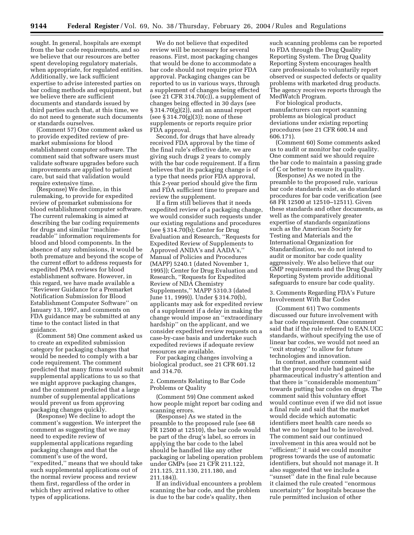sought. In general, hospitals are exempt from the bar code requirements, and so we believe that our resources are better spent developing regulatory materials, when appropriate, for regulated entities. Additionally, we lack sufficient expertise to advise interested parties on bar coding methods and equipment, but we believe there are sufficient documents and standards issued by third parties such that, at this time, we do not need to generate such documents or standards ourselves.

(Comment 57) One comment asked us to provide expedited review of premarket submissions for blood establishment computer software. The comment said that software users must validate software upgrades before such improvements are applied to patient care, but said that validation would require extensive time.

(Response) We decline, in this rulemaking, to provide for expedited review of premarket submissions for blood establishment computer software. The current rulemaking is aimed at describing the bar coding requirements for drugs and similar ''machinereadable'' information requirements for blood and blood components. In the absence of any submissions, it would be both premature and beyond the scope of the current effort to address requests for expedited PMA reviews for blood establishment software. However, in this regard, we have made available a ''Reviewer Guidance for a Premarket Notification Submission for Blood Establishment Computer Software'' on January 13, 1997, and comments on FDA guidance may be submitted at any time to the contact listed in that guidance.

(Comment 58) One comment asked us to create an expedited submission category for packaging changes that would be needed to comply with a bar code requirement. The comment predicted that many firms would submit supplemental applications to us so that we might approve packaging changes, and the comment predicted that a large number of supplemental applications would prevent us from approving packaging changes quickly.

(Response) We decline to adopt the comment's suggestion. We interpret the comment as suggesting that we may need to expedite review of supplemental applications regarding packaging changes and that the comment's use of the word, ''expedited,'' means that we should take such supplemental applications out of the normal review process and review them first, regardless of the order in which they arrived relative to other types of applications.

We do not believe that expedited review will be necessary for several reasons. First, most packaging changes that would be done to accommodate a bar code should not require prior FDA approval. Packaging changes can be reported to us in various ways, through a supplement of changes being effected (see 21 CFR 314.70(c)), a supplement of changes being effected in 30 days (see  $\S 314.70(g)(2)$ , and an annual report (see § 314.70(g)(3)); none of these supplements or reports require prior FDA approval.

Second, for drugs that have already received FDA approval by the time of the final rule's effective date, we are giving such drugs 2 years to comply with the bar code requirement. If a firm believes that its packaging change is of a type that needs prior FDA approval, this 2-year period should give the firm and FDA sufficient time to prepare and review the supplement.

If a firm still believes that it needs expedited review of a packaging change, we would consider such requests under our existing regulations and procedures (see § 314.70(b); Center for Drug Evaluation and Research, ''Requests for Expedited Review of Supplements to Approved ANDA's and AADA's,'' Manual of Policies and Procedures (MAPP) 5240.1 (dated November 1, 1995)); Center for Drug Evaluation and Research, ''Requests for Expedited Review of NDA Chemistry Supplements,'' MAPP 5310.3 (dated June 11, 1999)). Under § 314.70(b), applicants may ask for expedited review of a supplement if a delay in making the change would impose an ''extraordinary hardship'' on the applicant, and we consider expedited review requests on a case-by-case basis and undertake such expedited reviews if adequate review resources are available.

For packaging changes involving a biological product, see 21 CFR 601.12 and 314.70.

2. Comments Relating to Bar Code Problems or Quality

(Comment 59) One comment asked how people might report bar coding and scanning errors.

(Response) As we stated in the preamble to the proposed rule (see 68 FR 12500 at 12510), the bar code would be part of the drug's label, so errors in applying the bar code to the label should be handled like any other packaging or labeling operation problem under GMPs (see 21 CFR 211.122, 211.125, 211.130, 211.180, and 211.184)).

If an individual encounters a problem scanning the bar code, and the problem is due to the bar code's quality, then

such scanning problems can be reported to FDA through the Drug Quality Reporting System. The Drug Quality Reporting System encourages health care professionals to voluntarily report observed or suspected defects or quality problems with marketed drug products. The agency receives reports through the MedWatch Program.

For biological products, manufacturers can report scanning problems as biological product deviations under existing reporting procedures (see 21 CFR 600.14 and 606.171).

(Comment 60) Some comments asked us to audit or monitor bar code quality. One comment said we should require the bar code to maintain a passing grade of C or better to ensure its quality.

(Response) As we noted in the preamble to the proposed rule, various bar code standards exist, as do standard procedures for bar code verification (see 68 FR 12500 at 12510–12511). Given these standards and other documents, as well as the comparatively greater expertise of standards organizations such as the American Society for Testing and Materials and the International Organization for Standardization, we do not intend to audit or monitor bar code quality aggressively. We also believe that our GMP requirements and the Drug Quality Reporting System provide additional safeguards to ensure bar code quality.

3. Comments Regarding FDA's Future Involvement With Bar Codes

(Comment 61) Two comments discussed our future involvement with a bar code requirement. One comment said that if the rule referred to EAN.UCC standards, without specifying the use of linear bar codes, we would not need an ''exit strategy'' to allow for future technologies and innovation.

In contrast, another comment said that the proposed rule had gained the pharmaceutical industry's attention and that there is ''considerable momentum'' towards putting bar codes on drugs. The comment said this voluntary effort would continue even if we did not issue a final rule and said that the market would decide which automatic identifiers meet health care needs so that we no longer had to be involved. The comment said our continued involvement in this area would not be ''efficient;'' it said we could monitor progress towards the use of automatic identifiers, but should not manage it. It also suggested that we include a ''sunset'' date in the final rule because it claimed the rule created ''enormous uncertainty'' for hospitals because the rule permitted inclusion of other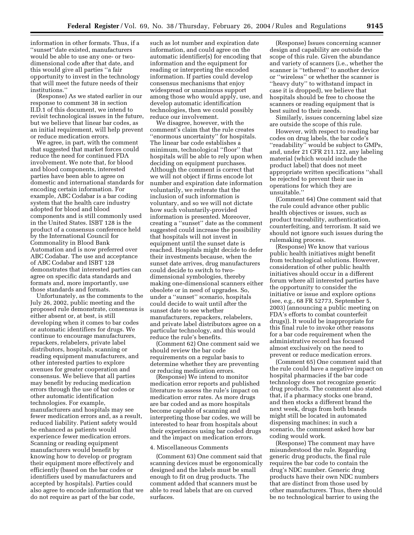information in other formats. Thus, if a ''sunset''date existed, manufacturers would be able to use any one- or twodimensional code after that date, and this would give all parties ''a fair opportunity to invest in the technology that will meet the future needs of their institutions.''

(Response) As we stated earlier in our response to comment 38 in section II.D.1 of this document, we intend to revisit technological issues in the future, but we believe that linear bar codes, as an initial requirement, will help prevent or reduce medication errors.

We agree, in part, with the comment that suggested that market forces could reduce the need for continued FDA involvement. We note that, for blood and blood components, interested parties have been able to agree on domestic and international standards for encoding certain information. For example, ABC Codabar is a bar coding system that the health care industry adopted for blood and blood components and is still commonly used in the United States. ISBT 128 is the product of a consensus conference held by the International Council for Commonality in Blood Bank Automation and is now preferred over ABC Codabar. The use and acceptance of ABC Codabar and ISBT 128 demonstrates that interested parties can agree on specific data standards and formats and, more importantly, use those standards and formats.

Unfortunately, as the comments to the July 26, 2002, public meeting and the proposed rule demonstrate, consensus is either absent or, at best, is still developing when it comes to bar codes or automatic identifiers for drugs. We continue to encourage manufacturers, repackers, relabelers, private label distributors, hospitals, scanning or reading equipment manufacturers, and other interested parties to explore avenues for greater cooperation and consensus. We believe that all parties may benefit by reducing medication errors through the use of bar codes or other automatic identification technologies. For example, manufacturers and hospitals may see fewer medication errors and, as a result, reduced liability. Patient safety would be enhanced as patients would experience fewer medication errors. Scanning or reading equipment manufacturers would benefit by knowing how to develop or program their equipment more effectively and efficiently (based on the bar codes or identifiers used by manufacturers and accepted by hospitals). Parties could also agree to encode information that we do not require as part of the bar code,

such as lot number and expiration date information, and could agree on the automatic identifier(s) for encoding that information and the equipment for reading or interpreting the encoded information. If parties could develop consensus mechanisms that enjoy widespread or unanimous support among those who would apply, use, and develop automatic identification technologies, then we could possibly reduce our involvement.

We disagree, however, with the comment's claim that the rule creates ''enormous uncertainty'' for hospitals. The linear bar code establishes a minimum, technological ''floor'' that hospitals will be able to rely upon when deciding on equipment purchases. Although the comment is correct that we will not object if firms encode lot number and expiration date information voluntarily, we reiterate that the inclusion of such information is voluntary, and so we will not dictate how such voluntarily-provided information is presented. Moreover, creating a ''sunset'' date as the comment suggested could increase the possibility that hospitals will not invest in equipment until the sunset date is reached. Hospitals might decide to defer their investments because, when the sunset date arrives, drug manufacturers could decide to switch to twodimensional symbologies, thereby making one-dimensional scanners either obsolete or in need of upgrades. So, under a ''sunset'' scenario, hospitals could decide to wait until after the sunset date to see whether manufacturers, repackers, relabelers, and private label distributors agree on a particular technology, and this would reduce the rule's benefits.

(Comment 62) One comment said we should review the bar code requirements on a regular basis to determine whether they are preventing or reducing medication errors.

(Response) We intend to monitor medication error reports and published literature to assess the rule's impact on medication error rates. As more drugs are bar coded and as more hospitals become capable of scanning and interpreting those bar codes, we will be interested to hear from hospitals about their experiences using bar coded drugs and the impact on medication errors.

# 4. Miscellaneous Comments

(Comment 63) One comment said that scanning devices must be ergonomically designed and the labels must be small enough to fit on drug products. The comment added that scanners must be able to read labels that are on curved surfaces.

(Response) Issues concerning scanner design and capability are outside the scope of this rule. Given the abundance and variety of scanners (i.e., whether the scanner is ''tethered'' to another device or ''wireless'' or whether the scanner is ''heavy duty'' to withstand impact in case it is dropped), we believe that hospitals should be free to choose the scanners or reading equipment that is best suited to their needs.

Similarly, issues concerning label size are outside the scope of this rule.

However, with respect to reading bar codes on drug labels, the bar code's ''readability'' would be subject to GMPs, and, under 21 CFR 211.122, any labeling material (which would include the product label) that does not meet appropriate written specifications ''shall be rejected to prevent their use in operations for which they are unsuitable.''

(Comment 64) One comment said that the rule could advance other public health objectives or issues, such as product traceability, authentication, counterfeiting, and terrorism. It said we should not ignore such issues during the rulemaking process.

(Response) We know that various public health initiatives might benefit from technological solutions. However, consideration of other public health initiatives should occur in a different forum where all interested parties have the opportunity to consider the initiative or issue and explore options (see, e.g., 68 FR 52773, September 5, 2003) (announcing a public meeting on FDA's efforts to combat counterfeit drugs)). It would be inappropriate for this final rule to invoke other reasons for a bar code requirement when the administrative record has focused almost exclusively on the need to prevent or reduce medication errors.

(Comment 65) One comment said that the rule could have a negative impact on hospital pharmacies if the bar code technology does not recognize generic drug products. The comment also stated that, if a pharmacy stocks one brand, and then stocks a different brand the next week, drugs from both brands might still be located in automated dispensing machines; in such a scenario, the comment asked how bar coding would work.

(Response) The comment may have misunderstood the rule. Regarding generic drug products, the final rule requires the bar code to contain the drug's NDC number. Generic drug products have their own NDC numbers that are distinct from those used by other manufacturers. Thus, there should be no technological barrier to using the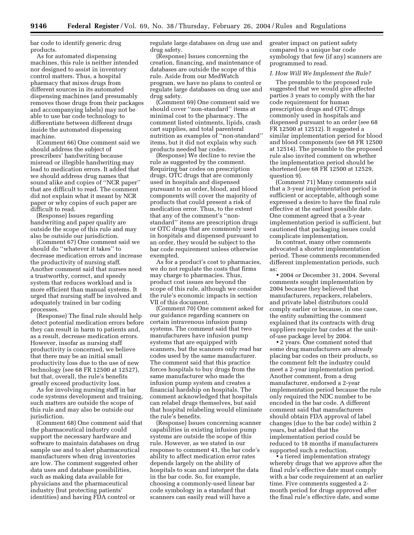bar code to identify generic drug products.

As for automated dispensing machines, this rule is neither intended nor designed to assist in inventory control matters. Thus, a hospital pharmacy that mixes drugs from different sources in its automated dispensing machines (and presumably removes those drugs from their packages and accompanying labels) may not be able to use bar code technology to differentiate between different drugs inside the automated dispensing machine.

(Comment 66) One comment said we should address the subject of prescribers' handwriting because misread or illegible handwriting may lead to medication errors. It added that we should address drug names that sound alike and copies of ''NCR paper'' that are difficult to read. The comment did not explain what it meant by NCR paper or why copies of such paper are difficult to read.

(Response) Issues regarding handwriting and paper quality are outside the scope of this rule and may also be outside our jurisdiction.

(Comment 67) One comment said we should do ''whatever it takes'' to decrease medication errors and increase the productivity of nursing staff. Another comment said that nurses need a trustworthy, correct, and speedy system that reduces workload and is more efficient than manual systems. It urged that nursing staff be involved and adequately trained in bar coding processes.

(Response) The final rule should help detect potential medication errors before they can result in harm to patients and, as a result, decrease medication errors. However, insofar as nursing staff productivity is concerned, we believe that there may be an initial small productivity loss due to the use of new technology (see 68 FR 12500 at 12527), but that, overall, the rule's benefits greatly exceed productivity loss.

As for involving nursing staff in bar code systems development and training, such matters are outside the scope of this rule and may also be outside our jurisdiction.

(Comment 68) One comment said that the pharmaceutical industry could support the necessary hardware and software to maintain databases on drug sample use and to alert pharmaceutical manufacturers when drug inventories are low. The comment suggested other data uses and database possibilities, such as making data available for physicians and the pharmaceutical industry (but protecting patients' identities) and having FDA control or

regulate large databases on drug use and drug safety.

(Response) Issues concerning the creation, financing, and maintenance of databases are outside the scope of this rule. Aside from our MedWatch program, we have no plans to control or regulate large databases on drug use and drug safety.

(Comment 69) One comment said we should cover ''non-standard'' items at minimal cost to the pharmacy. The comment listed ointments, lipids, crash cart supplies, and total parenteral nutrition as examples of ''non-standard'' items, but it did not explain why such products needed bar codes.

(Response) We decline to revise the rule as suggested by the comment. Requiring bar codes on prescription drugs, OTC drugs that are commonly used in hospitals and dispensed pursuant to an order, blood, and blood components will cover the majority of products that could present a risk of medication error. Thus, to the extent that any of the comment's ''nonstandard'' items are prescription drugs or OTC drugs that are commonly used in hospitals and dispensed pursuant to an order, they would be subject to the bar code requirement unless otherwise exempted.

As for a product's cost to pharmacies, we do not regulate the costs that firms may charge to pharmacies. Thus, product cost issues are beyond the scope of this rule, although we consider the rule's economic impacts in section VII of this document.

(Comment 70) One comment asked for our guidance regarding scanners on certain intravenous infusion pump systems. The comment said that two manufacturers have infusion pump systems that are equipped with scanners, but the scanners only read bar codes used by the same manufacturer. The comment said that this practice forces hospitals to buy drugs from the same manufacturer who made the infusion pump system and creates a financial hardship on hospitals. The comment acknowledged that hospitals can relabel drugs themselves, but said that hospital relabeling would eliminate the rule's benefits.

(Response) Issues concerning scanner capabilities in existing infusion pump systems are outside the scope of this rule. However, as we stated in our response to comment 41, the bar code's ability to affect medication error rates depends largely on the ability of hospitals to scan and interpret the data in the bar code. So, for example, choosing a commonly-used linear bar code symbology in a standard that scanners can easily read will have a

greater impact on patient safety compared to a unique bar code symbology that few (if any) scanners are programmed to read.

### *I. How Will We Implement the Rule?*

The preamble to the proposed rule suggested that we would give affected parties 3 years to comply with the bar code requirement for human prescription drugs and OTC drugs commonly used in hospitals and dispensed pursuant to an order (see 68 FR 12500 at 12512). It suggested a similar implementation period for blood and blood components (see 68 FR 12500 at 12514). The preamble to the proposed rule also invited comment on whether the implementation period should be shortened (see 68 FR 12500 at 12529, question 9).

(Comment 71) Many comments said that a 3-year implementation period is sufficient or acceptable, although some expressed a desire to have the final rule effective at the earliest possible date. One comment agreed that a 3-year implementation period is sufficient, but cautioned that packaging issues could complicate implementation.

In contrast, many other comments advocated a shorter implementation period. These comments recommended different implementation periods, such as:

• 2004 or December 31, 2004. Several comments sought implementation by 2004 because they believed that manufacturers, repackers, relabelers, and private label distributors could comply earlier or because, in one case, the entity submitting the comment explained that its contracts with drug suppliers require bar codes at the unitof-use package level by 2004.

• 2 years. One comment noted that some drug manufacturers are already placing bar codes on their products, so the comment felt the industry could meet a 2-year implementation period. Another comment, from a drug manufacturer, endorsed a 2-year implementation period because the rule only required the NDC number to be encoded in the bar code. A different comment said that manufacturers should obtain FDA approval of label changes (due to the bar code) within 2 years, but added that the implementation period could be reduced to 18 months if manufacturers supported such a reduction.

• a tiered implementation strategy whereby drugs that we approve after the final rule's effective date must comply with a bar code requirement at an earlier time. Five comments suggested a 2 month period for drugs approved after the final rule's effective date, and some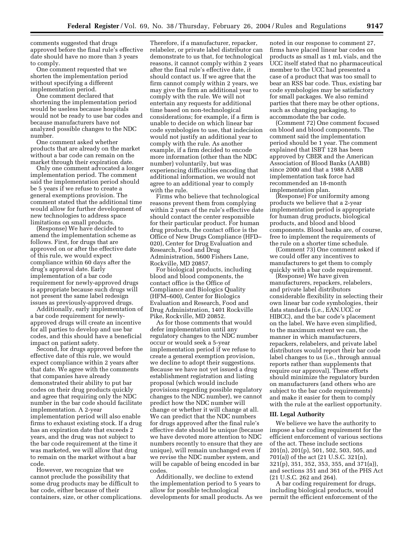comments suggested that drugs approved before the final rule's effective date should have no more than 3 years to comply.

One comment requested that we shorten the implementation period without specifying a different implementation period.

One comment declared that shortening the implementation period would be useless because hospitals would not be ready to use bar codes and because manufacturers have not analyzed possible changes to the NDC number.

One comment asked whether products that are already on the market without a bar code can remain on the market through their expiration date.

Only one comment advocated a longer implementation period. The comment said the implementation period should be 5 years if we refuse to create a general exemptions provision. The comment stated that the additional time would allow for further development of new technologies to address space limitations on small products.

(Response) We have decided to amend the implementation scheme as follows. First, for drugs that are approved on or after the effective date of this rule, we would expect compliance within 60 days after the drug's approval date. Early implementation of a bar code requirement for newly-approved drugs is appropriate because such drugs will not present the same label redesign issues as previously-approved drugs.

Additionally, early implementation of a bar code requirement for newlyapproved drugs will create an incentive for all parties to develop and use bar codes, and this should have a beneficial impact on patient safety.

Second, for drugs approved before the effective date of this rule, we would expect compliance within 2 years after that date. We agree with the comments that companies have already demonstrated their ability to put bar codes on their drug products quickly and agree that requiring only the NDC number in the bar code should facilitate implementation. A 2-year implementation period will also enable firms to exhaust existing stock. If a drug has an expiration date that exceeds 2 years, and the drug was not subject to the bar code requirement at the time it was marketed, we will allow that drug to remain on the market without a bar code.

However, we recognize that we cannot preclude the possibility that some drug products may be difficult to bar code, either because of their containers, size, or other complications.

Therefore, if a manufacturer, repacker, relabeler, or private label distributor can demonstrate to us that, for technological reasons, it cannot comply within 2 years after the final rule's effective date, it should contact us. If we agree that the firm cannot comply within 2 years, we may give the firm an additional year to comply with the rule. We will not entertain any requests for additional time based on non-technological considerations; for example, if a firm is unable to decide on which linear bar code symbologies to use, that indecision would not justify an additional year to comply with the rule. As another example, if a firm decided to encode more information (other than the NDC number) voluntarily, but was experiencing difficulties encoding that additional information, we would not agree to an additional year to comply with the rule.

Firms who believe that technological reasons prevent them from complying within 2 years of the rule's effective date should contact the center responsible for their particular product. For human drug products, the contact office is the Office of New Drugs Compliance (HFD– 020), Center for Drug Evaluation and Research, Food and Drug Administration, 5600 Fishers Lane, Rockville, MD 20857.

For biological products, including blood and blood components, the contact office is the Office of Compliance and Biologics Quality (HFM–600), Center for Biologics Evaluation and Research, Food and Drug Administration, 1401 Rockville Pike, Rockville, MD 20852.

As for those comments that would defer implementation until any regulatory changes to the NDC number occur or would seek a 5-year implementation period if we refuse to create a general exemption provision, we decline to adopt their suggestions. Because we have not yet issued a drug establishment registration and listing proposal (which would include provisions regarding possible regulatory changes to the NDC number), we cannot predict how the NDC number will change or whether it will change at all. We can predict that the NDC numbers for drugs approved after the final rule's effective date should be unique (because we have devoted more attention to NDC numbers recently to ensure that they are unique), will remain unchanged even if we revise the NDC number system, and will be capable of being encoded in bar codes.

Additionally, we decline to extend the implementation period to 5 years to allow for possible technological developments for small products. As we

noted in our response to comment 27, firms have placed linear bar codes on products as small as 1 mL vials, and the UCC itself stated that no pharmaceutical member to the UCC had presented a case of a product that was too small to bear an RSS bar code. Thus, existing bar code symbologies may be satisfactory for small packages. We also remind parties that there may be other options, such as changing packaging, to accommodate the bar code.

(Comment 72) One comment focused on blood and blood components. The comment said the implementation period should be 1 year. The comment explained that ISBT 128 has been approved by CBER and the American Association of Blood Banks (AABB) since 2000 and that a 1988 AABB implementation task force had recommended an 18-month implementation plan.

(Response) For uniformity among products we believe that a 2-year implementation period is appropriate for human drug products, biological products, and blood and blood components. Blood banks are, of course, free to implement the requirements of the rule on a shorter time schedule.

(Comment 73) One comment asked if we could offer any incentives to manufacturers to get them to comply quickly with a bar code requirement.

(Response) We have given manufacturers, repackers, relabelers, and private label distributors considerable flexibility in selecting their own linear bar code symbologies, their data standards (i.e., EAN.UCC or HIBCC), and the bar code's placement on the label. We have even simplified, to the maximum extent we can, the manner in which manufacturers, repackers, relabelers, and private label distributors would report their bar code label changes to us (i.e., through annual reports rather than supplements that require our approval). These efforts should minimize the regulatory burden on manufacturers (and others who are subject to the bar code requirements) and make it easier for them to comply with the rule at the earliest opportunity.

### **III. Legal Authority**

We believe we have the authority to impose a bar coding requirement for the efficient enforcement of various sections of the act. These include sections 201(n), 201(p), 501, 502, 503, 505, and 701(a)) of the act (21 U.S.C. 321(n), 321(p), 351, 352, 353, 355, and 371(a)), and sections 351 and 361 of the PHS Act (21 U.S.C. 262 and 264).

A bar coding requirement for drugs, including biological products, would permit the efficient enforcement of the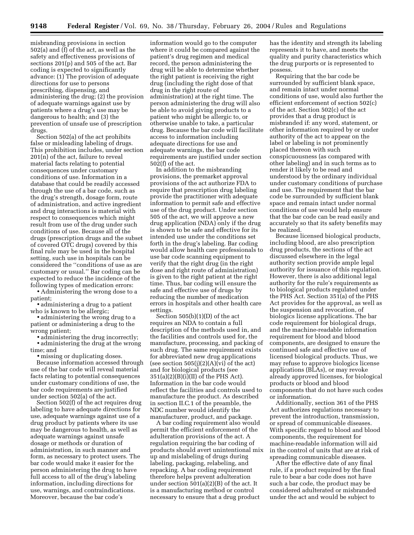misbranding provisions in section 502(a) and (f) of the act, as well as the safety and effectiveness provisions of sections 201(p) and 505 of the act. Bar coding is expected to significantly advance: (1) The provision of adequate directions for use to persons prescribing, dispensing, and administering the drug; (2) the provision of adequate warnings against use by patients where a drug's use may be dangerous to health; and (3) the prevention of unsafe use of prescription drugs.

Section 502(a) of the act prohibits false or misleading labeling of drugs. This prohibition includes, under section 201(n) of the act, failure to reveal material facts relating to potential consequences under customary conditions of use. Information in a database that could be readily accessed through the use of a bar code, such as the drug's strength, dosage form, route of administration, and active ingredient and drug interactions is material with respect to consequences which might result from use of the drug under such conditions of use. Because all of the drugs (prescription drugs and the subset of covered OTC drugs) covered by this final rule may be used in the hospital setting, such use in hospitals can be considered the ''conditions of use as are customary or usual.'' Bar coding can be expected to reduce the incidence of the following types of medication errors:

• Administering the wrong dose to a patient;

• administering a drug to a patient who is known to be allergic;

• administering the wrong drug to a patient or administering a drug to the wrong patient;

• administering the drug incorrectly;

• administering the drug at the wrong time; and

• missing or duplicating doses.

Because information accessed through use of the bar code will reveal material facts relating to potential consequences under customary conditions of use, the bar code requirements are justified under section 502(a) of the act.

Section 502(f) of the act requires drug labeling to have adequate directions for use, adequate warnings against use of a drug product by patients where its use may be dangerous to health, as well as adequate warnings against unsafe dosage or methods or duration of administration, in such manner and form, as necessary to protect users. The bar code would make it easier for the person administering the drug to have full access to all of the drug's labeling information, including directions for use, warnings, and contraindications. Moreover, because the bar code's

information would go to the computer where it could be compared against the patient's drug regimen and medical record, the person administering the drug will be able to determine whether the right patient is receiving the right drug (including the right dose of that drug in the right route of administration) at the right time. The person administering the drug will also be able to avoid giving products to a patient who might be allergic to, or otherwise unable to take, a particular drug. Because the bar code will facilitate access to information including adequate directions for use and adequate warnings, the bar code requirements are justified under section 502(f) of the act.

In addition to the misbranding provisions, the premarket approval provisions of the act authorize FDA to require that prescription drug labeling provide the practitioner with adequate information to permit safe and effective use of the drug product. Under section 505 of the act, we will approve a new drug application (NDA) only if the drug is shown to be safe and effective for its intended use under the conditions set forth in the drug's labeling. Bar coding would allow health care professionals to use bar code scanning equipment to verify that the right drug (in the right dose and right route of administration) is given to the right patient at the right time. Thus, bar coding will ensure the safe and effective use of drugs by reducing the number of medication errors in hospitals and other health care settings.

Section 505(b)(1)(D) of the act requires an NDA to contain a full description of the methods used in, and the facilities and controls used for, the manufacture, processing, and packing of such drug. The same requirement exists for abbreviated new drug applications (see section  $505(j)(2)(A)(vi)$  of the act) and for biological products (see  $351(a)(2)(B)(i)(II)$  of the PHS Act). Information in the bar code would reflect the facilities and controls used to manufacture the product. As described in section II.C.1 of the preamble, the NDC number would identify the manufacturer, product, and package.

A bar coding requirement also would permit the efficient enforcement of the adulteration provisions of the act. A regulation requiring the bar coding of products should avert unintentional mix up and mislabeling of drugs during labeling, packaging, relabeling, and repacking. A bar coding requirement therefore helps prevent adulteration under section 501(a)(2)(B) of the act. It is a manufacturing method or control necessary to ensure that a drug product

has the identity and strength its labeling represents it to have, and meets the quality and purity characteristics which the drug purports or is represented to possess.

Requiring that the bar code be surrounded by sufficient blank space, and remain intact under normal conditions of use, would also further the efficient enforcement of section 502(c) of the act. Section 502(c) of the act provides that a drug product is misbranded if: any word, statement, or other information required by or under authority of the act to appear on the label or labeling is not prominently placed thereon with such conspicuousness (as compared with other labeling) and in such terms as to render it likely to be read and understood by the ordinary individual under customary conditions of purchase and use. The requirement that the bar code be surrounded by sufficient blank space and remain intact under normal conditions of use would help ensure that the bar code can be read easily and accurately so that its safety benefits may be realized.

Because licensed biological products, including blood, are also prescription drug products, the sections of the act discussed elsewhere in the legal authority section provide ample legal authority for issuance of this regulation. However, there is also additional legal authority for the rule's requirements as to biological products regulated under the PHS Act. Section 351(a) of the PHS Act provides for the approval, as well as the suspension and revocation, of biologics license applications. The bar code requirement for biological drugs, and the machine-readable information requirement for blood and blood components, are designed to ensure the continued safe and effective use of licensed biological products. Thus, we may refuse to approve biologics license applications (BLAs), or may revoke already approved licenses, for biological products or blood and blood components that do not have such codes or information.

Additionally, section 361 of the PHS Act authorizes regulations necessary to prevent the introduction, transmission, or spread of communicable diseases. With specific regard to blood and blood components, the requirement for machine-readable information will aid in the control of units that are at risk of spreading communicable diseases.

After the effective date of any final rule, if a product required by the final rule to bear a bar code does not have such a bar code, the product may be considered adulterated or misbranded under the act and would be subject to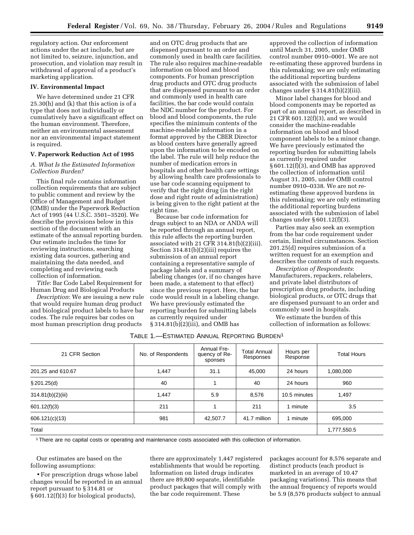regulatory action. Our enforcement actions under the act include, but are not limited to, seizure, injunction, and prosecution, and violation may result in withdrawal of approval of a product's marketing application.

### **IV. Environmental Impact**

We have determined under 21 CFR 25.30(h) and (k) that this action is of a type that does not individually or cumulatively have a significant effect on the human environment. Therefore, neither an environmental assessment nor an environmental impact statement is required.

### **V. Paperwork Reduction Act of 1995**

# *A. What Is the Estimated Information Collection Burden?*

This final rule contains information collection requirements that are subject to public comment and review by the Office of Management and Budget (OMB) under the Paperwork Reduction Act of 1995 (44 U.S.C. 3501–3520). We describe the provisions below in this section of the document with an estimate of the annual reporting burden. Our estimate includes the time for reviewing instructions, searching existing data sources, gathering and maintaining the data needed, and completing and reviewing each collection of information.

*Title*: Bar Code Label Requirement for Human Drug and Biological Products

*Description*: We are issuing a new rule that would require human drug product and biological product labels to have bar codes. The rule requires bar codes on most human prescription drug products

and on OTC drug products that are dispensed pursuant to an order and commonly used in health care facilities. The rule also requires machine-readable information on blood and blood components. For human prescription drug products and OTC drug products that are dispensed pursuant to an order and commonly used in health care facilities, the bar code would contain the NDC number for the product. For blood and blood components, the rule specifies the minimum contents of the machine-readable information in a format approved by the CBER Director as blood centers have generally agreed upon the information to be encoded on the label. The rule will help reduce the number of medication errors in hospitals and other health care settings by allowing health care professionals to use bar code scanning equipment to verify that the right drug (in the right dose and right route of administration) is being given to the right patient at the right time.

Because bar code information for drugs subject to an NDA or ANDA will be reported through an annual report, this rule affects the reporting burden associated with 21 CFR 314.81(b)(2)(iii). Section 314.81(b)(2)(iii) requires the submission of an annual report containing a representative sample of package labels and a summary of labeling changes (or, if no changes have been made, a statement to that effect) since the previous report. Here, the bar code would result in a labeling change. We have previously estimated the reporting burden for submitting labels as currently required under § 314.81(b)(2)(iii), and OMB has

approved the collection of information until March 31, 2005, under OMB control number 0910–0001. We are not re-estimating these approved burdens in this rulemaking; we are only estimating the additional reporting burdens associated with the submission of label changes under § 314.81(b)(2)(iii).

Minor label changes for blood and blood components may be reported as part of an annual report, as described in 21 CFR 601.12(f)(3), and we would consider the machine-readable information on blood and blood component labels to be a minor change. We have previously estimated the reporting burden for submitting labels as currently required under § 601.12(f)(3), and OMB has approved the collection of information until August 31, 2005, under OMB control number 0910–0338. We are not reestimating these approved burdens in this rulemaking; we are only estimating the additional reporting burdens associated with the submission of label changes under  $\S 601.12(f)(3)$ .

Parties may also seek an exemption from the bar code requirement under certain, limited circumstances. Section 201.25(d) requires submission of a written request for an exemption and describes the contents of such requests.

*Description of Respondents*: Manufacturers, repackers, relabelers, and private label distributors of prescription drug products, including biological products, or OTC drugs that are dispensed pursuant to an order and commonly used in hospitals.

We estimate the burden of this collection of information as follows:

# TABLE 1.—ESTIMATED ANNUAL REPORTING BURDEN1

| 21 CFR Section    | No. of Respondents | <b>Annual Fre-</b><br>quency of Re-<br>sponses | <b>Total Annual</b><br>Responses | Hours per<br>Response | <b>Total Hours</b> |
|-------------------|--------------------|------------------------------------------------|----------------------------------|-----------------------|--------------------|
| 201.25 and 610.67 | 1,447              | 31.1                                           | 45,000                           | 24 hours              | 1,080,000          |
| \$201.25(d)       | 40                 |                                                | 40                               | 24 hours              | 960                |
| 314.81(b)(2)(iii) | 1,447              | 5.9                                            | 8,576                            | 10.5 minutes          | 1,497              |
| 601.12(f)(3)      | 211                |                                                | 211                              | 1 minute              | 3.5                |
| 606.121(c)(13)    | 981                | 42,507.7                                       | 41.7 million                     | 1 minute              | 695.000            |
| Total             |                    |                                                |                                  |                       | 1,777,550.5        |

1There are no capital costs or operating and maintenance costs associated with this collection of information.

Our estimates are based on the following assumptions:

• For prescription drugs whose label changes would be reported in an annual report pursuant to § 314.81 or § 601.12(f)(3) for biological products),

there are approximately 1,447 registered establishments that would be reporting. Information on listed drugs indicates there are 89,800 separate, identifiable product packages that will comply with the bar code requirement. These

packages account for 8,576 separate and distinct products (each product is marketed in an average of 10.47 packaging variations). This means that the annual frequency of reports would be 5.9 (8,576 products subject to annual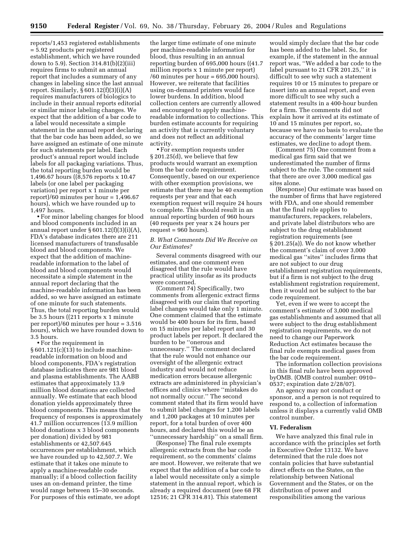reports/1,453 registered establishments = 5.92 products per registered establishment, which we have rounded down to 5.9). Section 314.81(b)(2)(iii) requires firms to submit an annual report that includes a summary of any changes in labeling since the last annual report. Similarly, § 601.12(f)(3)(i)(A) requires manufacturers of biologics to include in their annual reports editorial or similar minor labeling changes. We expect that the addition of a bar code to a label would necessitate a simple statement in the annual report declaring that the bar code has been added, so we have assigned an estimate of one minute for such statements per label. Each product's annual report would include labels for all packaging variations. Thus, the total reporting burden would be 1,496.67 hours ((8,576 reports x 10.47 labels (or one label per packaging variation) per report x 1 minute per report)/60 minutes per hour = 1,496.67 hours), which we have rounded up to 1,497 hours.

• For minor labeling changes for blood and blood components included in an annual report under  $\S 601.12(f)(3)(i)(A)$ , FDA's database indicates there are 211 licensed manufacturers of transfusable blood and blood components. We expect that the addition of machinereadable information to the label of blood and blood components would necessitate a simple statement in the annual report declaring that the machine-readable information has been added, so we have assigned an estimate of one minute for such statements. Thus, the total reporting burden would be 3.5 hours ((211 reports x 1 minute per report)/60 minutes per hour = 3.516 hours), which we have rounded down to 3.5 hours.

• For the requirement in  $§ 601.121(c)(13)$  to include machinereadable information on blood and blood components, FDA's registration database indicates there are 981 blood and plasma establishments. The AABB estimates that approximately 13.9 million blood donations are collected annually. We estimate that each blood donation yields approximately three blood components. This means that the frequency of responses is approximately 41.7 million occurrences (13.9 million blood donations x 3 blood components per donation) divided by 981 establishments or 42,507.645 occurrences per establishment, which we have rounded up to 42,507.7. We estimate that it takes one minute to apply a machine-readable code manually; if a blood collection facility uses an on-demand printer, the time would range between 15–30 seconds. For purposes of this estimate, we adopt

the larger time estimate of one minute per machine-readable information for blood, thus resulting in an annual reporting burden of 695,000 hours ((41.7 million reports x 1 minute per report)  $/60$  minutes per hour = 695,000 hours). However, we reiterate that facilities using on-demand printers would face lower burdens. In addition, blood collection centers are currently allowed and encouraged to apply machinereadable information to collections. This burden estimate accounts for requiring an activity that is currently voluntary and does not reflect an additional activity.

• For exemption requests under § 201.25(d), we believe that few products would warrant an exemption from the bar code requirement. Consequently, based on our experience with other exemption provisions, we estimate that there may be 40 exemption requests per year and that each exemption request will require 24 hours to complete. This should result in an annual reporting burden of 960 hours (40 requests per year x 24 hours per request = 960 hours).

# *B. What Comments Did We Receive on Our Estimates?*

Several comments disagreed with our estimates, and one comment even disagreed that the rule would have practical utility insofar as its products were concerned.

(Comment 74) Specifically, two comments from allergenic extract firms disagreed with our claim that reporting label changes would take only 1 minute. One comment claimed that the estimate would be 400 hours for its firm, based on 15 minutes per label report and 30 product labels per report. It declared the burden to be ''onerous and unnecessary.'' The comment declared that the rule would not enhance our oversight of the allergenic extract industry and would not reduce medication errors because allergenic extracts are administered in physician's offices and clinics where ''mistakes do not normally occur.'' The second comment stated that its firm would have to submit label changes for 1,200 labels and 1,200 packages at 10 minutes per report, for a total burden of over 400 hours, and declared this would be an ''unnecessary hardship'' on a small firm.

(Response) The final rule exempts allergenic extracts from the bar code requirement, so the comments' claims are moot. However, we reiterate that we expect that the addition of a bar code to a label would necessitate only a simple statement in the annual report, which is already a required document (see 68 FR 12516; 21 CFR 314.81). This statement

would simply declare that the bar code has been added to the label. So, for example, if the statement in the annual report was, ''We added a bar code to the label pursuant to 21 CFR 201.25,'' it is difficult to see why such a statement requires 10 or 15 minutes to prepare or insert into an annual report, and even more difficult to see why such a statement results in a 400-hour burden for a firm. The comments did not explain how it arrived at its estimate of 10 and 15 minutes per report, so, because we have no basis to evaluate the accuracy of the comments' larger time estimates, we decline to adopt them.

(Comment 75) One comment from a medical gas firm said that we underestimated the number of firms subject to the rule. The comment said that there are over 3,000 medical gas sites alone.

(Response) Our estimate was based on the number of firms that have registered with FDA, and one should remember that the final rule applies to manufacturers, repackers, relabelers, and private label distributors who are subject to the drug establishment registration requirements (see § 201.25(a)). We do not know whether the comment's claim of over 3,000 medical gas ''sites'' includes firms that are not subject to our drug establishment registration requirements, but if a firm is not subject to the drug establishment registration requirement, then it would not be subject to the bar code requirement.

Yet, even if we were to accept the comment's estimate of 3,000 medical gas establishments and assumed that all were subject to the drug establishment registration requirements, we do not need to change our Paperwork Reduction Act estimates because the final rule exempts medical gases from the bar code requirement.

The information collection provisions in this final rule have been approved byOMB. (OMB control number: 0910– 0537; expiration date 2/28/07).

An agency may not conduct or sponsor, and a person is not required to respond to, a collection of information unless it displays a currently valid OMB control number.

### **VI. Federalism**

We have analyzed this final rule in accordance with the principles set forth in Executive Order 13132. We have determined that the rule does not contain policies that have substantial direct effects on the States, on the relationship between National Government and the States, or on the distribution of power and responsibilities among the various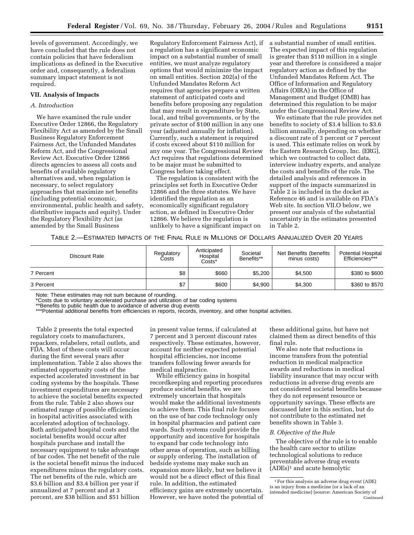levels of government. Accordingly, we have concluded that the rule does not contain policies that have federalism implications as defined in the Executive order and, consequently, a federalism summary impact statement is not required.

### **VII. Analysis of Impacts**

# *A. Introduction*

We have examined the rule under Executive Order 12866, the Regulatory Flexibility Act as amended by the Small Business Regulatory Enforcement Fairness Act, the Unfunded Mandates Reform Act, and the Congressional Review Act. Executive Order 12866 directs agencies to assess all costs and benefits of available regulatory alternatives and, when regulation is necessary, to select regulatory approaches that maximize net benefits (including potential economic, environmental, public health and safety, distributive impacts and equity). Under the Regulatory Flexibility Act (as amended by the Small Business

Regulatory Enforcement Fairness Act), if a regulation has a significant economic impact on a substantial number of small entities, we must analyze regulatory options that would minimize the impact on small entities. Section 202(a) of the Unfunded Mandates Reform Act requires that agencies prepare a written statement of anticipated costs and benefits before proposing any regulation that may result in expenditure by State, local, and tribal governments, or by the private sector of \$100 million in any one year (adjusted annually for inflation). Currently, such a statement is required if costs exceed about \$110 million for any one year. The Congressional Review Act requires that regulations determined to be major must be submitted to Congress before taking effect.

The regulation is consistent with the principles set forth in Executive Order 12866 and the three statutes. We have identified the regulation as an economically significant regulatory action, as defined in Executive Order 12866. We believe the regulation is unlikely to have a significant impact on a substantial number of small entities. The expected impact of this regulation is greater than \$110 million in a single year and therefore is considered a major regulatory action as defined by the Unfunded Mandates Reform Act. The Office of Information and Regulatory Affairs (OIRA) in the Office of Management and Budget (OMB) has determined this regulation to be major under the Congressional Review Act.

We estimate that the rule provides net benefits to society of \$3.4 billion to \$3.6 billion annually, depending on whether a discount rate of 3 percent or 7 percent is used. This estimate relies on work by the Eastern Research Group, Inc. (ERG), which we contracted to collect data, interview industry experts, and analyze the costs and benefits of the rule. The detailed analysis and references in support of the impacts summarized in Table 2 is included in the docket as Reference 46 and is available on FDA's Web site. In section VII.O below, we present our analysis of the substantial uncertainty in the estimates presented in Table 2.

TABLE 2.—ESTIMATED IMPACTS OF THE FINAL RULE IN MILLIONS OF DOLLARS ANNUALIZED OVER 20 YEARS

| Discount Rate | Regulatory<br>Costs | Anticipated<br>Hospital<br>Costs* | Societal<br>Benefits** | Net Benefits (benefits<br>minus costs) | <b>Potential Hospital</b><br>Efficiencies*** |
|---------------|---------------------|-----------------------------------|------------------------|----------------------------------------|----------------------------------------------|
| 7 Percent     | \$8                 | \$660                             | \$5,200                | \$4.500                                | \$380 to \$600                               |
| 3 Percent     | \$7                 | \$600                             | \$4,900                | \$4,300                                | \$360 to \$570                               |

Note: These estimates may not sum because of rounding.

\*Costs due to voluntary accelerated purchase and utilization of bar coding systems

\*\*Benefits to public health due to avoidance of adverse drug events

\*\*\*Potential additional benefits from efficiencies in reports, records, inventory, and other hospital activities.

Table 2 presents the total expected regulatory costs to manufacturers, repackers, relabelers, retail outlets, and FDA. Most of these costs will occur during the first several years after implementation. Table 2 also shows the estimated opportunity costs of the expected accelerated investment in bar coding systems by the hospitals. These investment expenditures are necessary to achieve the societal benefits expected from the rule. Table 2 also shows our estimated range of possible efficiencies in hospital activities associated with accelerated adoption of technology. Both anticipated hospital costs and the societal benefits would occur after hospitals purchase and install the necessary equipment to take advantage of bar codes. The net benefit of the rule is the societal benefit minus the induced expenditures minus the regulatory costs. The net benefits of the rule, which are \$3.6 billion and \$3.4 billion per year if annualized at 7 percent and at 3 percent, are \$38 billion and \$51 billion

in present value terms, if calculated at 7 percent and 3 percent discount rates respectively. These estimates, however, account for neither expected potential hospital efficiencies, nor income transfers following fewer awards for medical malpractice.

While efficiency gains in hospital recordkeeping and reporting procedures produce societal benefits, we are extremely uncertain that hospitals would make the additional investments to achieve them. This final rule focuses on the use of bar code technology only in hospital pharmacies and patient care wards. Such systems could provide the opportunity and incentive for hospitals to expand bar code technology into other areas of operation, such as billing or supply ordering. The installation of bedside systems may make such an expansion more likely, but we believe it would not be a direct effect of this final rule. In addition, the estimated efficiency gains are extremely uncertain. However, we have noted the potential of these additional gains, but have not claimed them as direct benefits of this final rule.

We also note that reductions in income transfers from the potential reduction in medical malpractice awards and reductions in medical liability insurance that may occur with reductions in adverse drug events are not considered societal benefits because they do not represent resource or opportunity savings. These effects are discussed later in this section, but do not contribute to the estimated net benefits shown in Table 3.

### *B. Objective of the Rule*

The objective of the rule is to enable the health care sector to utilize technological solutions to reduce preventable adverse drug events (ADEs)1 and acute hemolytic

<sup>1</sup>For this analysis an adverse drug event (ADE) is an injury from a medicine (or a lack of an intended medicine) (source: American Society of Continued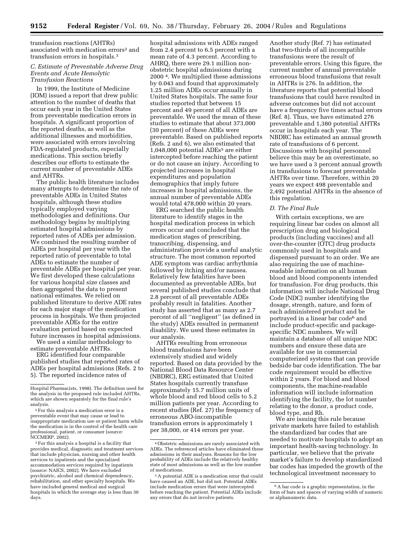transfusion reactions (AHTRs) associated with medication errors2 and transfusion errors in hospitals.3

# *C. Estimate of Preventable Adverse Drug Events and Acute Hemolytic Transfusion Reactions*

In 1999, the Institute of Medicine (IOM) issued a report that drew public attention to the number of deaths that occur each year in the United States from preventable medication errors in hospitals. A significant proportion of the reported deaths, as well as the additional illnesses and morbidities, were associated with errors involving FDA-regulated products, especially medications. This section briefly describes our efforts to estimate the current number of preventable ADEs and AHTRs.

The public health literature includes many attempts to determine the rate of preventable ADEs in United States hospitals, although these studies typically employed varying methodologies and definitions. Our methodology begins by multiplying estimated hospital admissions by reported rates of ADEs per admission. We combined the resulting number of ADEs per hospital per year with the reported ratio of preventable to total ADEs to estimate the number of preventable ADEs per hospital per year. We first developed these calculations for various hospital size classes and then aggregated the data to present national estimates. We relied on published literature to derive ADE rates for each major stage of the medication process in hospitals. We then projected preventable ADEs for the entire evaluation period based on expected future increases in hospital admissions.

We used a similar methodology to estimate preventable AHTRs.

ERG identified four comparable published studies that reported rates of ADEs per hospital admissions (Refs. 2 to 5). The reported incidence rates of

2For this analysis a medication error is a preventable event that may cause or lead to inappropriate medication use or patient harm while the medication is in the control of the health care professional, patient, or consumer (source: NCCMERP, 2002).

3For this analysis a hospital is a facility that provides medical, diagnostic and treatment services that include physician, nursing and other health services to inpatients and the specialized accommodation services required by inpatients (source: NAICS, 2002). We have excluded psychiatric, alcohol and chemical dependency, rehabilitation, and other specialty hospitals. We have included general medical and surgical hospitals in which the average stay is less than 30 days.

hospital admissions with ADEs ranged from 2.4 percent to 6.5 percent with a mean rate of 4.3 percent. According to AHRQ, there were 29.1 million nonobstetric hospital admissions during 2000 4. We multiplied these admissions by 0.043 and found that approximately 1.25 million ADEs occur annually in United States hospitals. The same four studies reported that between 15 percent and 49 percent of all ADEs are preventable. We used the mean of these studies to estimate that about 373,000 (30 percent) of these ADEs were preventable. Based on published reports (Refs. 2 and 6), we also estimated that 1,048,000 potential ADEs5 are either intercepted before reaching the patient or do not cause an injury. According to projected increases in hospital expenditures and population demographics that imply future increases in hospital admissions, the annual number of preventable ADEs would total 478,000 within 20 years.

ERG searched the public health literature to identify stages in the hospital medication process in which errors occur and concluded that the medication stages of prescribing, transcribing, dispensing, and administration provide a useful analytic structure. The most common reported ADE symptom was cardiac arrhythmia followed by itching and/or nausea. Relatively few fatalities have been documented as preventable ADEs, but several published studies conclude that 2.8 percent of all preventable ADEs probably result in fatalities. Another study has asserted that as many as 2.7 percent of all ''negligent'' (as defined in the study) ADEs resulted in permanent disability. We used these estimates in our analysis.

AHTRs resulting from erroneous blood transfusions have been extensively studied and widely reported. Based on data provided by the National Blood Data Resource Center (NBDRC), ERG estimated that United States hospitals currently transfuse approximately 15.7 million units of whole blood and red blood cells to 5.2 million patients per year. According to recent studies (Ref. 27) the frequency of erroneous ABO-incompatible transfusion errors is approximately 1 per 38,000, or 414 errors per year.

Another study (Ref. 7) has estimated that two-thirds of all incompatible transfusions were the result of preventable errors. Using this figure, the current number of annual preventable erroneous blood transfusions that result in AHTRs is 276. In addition, the literature reports that potential blood transfusions that could have resulted in adverse outcomes but did not account have a frequency five times actual errors (Ref. 8). Thus, we have estimated 276 preventable and 1,380 potential AHTRs occur in hospitals each year. The NBDRC has estimated an annual growth rate of transfusions of 6 percent. Discussions with hospital personnel believe this may be an overestimate, so we have used a 3 percent annual growth in transfusions to forecast preventable AHTRs over time. Therefore, within 20 years we expect 498 preventable and 2,492 potential AHTRs in the absence of this regulation.

### *D. The Final Rule*

With certain exceptions, we are requiring linear bar codes on almost all prescription drug and biological products (including vaccines) and all over-the-counter (OTC) drug products commonly used in hospitals and dispensed pursuant to an order. We are also requiring the use of machinereadable information on all human blood and blood components intended for transfusion. For drug products, this information will include National Drug Code (NDC) number identifying the dosage, strength, nature, and form of each administered product and be portrayed in a linear bar code6 and include product-specific and packagespecific NDC numbers. We will maintain a database of all unique NDC numbers and ensure these data are available for use in commercial computerized systems that can provide bedside bar code identification. The bar code requirement would be effective within 2 years. For blood and blood components, the machine-readable information will include information identifying the facility, the lot number relating to the donor, a product code, blood type, and Rh.

We are issuing this rule because private markets have failed to establish the standardized bar codes that are needed to motivate hospitals to adopt an important health-saving technology. In particular, we believe that the private market's failure to develop standardized bar codes has impeded the growth of the technological investment necessary to

Hospital Pharmacists, 1998). The definition used for the analysis in the proposed rule included AHTRs, which are shown separately for the final rule's analysis.

<sup>4</sup>Obstetric admissions are rarely associated with ADEs. The referenced articles have eliminated these admissions in their analyses. Reasons for the low probability of ADEs include the relatively healthy state of most admissions as well as the low number of medications.

<sup>5</sup>A potential ADE is a medication error that could have caused an ADE, but did not. Potential ADEs include medication errors that were intercepted before reaching the patient. Potential ADEs include any errors that do not involve patients.

<sup>6</sup>A bar code is a graphic representation, in the form of bars and spaces of varying width of numeric or alphanumeric data.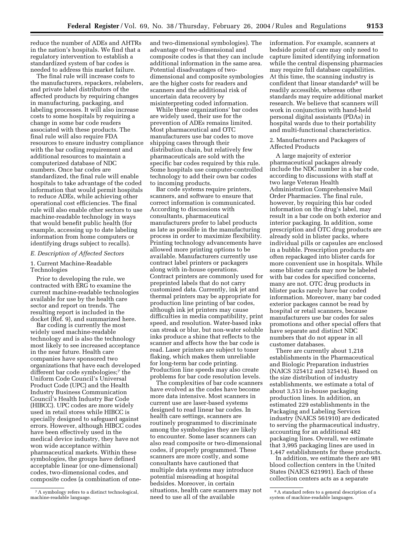reduce the number of ADEs and AHTRs in the nation's hospitals. We find that a regulatory intervention to establish a standardized system of bar codes is needed to address this market failure.

The final rule will increase costs to the manufacturers, repackers, relabelers, and private label distributors of the affected products by requiring changes in manufacturing, packaging, and labeling processes. It will also increase costs to some hospitals by requiring a change in some bar code readers associated with these products. The final rule will also require FDA resources to ensure industry compliance with the bar coding requirement and additional resources to maintain a computerized database of NDC numbers. Once bar codes are standardized, the final rule will enable hospitals to take advantage of the coded information that would permit hospitals to reduce ADEs, while achieving other operational cost efficiencies. The final rule will also enable other sectors to use machine-readable technology in ways that would benefit public health (for example, accessing up to date labeling information from home computers or identifying drugs subject to recalls).

### *E. Description of Affected Sectors*

# 1. Current Machine-Readable Technologies

Prior to developing the rule, we contracted with ERG to examine the current machine-readable technologies available for use by the health care sector and report on trends. The resulting report is included in the docket (Ref. 9), and summarized here.

Bar coding is currently the most widely used machine-readable technology and is also the technology most likely to see increased acceptance in the near future. Health care companies have sponsored two organizations that have each developed different bar code symbologies;<sup>7</sup> the Uniform Code Council's Universal Product Code (UPC) and the Health Industry Business Communication Council's Health Industry Bar Code (HIBCC). UPC codes are more widely used in retail stores while HIBCC is specially designed to safeguard against errors. However, although HIBCC codes have been effectively used in the medical device industry, they have not won wide acceptance within pharmaceutical markets. Within these symbologies, the groups have defined acceptable linear (or one-dimensional) codes, two-dimensional codes, and composite codes (a combination of one-

and two-dimensional symbologies). The advantage of two-dimensional and composite codes is that they can include additional information in the same area. Potential disadvantages of twodimensional and composite symbologies are the higher costs for readers and scanners and the additional risk of uncertain data recovery by misinterpreting coded information.

While these organizations' bar codes are widely used, their use for the prevention of ADEs remains limited. Most pharmaceutical and OTC manufacturers use bar codes to move shipping cases through their distribution chain, but relatively few pharmaceuticals are sold with the specific bar codes required by this rule. Some hospitals use computer-controlled technology to add their own bar codes to incoming products.

Bar code systems require printers, scanners, and software to ensure that correct information is communicated. According to discussions with consultants, pharmaceutical manufacturers prefer to label products as late as possible in the manufacturing process in order to maximize flexibility. Printing technology advancements have allowed more printing options to be available. Manufacturers currently use contract label printers or packagers along with in-house operations. Contract printers are commonly used for preprinted labels that do not carry customized data. Currently, ink jet and thermal printers may be appropriate for production line printing of bar codes, although ink jet printers may cause difficulties in media compatibility, print speed, and resolution. Water-based inks can streak or blur, but non-water soluble inks produce a shine that reflects to the scanner and affects how the bar code is read. Laser printers are subject to toner flaking, which makes them unreliable for long-term bar code printing. Production line speeds may also create problems for bar code resolution levels.

The complexities of bar code scanners have evolved as the codes have become more data intensive. Most scanners in current use are laser-based systems designed to read linear bar codes. In health care settings, scanners are routinely programmed to discriminate among the symbologies they are likely to encounter. Some laser scanners can also read composite or two-dimensional codes, if properly programmed. These scanners are more costly, and some consultants have cautioned that multiple data systems may introduce potential misreading at hospital bedsides. Moreover, in certain situations, health care scanners may not need to use all of the available

information. For example, scanners at bedside point of care may only need to capture limited identifying information while the central dispensing pharmacies may require full database capabilities. At this time, the scanning industry is confident that linear standards<sup>8</sup> will be readily accessible, whereas other standards may require additional market research. We believe that scanners will work in conjunction with hand-held personal digital assistants (PDAs) in hospital wards due to their portability and multi-functional characteristics.

2. Manufacturers and Packagers of Affected Products

A large majority of exterior pharmaceutical packages already include the NDC number in a bar code, according to discussions with staff at two large Veteran Health Administration Comprehensive Mail Order Pharmacies. The final rule, however, by requiring this bar coded information on the drug's label, may result in a bar code on both exterior and interior packaging. In addition, some prescription and OTC drug products are already sold in blister packs, where individual pills or capsules are enclosed in a bubble. Prescription products are often repackaged into blister cards for more convenient use in hospitals. While some blister cards may now be labeled with bar codes for specified concerns, many are not. OTC drug products in blister packs rarely have bar coded information. Moreover, many bar coded exterior packages cannot be read by hospital or retail scanners, because manufacturers use bar codes for sales promotions and other special offers that have separate and distinct NDC numbers that do not appear in all customer databases.

There are currently about 1,218 establishments in the Pharmaceutical and Biologic Preparation industries (NAICS 325412 and 325414). Based on the size distribution of industry establishments, we estimate a total of about 3,513 in-house packaging production lines. In addition, an estimated 229 establishments in the Packaging and Labeling Services industry (NAICS 561910) are dedicated to serving the pharmaceutical industry, accounting for an additional 482 packaging lines. Overall, we estimate that 3,995 packaging lines are used in 1,447 establishments for these products.

In addition, we estimate there are 981 blood collection centers in the United States (NAICS 621991). Each of these collection centers acts as a separate

<sup>7</sup>A symbology refers to a distinct technological, machine-readable language.

<sup>8</sup>A standard refers to a general description of a system of machine-readable languages.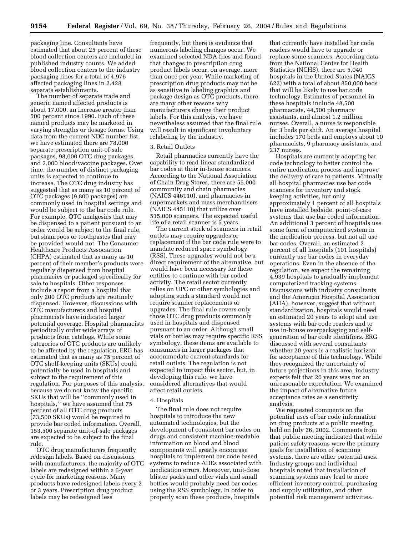packaging line. Consultants have estimated that about 25 percent of these blood collection centers are included in published industry counts. We added blood collection centers to the industry packaging lines for a total of 4,976 affected packaging lines in 2,428 separate establishments.

The number of separate trade and generic named affected products is about 17,000, an increase greater than 500 percent since 1990. Each of these named products may be marketed in varying strengths or dosage forms. Using data from the current NDC number list, we have estimated there are 78,000 separate prescription unit-of-sale packages, 98,000 OTC drug packages, and 2,000 blood/vaccine packages. Over time, the number of distinct packaging units is expected to continue to increase. The OTC drug industry has suggested that as many as 10 percent of OTC packages (9,800 packages) are commonly used in hospital settings and would be subject to the bar code rule. For example, OTC analgesics that may be dispensed to a patient pursuant to an order would be subject to the final rule, but shampoos or toothpastes that may be provided would not. The Consumer Healthcare Products Association (CHPA) estimated that as many as 10 percent of their member's products were regularly dispensed from hospital pharmacies or packaged specifically for sale to hospitals. Other responses include a report from a hospital that only 200 OTC products are routinely dispensed. However, discussions with OTC manufacturers and hospital pharmacists have indicated larger potential coverage. Hospital pharmacists periodically order wide arrays of products from catalogs. While some categories of OTC products are unlikely to be affected by the regulation, ERG has estimated that as many as 75 percent of OTC shelf-keeping units (SKUs) could potentially be used in hospitals and subject to the requirement of this regulation. For purposes of this analysis, because we do not know the specific SKUs that will be ''commonly used in hospitals,'' we have assumed that 75 percent of all OTC drug products (73,500 SKUs) would be required to provide bar coded information. Overall, 153,500 separate unit-of-sale packages are expected to be subject to the final rule.

OTC drug manufacturers frequently redesign labels. Based on discussions with manufacturers, the majority of OTC labels are redesigned within a 6-year cycle for marketing reasons. Many products have redesigned labels every 2 or 3 years. Prescription drug product labels may be redesigned less

frequently, but there is evidence that numerous labeling changes occur. We examined selected NDA files and found that changes to prescription drug product labels occur, on average, more than once per year. While marketing of prescription drug products may not be as sensitive to labeling graphics and package design as OTC products, there are many other reasons why manufacturers change their product labels. For this analysis, we have nevertheless assumed that the final rule will result in significant involuntary relabeling by the industry.

# 3. Retail Outlets

Retail pharmacies currently have the capability to read linear standardized bar codes at their in-house scanners. According to the National Association of Chain Drug Stores, there are 55,000 community and chain pharmacies (NAICS 446110), and pharmacies in supermarkets and mass merchandisers (NAICS 445110) that utilize over 515,000 scanners. The expected useful life of a retail scanner is 5 years.

The current stock of scanners in retail outlets may require upgrades or replacement if the bar code rule were to mandate reduced space symbology (RSS). These upgrades would not be a direct requirement of the alternative, but would have been necessary for these entities to continue with bar coded activity. The retail sector currently relies on UPC or other symbologies and adopting such a standard would not require scanner replacements or upgrades. The final rule covers only those OTC drug products commonly used in hospitals and dispensed pursuant to an order. Although small vials or bottles may require specific RSS symbology, these items are available to consumers in larger packages that accommodate current standards for retail outlets. The regulation is not expected to impact this sector, but, in developing this rule, we have considered alternatives that would affect retail outlets.

#### 4. Hospitals

The final rule does not require hospitals to introduce the new automated technologies, but the development of consistent bar codes on drugs and consistent machine-readable information on blood and blood components will greatly encourage hospitals to implement bar code based systems to reduce ADEs associated with medication errors. Moreover, unit-dose blister packs and other vials and small bottles would probably need bar codes using the RSS symbology. In order to properly scan these products, hospitals

that currently have installed bar code readers would have to upgrade or replace some scanners. According data from the National Center for Health Statistics (NCHS), there are 5,040 hospitals in the United States (NAICS 622) with a total of about 850,000 beds that will be likely to use bar code technology. Estimates of personnel in these hospitals include 48,500 pharmacists, 44,500 pharmacy assistants, and almost 1.2 million nurses. Overall, a nurse is responsible for 3 beds per shift. An average hospital includes 170 beds and employs about 10 pharmacists, 9 pharmacy assistants, and 237 nurses.

Hospitals are currently adopting bar code technology to better control the entire medication process and improve the delivery of care to patients. Virtually all hospital pharmacies use bar code scanners for inventory and stock keeping activities, but only approximately 1 percent of all hospitals have installed bedside, point-of-care systems that use bar coded information. An additional 3 percent of hospitals use some form of computerized system in the medication process, but not all use bar codes. Overall, an estimated 2 percent of all hospitals (101 hospitals) currently use bar codes in everyday operations. Even in the absence of the regulation, we expect the remaining 4,939 hospitals to gradually implement computerized tracking systems. Discussions with industry consultants and the American Hospital Association (AHA), however, suggest that without standardization, hospitals would need an estimated 20 years to adopt and use systems with bar code readers and to use in-house overpackaging and selfgeneration of bar code identifiers. ERG discussed with several consultants whether 20 years is a realistic horizon for acceptance of this technology. While they recognized the uncertainty of future projections in this area, industry experts felt that 20 years was not an unreasonable expectation. We examined the impact of alternative future acceptance rates as a sensitivity analysis.

We requested comments on the potential uses of bar code information on drug products at a public meeting held on July 26, 2002. Comments from that public meeting indicated that while patient safety reasons were the primary goals for installation of scanning systems, there are other potential uses. Industry groups and individual hospitals noted that installation of scanning systems may lead to more efficient inventory control, purchasing and supply utilization, and other potential risk management activities.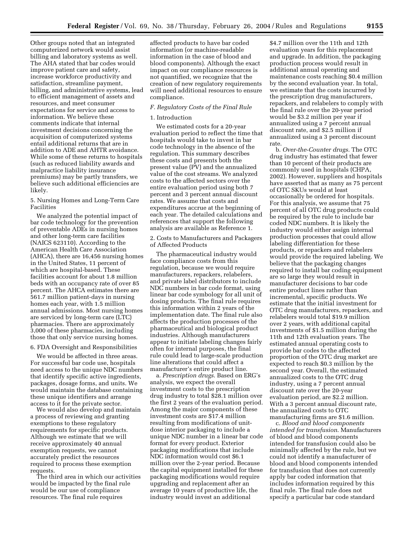Other groups noted that an integrated computerized network would assist billing and laboratory systems as well. The AHA stated that bar codes would improve patient care and safety, increase workforce productivity and satisfaction, streamline payment, billing, and administrative systems, lead to efficient management of assets and resources, and meet consumer expectations for service and access to information. We believe these comments indicate that internal investment decisions concerning the acquisition of computerized systems entail additional returns that are in addition to ADE and AHTR avoidance. While some of these returns to hospitals (such as reduced liability awards and malpractice liability insurance premiums) may be partly transfers, we believe such additional efficiencies are likely.

# 5. Nursing Homes and Long-Term Care Facilities

We analyzed the potential impact of bar code technology for the prevention of preventable ADEs in nursing homes and other long-term care facilities (NAICS 623110). According to the American Health Care Association (AHCA), there are 16,456 nursing homes in the United States, 11 percent of which are hospital-based. These facilities account for about 1.8 million beds with an occupancy rate of over 85 percent. The AHCA estimates there are 561.7 million patient-days in nursing homes each year, with 1.5 million annual admissions. Most nursing homes are serviced by long-term care (LTC) pharmacies. There are approximately 3,000 of these pharmacies, including those that only service nursing homes.

### 6. FDA Oversight and Responsibilities

We would be affected in three areas. For successful bar code use, hospitals need access to the unique NDC numbers that identify specific active ingredients, packages, dosage forms, and units. We would maintain the database containing these unique identifiers and arrange access to it for the private sector.

We would also develop and maintain a process of reviewing and granting exemptions to these regulatory requirements for specific products. Although we estimate that we will receive approximately 40 annual exemption requests, we cannot accurately predict the resources required to process these exemption requests.

The third area in which our activities would be impacted by the final rule would be our use of compliance resources. The final rule requires

affected products to have bar coded information (or machine-readable information in the case of blood and blood components). Although the exact impact on our compliance resources is not quantified, we recognize that the creation of new regulatory requirements will need additional resources to ensure compliance.

# *F. Regulatory Costs of the Final Rule*

# 1. Introduction

We estimated costs for a 20-year evaluation period to reflect the time that hospitals would take to invest in bar code technology in the absence of the regulation. This summary describes these costs and presents both the present value (PV) and the annualized value of the cost streams. We analyzed costs to the affected sectors over the entire evaluation period using both 7 percent and 3 percent annual discount rates. We assume that costs and expenditures accrue at the beginning of each year. The detailed calculations and references that support the following analysis are available as Reference 1.

# 2. Costs to Manufacturers and Packagers of Affected Products

The pharmaceutical industry would face compliance costs from this regulation, because we would require manufacturers, repackers, relabelers, and private label distributors to include NDC numbers in bar code format, using linear bar code symbology for all unit of dosing products. The final rule requires this information within 2 years of the implementation date. The final rule also affects the production processes of the pharmaceutical and biological product industries. Although manufacturers appear to initiate labeling changes fairly often for internal purposes, the final rule could lead to large-scale production line alterations that could affect a manufacturer's entire product line.

a. *Prescription drugs*. Based on ERG's analysis, we expect the overall investment costs to the prescription drug industry to total \$28.1 million over the first 2 years of the evaluation period. Among the major components of these investment costs are \$17.4 million resulting from modifications of unitdose interior packaging to include a unique NDC number in a linear bar code format for every product. Exterior packaging modifications that include NDC information would cost \$6.1 million over the 2-year period. Because the capital equipment installed for these packaging modifications would require upgrading and replacement after an average 10 years of productive life, the industry would invest an additional

\$4.7 million over the 11th and 12th evaluation years for this replacement and upgrade. In addition, the packaging production process would result in additional annual operating and maintenance costs reaching \$0.4 million by the second evaluation year. In total, we estimate that the costs incurred by the prescription drug manufacturers, repackers, and relabelers to comply with the final rule over the 20-year period would be \$3.2 million per year if annualized using a 7 percent annual discount rate, and \$2.5 million if annualized using a 3 percent discount rate.

b. *Over-the-Counter drugs*. The OTC drug industry has estimated that fewer than 10 percent of their products are commonly used in hospitals (CHPA, 2002). However, suppliers and hospitals have asserted that as many as 75 percent of OTC SKUs would at least occasionally be ordered for hospitals. For this analysis, we assume that 75 percent of all OTC drug products could be required by the rule to include bar coded NDC numbers. It is likely the industry would either assign internal production processes that could allow labeling differentiation for these products, or repackers and relabelers would provide the required labeling. We believe that the packaging changes required to install bar coding equipment are so large they would result in manufacturer decisions to bar code entire product lines rather than incremental, specific products. We estimate that the initial investment for OTC drug manufacturers, repackers, and relabelers would total \$19.9 million over 2 years, with additional capital investments of \$1.5 million during the 11th and 12th evaluation years. The estimated annual operating costs to provide bar codes to the affected proportion of the OTC drug market are expected to reach \$0.3 million by the second year. Overall, the estimated annualized costs to the OTC drug industry, using a 7 percent annual discount rate over the 20-year evaluation period, are \$2.2 million. With a 3 percent annual discount rate, the annualized costs to OTC manufacturing firms are \$1.6 million.

c. *Blood and blood components intended for transfusion*. Manufacturers of blood and blood components intended for transfusion could also be minimally affected by the rule, but we could not identify a manufacturer of blood and blood components intended for transfusion that does not currently apply bar coded information that includes information required by this final rule. The final rule does not specify a particular bar code standard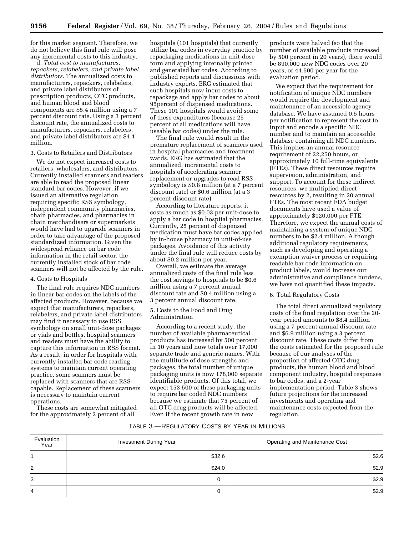for this market segment. Therefore, we do not believe this final rule will pose any incremental costs to this industry.

d. *Total cost to manufactures, repackers, relabelers, and private label distributors*. The annualized costs to manufacturers, repackers, relabelers, and private label distributors of prescription products, OTC products, and human blood and blood components are \$5.4 million using a 7 percent discount rate. Using a 3 percent discount rate, the annualized costs to manufacturers, repackers, relabelers, and private label distributors are \$4.1 million.

### 3. Costs to Retailers and Distributors

We do not expect increased costs to retailers, wholesalers, and distributors. Currently installed scanners and readers are able to read the proposed linear standard bar codes. However, if we issued an alternative regulation requiring specific RSS symbology, independent community pharmacies, chain pharmacies, and pharmacies in chain merchandisers or supermarkets would have had to upgrade scanners in order to take advantage of the proposed standardized information. Given the widespread reliance on bar code information in the retail sector, the currently installed stock of bar code scanners will not be affected by the rule.

### 4. Costs to Hospitals

The final rule requires NDC numbers in linear bar codes on the labels of the affected products. However, because we expect that manufacturers, repackers, relabelers, and private label distributors may find it necessary to use RSS symbology on small unit-dose packages or vials and bottles, hospital scanners and readers must have the ability to capture this information in RSS format. As a result, in order for hospitals with currently installed bar code reading systems to maintain current operating practice, some scanners must be replaced with scanners that are RSScapable. Replacement of these scanners is necessary to maintain current operations.

These costs are somewhat mitigated for the approximately 2 percent of all

hospitals (101 hospitals) that currently utilize bar codes in everyday practice by repackaging medications in unit-dose form and applying internally printed and generated bar codes. According to published reports and discussions with industry experts, ERG estimated that such hospitals now incur costs to repackage and apply bar codes to about 95percent of dispensed medications. These 101 hospitals would avoid some of these expenditures (because 25 percent of all medications will have useable bar codes) under the rule.

The final rule would result in the premature replacement of scanners used in hospital pharmacies and treatment wards. ERG has estimated that the annualized, incremental costs to hospitals of accelerating scanner replacement or upgrades to read RSS symbology is \$0.8 million (at a 7 percent discount rate) or \$0.6 million (at a 3 percent discount rate).

According to literature reports, it costs as much as \$0.03 per unit-dose to apply a bar code in hospital pharmacies. Currently, 25 percent of dispensed medication must have bar codes applied by in-house pharmacy in unit-of-use packages. Avoidance of this activity under the final rule will reduce costs by about \$0.2 million per year.

Overall, we estimate the average annualized costs of the final rule less the cost savings to hospitals to be \$0.6 million using a 7 percent annual discount rate and \$0.4 million using a 3 percent annual discount rate.

# 5. Costs to the Food and Drug Administration

According to a recent study, the number of available pharmaceutical products has increased by 500 percent in 10 years and now totals over 17,000 separate trade and generic names. With the multitude of dose strengths and packages, the total number of unique packaging units is now 178,000 separate identifiable products. Of this total, we expect 153,500 of these packaging units to require bar coded NDC numbers because we estimate that 75 percent of all OTC drug products will be affected. Even if the recent growth rate in new

products were halved (so that the number of available products increased by 500 percent in 20 years), there would be 890,000 new NDC codes over 20 years, or 44,500 per year for the evaluation period.

We expect that the requirement for notification of unique NDC numbers would require the development and maintenance of an accessible agency database. We have assumed 0.5 hours per notification to represent the cost to input and encode a specific NDC number and to maintain an accessible database containing all NDC numbers. This implies an annual resource requirement of 22,250 hours, or approximately 10 full-time equivalents (FTEs). These direct resources require supervision, administration, and support. To account for these indirect resources, we multiplied direct resources by 2, resulting in 20 annual FTEs. The most recent FDA budget documents have used a value of approximately \$120,000 per FTE. Therefore, we expect the annual costs of maintaining a system of unique NDC numbers to be \$2.4 million. Although additional regulatory requirements, such as developing and operating a exemption waiver process or requiring readable bar code information on product labels, would increase our administrative and compliance burdens, we have not quantified these impacts.

### 6. Total Regulatory Costs

The total direct annualized regulatory costs of the final regulation over the 20 year period amounts to \$8.4 million using a 7 percent annual discount rate and \$6.9 million using a 3 percent discount rate. These costs differ from the costs estimated for the proposed rule because of our analyses of the proportion of affected OTC drug products, the human blood and blood component industry, hospital responses to bar codes, and a 2-year implementation period. Table 3 shows future projections for the increased investments and operating and maintenance costs expected from the regulation.

# TABLE 3.—REGULATORY COSTS BY YEAR IN MILLIONS

| Evaluation<br>Year | Investment During Year | Operating and Maintenance Cost |
|--------------------|------------------------|--------------------------------|
|                    | \$32.6                 | \$2.6                          |
| 2                  | \$24.0                 | \$2.9                          |
| 3                  | 0                      | \$2.9                          |
| 4                  | 0                      | \$2.9                          |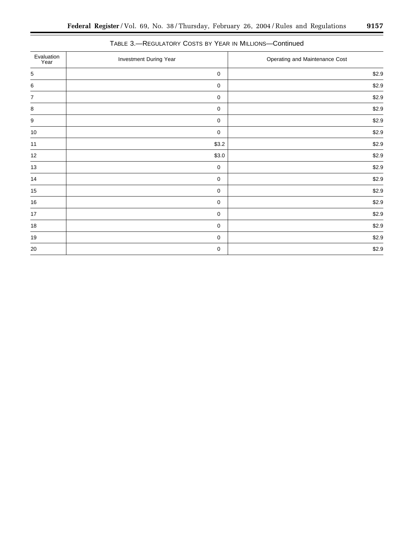| Evaluation<br>Year | Investment During Year | Operating and Maintenance Cost |
|--------------------|------------------------|--------------------------------|
| 5                  | $\mathbf 0$            | \$2.9                          |
| 6                  | $\mathbf 0$            | \$2.9                          |
| $\overline{7}$     | $\mathbf 0$            | \$2.9                          |
| 8                  | $\mathbf 0$            | \$2.9                          |
| 9                  | $\mathbf 0$            | \$2.9                          |
| 10                 | $\mathbf 0$            | \$2.9                          |
| 11                 | \$3.2                  | \$2.9                          |
| $12 \overline{ }$  | \$3.0                  | \$2.9                          |
| 13                 | $\mathbf 0$            | \$2.9                          |
| 14                 | $\mathbf 0$            | \$2.9                          |
| $15\,$             | $\mathbf 0$            | \$2.9                          |
| 16                 | $\mathbf 0$            | \$2.9                          |
| 17                 | $\mathbf 0$            | \$2.9                          |
| 18                 | $\mathbf 0$            | \$2.9                          |
| 19                 | $\mathbf 0$            | \$2.9                          |
| 20                 | $\mathbf 0$            | \$2.9                          |

# TABLE 3.—REGULATORY COSTS BY YEAR IN MILLIONS—Continued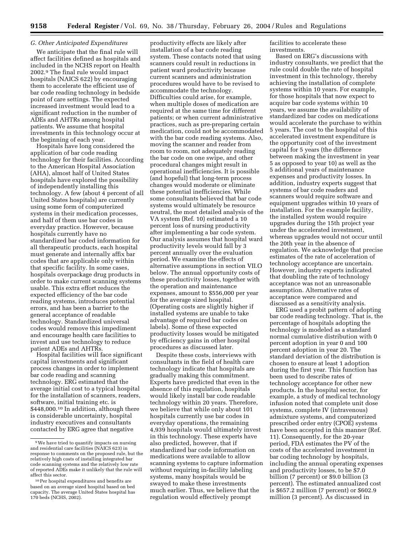# *G. Other Anticipated Expenditures*

We anticipate that the final rule will affect facilities defined as hospitals and included in the NCHS report on Health 2002.9 The final rule would impact hospitals (NAICS 622) by encouraging them to accelerate the efficient use of bar code reading technology in bedside point of care settings. The expected increased investment would lead to a significant reduction in the number of ADEs and AHTRs among hospital patients. We assume that hospital investments in this technology occur at the beginning of each year.

Hospitals have long considered the application of bar code reading technology for their facilities. According to the American Hospital Association (AHA), almost half of United States hospitals have explored the possibility of independently installing this technology. A few (about 4 percent of all United States hospitals) are currently using some form of computerized systems in their medication processes, and half of them use bar codes in everyday practice. However, because hospitals currently have no standardized bar coded information for all therapeutic products, each hospital must generate and internally affix bar codes that are applicable only within that specific facility. In some cases, hospitals overpackage drug products in order to make current scanning systems usable. This extra effort reduces the expected efficiency of the bar code reading systems, introduces potential errors, and has been a barrier to the general acceptance of readable technology. Standardized universal codes would remove this impediment and encourage health care facilities to invest and use technology to reduce patient ADEs and AHTRs.

Hospital facilities will face significant capital investments and significant process changes in order to implement bar code reading and scanning technology. ERG estimated that the average initial cost to a typical hospital for the installation of scanners, readers, software, initial training etc. is \$448,000.10 In addition, although there is considerable uncertainty, hospital industry executives and consultants contacted by ERG agree that negative

productivity effects are likely after installation of a bar code reading system. These contacts noted that using scanners could result in reductions in patient ward productivity because current scanners and administration procedures would have to be revised to accommodate the technology. Difficulties could arise, for example, when multiple doses of medication are required at the same time for different patients; or when current administrative practices, such as pre-preparing certain medication, could not be accommodated with the bar code reading systems. Also, moving the scanner and reader from room to room, not adequately reading the bar code on one swipe, and other procedural changes might result in operational inefficiencies. It is possible (and hopeful) that long-term process changes would moderate or eliminate these potential inefficiencies. While some consultants believed that bar code systems would ultimately be resource neutral, the most detailed analysis of the VA system (Ref. 10) estimated a 10 percent loss of nursing productivity after implementing a bar code system. Our analysis assumes that hospital ward productivity levels would fall by 3 percent annually over the evaluation period. We examine the effects of alternative assumptions in section VII.O below. The annual opportunity costs of these productivity losses, together with the operation and maintenance expenses, amount to \$556,000 per year for the average sized hospital. (Operating costs are slightly higher if installed systems are unable to take advantage of required bar codes on labels). Some of these expected productivity losses would be mitigated by efficiency gains in other hospital procedures as discussed later.

Despite these costs, interviews with consultants in the field of health care technology indicate that hospitals are gradually making this commitment. Experts have predicted that even in the absence of this regulation, hospitals would likely install bar code readable technology within 20 years. Therefore, we believe that while only about 101 hospitals currently use bar codes in everyday operations, the remaining 4,939 hospitals would ultimately invest in this technology. These experts have also predicted, however, that if standardized bar code information on medications were available to allow scanning systems to capture information without requiring in-facility labeling systems, many hospitals would be swayed to make these investments much earlier. Thus, we believe that the regulation would effectively prompt

facilities to accelerate these investments.

Based on ERG's discussions with industry consultants, we predict that the rule could double the rate of hospital investment in this technology, thereby achieving the installation of complete systems within 10 years. For example, for those hospitals that now expect to acquire bar code systems within 10 years, we assume the availability of standardized bar codes on medications would accelerate the purchase to within 5 years. The cost to the hospital of this accelerated investment expenditure is the opportunity cost of the investment capital for 5 years (the difference between making the investment in year 5 as opposed to year 10) as well as the 5 additional years of maintenance expenses and productivity losses. In addition, industry experts suggest that systems of bar code readers and scanners would require software and equipment upgrades within 10 years of installation. For the example facility, the installed system would require upgrades during the 15th project year under the accelerated investment, whereas upgrades would not occur until the 20th year in the absence of regulation. We acknowledge that precise estimates of the rate of acceleration of technology acceptance are uncertain. However, industry experts indicated that doubling the rate of technology acceptance was not an unreasonable assumption. Alternative rates of acceptance were compared and discussed as a sensitivity analysis.

ERG used a probit pattern of adopting bar code reading technology. That is, the percentage of hospitals adopting the technology is modeled as a standard normal cumulative distribution with 0 percent adoption in year 0 and 100 percent adoption in year 20. The standard deviation of the distribution is chosen to ensure at least 1 adoption during the first year. This function has been used to describe rates of technology acceptance for other new products. In the hospital sector, for example, a study of medical technology infusion noted that complete unit dose systems, complete IV (intravenous) admixture systems, and computerized prescribed order entry (CPOE) systems have been accepted in this manner (Ref. 11). Consequently, for the 20-year period, FDA estimates the PV of the costs of the accelerated investment in bar coding technology by hospitals, including the annual operating expenses and productivity losses, to be \$7.0 billion (7 percent) or \$9.0 billion (3 percent). The estimated annualized cost is \$657.2 million (7 percent) or \$602.9 million (3 percent). As discussed in

<sup>9</sup>We have tried to quantify impacts on nursing and residential care facilities (NAICS 623) in response to comments on the proposed rule, but the relatively high costs of installing integrated bar code scanning systems and the relatively low rate of reported ADEs make it unlikely that the rule will affect this sector.

<sup>10</sup>Per hospital expenditures and benefits are based on an average sized hospital based on bed capacity. The average United States hospital has 170 beds (NCHS, 2002).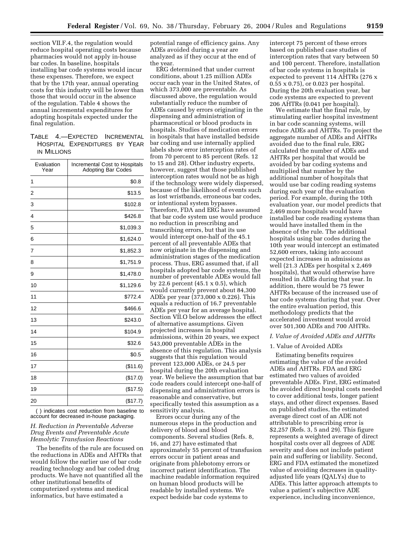section VII.F.4, the regulation would reduce hospital operating costs because pharmacies would not apply in-house bar codes. In baseline, hospitals installing bar code systems would incur these expenses. Therefore, we expect that by the 17th year, annual operating costs for this industry will be lower than those that would occur in the absence of the regulation. Table 4 shows the annual incremental expenditures for adopting hospitals expected under the final regulation.

# TABLE 4.—EXPECTED INCREMENTAL HOSPITAL EXPENDITURES BY YEAR IN MILLIONS

| Evaluation<br>Year | Incremental Cost to Hospitals<br><b>Adopting Bar Codes</b> |
|--------------------|------------------------------------------------------------|
| 1                  | \$0.8                                                      |
| 2                  | \$13.5                                                     |
| 3                  | \$102.8                                                    |
| 4                  | \$426.8                                                    |
| 5                  | \$1,039.3                                                  |
| 6                  | \$1,624.0                                                  |
| 7                  | \$1,852.3                                                  |
| 8                  | \$1,751.9                                                  |
| 9                  | \$1,478.0                                                  |
| 10                 | \$1,129.6                                                  |
| 11                 | \$772.4                                                    |
| 12                 | \$466.6                                                    |
| 13                 | \$243.0                                                    |
| 14                 | \$104.9                                                    |
| 15                 | \$32.6                                                     |
| 16                 | \$0.5                                                      |
| 17                 | (\$11.6)                                                   |
| 18                 | (\$17.0)                                                   |
| 19                 | (\$17.5)                                                   |
| 20                 | (\$17.7)                                                   |

( ) indicates cost reduction from baseline to account for decreased in-house packaging.

# *H. Reduction in Preventable Adverse Drug Events and Preventable Acute Hemolytic Transfusion Reactions*

The benefits of the rule are focused on the reductions in ADEs and AHTRs that would follow the earlier use of bar code reading technology and bar coded drug products. We have not quantified all the other institutional benefits of computerized systems and medical informatics, but have estimated a

potential range of efficiency gains. Any ADEs avoided during a year are analyzed as if they occur at the end of the year.

ERG determined that under current conditions, about 1.25 million ADEs occur each year in the United States, of which 373,000 are preventable. As discussed above, the regulation would substantially reduce the number of ADEs caused by errors originating in the dispensing and administration of pharmaceutical or blood products in hospitals. Studies of medication errors in hospitals that have installed bedside bar coding and use internally applied labels show error interception rates of from 70 percent to 85 percent (Refs. 12 to 15 and 28). Other industry experts, however, suggest that those published interception rates would not be as high if the technology were widely dispersed, because of the likelihood of events such as lost wristbands, erroneous bar codes, or intentional system bypasses. Therefore, FDA and ERG have assumed that bar code system use would produce no reduction in prescribing and transcribing errors, but that its use would intercept one-half of the 45.1 percent of all preventable ADEs that now originate in the dispensing and administration stages of the medication process. Thus, ERG assumed that, if all hospitals adopted bar code systems, the number of preventable ADEs would fall by 22.6 percent (45.1 x 0.5), which would currently prevent about 84,300 ADEs per year (373,000 x 0.226). This equals a reduction of 16.7 preventable ADEs per year for an average hospital. Section VII.O below addresses the effect of alternative assumptions. Given projected increases in hospital admissions, within 20 years, we expect 543,000 preventable ADEs in the absence of this regulation. This analysis suggests that this regulation would prevent 123,000 ADEs, or 24.5 per hospital during the 20th evaluation year. We believe the assumption that bar code readers could intercept one-half of dispensing and administration errors is reasonable and conservative, but specifically tested this assumption as a sensitivity analysis.

Errors occur during any of the numerous steps in the production and delivery of blood and blood components. Several studies (Refs. 8, 16, and 27) have estimated that approximately 55 percent of transfusion errors occur in patient areas and originate from phlebotomy errors or incorrect patient identification. The machine readable information required on human blood products will be readable by installed systems. We expect bedside bar code systems to

intercept 75 percent of these errors based on published case studies of interception rates that vary between 50 and 100 percent. Therefore, installation of bar code systems in hospitals is expected to prevent 114 AHTRs (276 x 0.55 x 0.75), or 0.023 per hospital. During the 20th evaluation year, bar code systems are expected to prevent 206 AHTRs (0.041 per hospital).

We estimate that the final rule, by stimulating earlier hospital investment in bar code scanning systems, will reduce ADEs and AHTRs. To project the aggregate number of ADEs and AHTRs avoided due to the final rule, ERG calculated the number of ADEs and AHTRs per hospital that would be avoided by bar coding systems and multiplied that number by the additional number of hospitals that would use bar coding reading systems during each year of the evaluation period. For example, during the 10th evaluation year, our model predicts that 2,469 more hospitals would have installed bar code reading systems than would have installed them in the absence of the rule. The additional hospitals using bar codes during the 10th year would intercept an estimated 52,600 errors, taking into account expected increases in admissions as well (21.3 ADEs per hospital x 2,469 hospitals), that would otherwise have resulted in ADEs during that year. In addition, there would be 75 fewer AHTRs because of the increased use of bar code systems during that year. Over the entire evaluation period, this methodology predicts that the accelerated investment would avoid over 501,300 ADEs and 700 AHTRs.

### *I. Value of Avoided ADEs and AHTRs*

# 1. Value of Avoided ADEs

Estimating benefits requires estimating the value of the avoided ADEs and AHTRs. FDA and ERG estimated two values of avoided preventable ADEs. First, ERG estimated the avoided direct hospital costs needed to cover additional tests, longer patient stays, and other direct expenses. Based on published studies, the estimated average direct cost of an ADE not attributable to prescribing error is \$2,257 (Refs. 3, 5 and 29). This figure represents a weighted average of direct hospital costs over all degrees of ADE severity and does not include patient pain and suffering or liability. Second, ERG and FDA estimated the monetized value of avoiding decreases in qualityadjusted life years (QALYs) due to ADEs. This latter approach attempts to value a patient's subjective ADE experience, including inconvenience,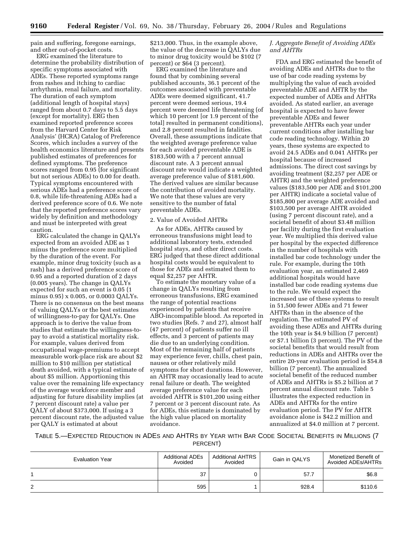pain and suffering, foregone earnings, and other out-of-pocket costs.

ERG examined the literature to determine the probability distribution of specific symptoms associated with ADEs. These reported symptoms range from rashes and itching to cardiac arrhythmia, renal failure, and mortality. The duration of each symptom (additional length of hospital stays) ranged from about 0.7 days to 5.5 days (except for mortality). ERG then examined reported preference scores from the Harvard Center for Risk Analysis' (HCRA) Catalog of Preference Scores, which includes a survey of the health economics literature and presents published estimates of preferences for defined symptoms. The preference scores ranged from 0.95 (for significant but not serious ADEs) to 0.00 for death. Typical symptoms encountered with serious ADEs had a preference score of 0.8, while life-threatening ADEs had a derived preference score of 0.6. We note that the reported preference scores vary widely by definition and methodology and must be interpreted with great caution.

ERG calculated the change in QALYs expected from an avoided ADE as 1 minus the preference score multiplied by the duration of the event. For example, minor drug toxicity (such as a rash) has a derived preference score of 0.95 and a reported duration of 2 days (0.005 years). The change in QALYs expected for such an event is 0.05 (1 minus 0.95) x 0.005, or 0.0003 QALYs. There is no consensus on the best means of valuing QALYs or the best estimates of willingness-to-pay for QALYs. One approach is to derive the value from studies that estimate the willingness-topay to avoid a statistical mortality risk. For example, values derived from occupational wage-premiums to accept measurable work-place risk are about \$2 million to \$10 million per statistical death avoided, with a typical estimate of about \$5 million. Apportioning this value over the remaining life expectancy of the average workforce member and adjusting for future disability implies (at 7 percent discount rate) a value per QALY of about \$373,000. If using a 3 percent discount rate, the adjusted value per QALY is estimated at about

\$213,000. Thus, in the example above, the value of the decrease in QALYs due to minor drug toxicity would be \$102 (7 percent) or \$64 (3 percent).

ERG examined the literature and found that by combining several published accounts, 36.1 percent of the outcomes associated with preventable ADEs were deemed significant, 41.7 percent were deemed serious, 19.4 percent were deemed life threatening (of which 10 percent [or 1.9 percent of the total] resulted in permanent conditions), and 2.8 percent resulted in fatalities. Overall, these assumptions indicate that the weighted average preference value for each avoided preventable ADE is \$183,500 with a 7 percent annual discount rate. A 3 percent annual discount rate would indicate a weighted average preference value of \$181,600. The derived values are similar because the contribution of avoided mortality. We note that these values are very sensitive to the number of fatal preventable ADEs.

### 2. Value of Avoided AHTRs

As for ADEs, AHTRs caused by erroneous transfusions might lead to additional laboratory tests, extended hospital stays, and other direct costs. ERG judged that these direct additional hospital costs would be equivalent to those for ADEs and estimated them to equal \$2,257 per AHTR.

To estimate the monetary value of a change in QALYs resulting from erroneous transfusions, ERG examined the range of potential reactions experienced by patients that receive ABO-incompatible blood. As reported in two studies (Refs. 7 and 27), almost half (47 percent) of patients suffer no ill effects, and 3 percent of patients may die due to an underlying condition. Most of the remaining half of patients may experience fever, chills, chest pain, nausea or other relatively mild symptoms for short durations. However, an AHTR may occasionally lead to acute renal failure or death. The weighted average preference value for each avoided AHTR is \$101,200 using either 7 percent or 3 percent discount rate. As for ADEs, this estimate is dominated by the high value placed on mortality avoidance.

# *J. Aggregate Benefit of Avoiding ADEs and AHTRs*

FDA and ERG estimated the benefit of avoiding ADEs and AHTRs due to the use of bar code reading systems by multiplying the value of each avoided preventable ADE and AHTR by the expected number of ADEs and AHTRs avoided. As stated earlier, an average hospital is expected to have fewer preventable ADEs and fewer preventable AHTRs each year under current conditions after installing bar code reading technology. Within 20 years, these systems are expected to avoid 24.5 ADEs and 0.041 AHTRs per hospital because of increased admissions. The direct cost savings by avoiding treatment (\$2,257 per ADE or AHTR) and the weighted preference values (\$183,500 per ADE and \$101,200 per AHTR) indicate a societal value of \$185,800 per average ADE avoided and \$103,500 per average AHTR avoided (using 7 percent discount rate), and a societal benefit of about \$3.48 million per facility during the first evaluation year. We multiplied this derived value per hospital by the expected difference in the number of hospitals with installed bar code technology under the rule. For example, during the 10th evaluation year, an estimated 2,469 additional hospitals would have installed bar code reading systems due to the rule. We would expect the increased use of these systems to result in 51,500 fewer ADEs and 71 fewer AHTRs than in the absence of the regulation. The estimated PV of avoiding these ADEs and AHTRs during the 10th year is \$4.9 billion (7 percent) or \$7.1 billion (3 percent). The PV of the societal benefits that would result from reductions in ADEs and AHTRs over the entire 20-year evaluation period is \$54.8 billion (7 percent). The annualized societal benefit of the reduced number of ADEs and AHTRs is \$5.2 billion at 7 percent annual discount rate. Table 5 illustrates the expected reduction in ADEs and AHTRs for the entire evaluation period. The PV for AHTR avoidance alone is \$42.2 million and annualized at \$4.0 million at 7 percent.

TABLE 5.—EXPECTED REDUCTION IN ADES AND AHTRS BY YEAR WITH BAR CODE SOCIETAL BENEFITS IN MILLIONS (7

PERCENT)

| <b>Evaluation Year</b> | <b>Additional ADEs</b><br>Avoided | <b>Additional AHTRS</b><br>Avoided | Gain in QALYS | Monetized Benefit of<br>Avoided ADEs/AHTRs |
|------------------------|-----------------------------------|------------------------------------|---------------|--------------------------------------------|
|                        | 37                                |                                    | 57.7          | \$6.8                                      |
| 2                      | 595                               |                                    | 928.4         | \$110.6                                    |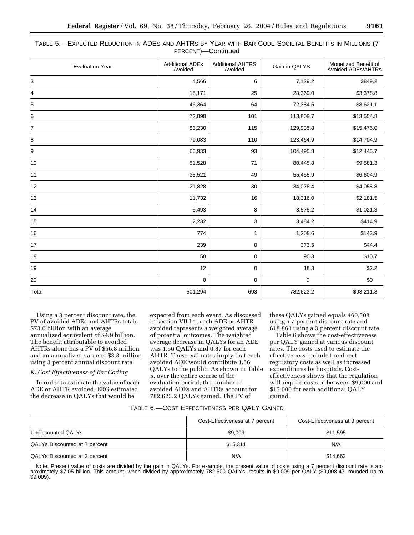| Table 5.—Expected Reduction in ADEs and AHTRs by Year with Bar Code Societal Benefits in Millions (7 |  |                    |  |  |  |
|------------------------------------------------------------------------------------------------------|--|--------------------|--|--|--|
|                                                                                                      |  | PERCENT)—Continued |  |  |  |

| <b>Additional ADEs</b><br>Avoided | <b>Additional AHTRS</b><br>Avoided | Gain in QALYS | Monetized Benefit of<br><b>Avoided ADEs/AHTRs</b> |
|-----------------------------------|------------------------------------|---------------|---------------------------------------------------|
| 4,566                             | 6                                  | 7,129.2       | \$849.2                                           |
| 18,171                            | 25                                 | 28,369.0      | \$3,378.8                                         |
| 46,364                            | 64                                 | 72,384.5      | \$8,621.1                                         |
| 72,898                            | 101                                | 113,808.7     | \$13,554.8                                        |
| 83,230                            | 115                                | 129,938.8     | \$15,476.0                                        |
| 79,083                            | 110                                | 123,464.9     | \$14,704.9                                        |
| 66,933                            | 93                                 | 104,495.8     | \$12,445.7                                        |
| 51,528                            | 71                                 | 80,445.8      | \$9,581.3                                         |
| 35,521                            | 49                                 | 55,455.9      | \$6,604.9                                         |
| 21,828                            | 30                                 | 34,078.4      | \$4,058.8                                         |
| 11,732                            | 16                                 | 18,316.0      | \$2,181.5                                         |
| 5,493                             | 8                                  | 8,575.2       | \$1,021.3                                         |
| 2,232                             | 3                                  | 3,484.2       | \$414.9                                           |
| 774                               | 1                                  | 1,208.6       | \$143.9                                           |
| 239                               | 0                                  | 373.5         | \$44.4                                            |
| 58                                | 0                                  | 90.3          | \$10.7                                            |
| 12                                | 0                                  | 18.3          | \$2.2                                             |
| 0                                 | 0                                  | $\mathbf 0$   | \$0                                               |
| 501,294                           | 693                                | 782,623.2     | \$93,211.8                                        |
|                                   |                                    |               |                                                   |

Using a 3 percent discount rate, the PV of avoided ADEs and AHTRs totals \$73.0 billion with an average annualized equivalent of \$4.9 billion. The benefit attributable to avoided AHTRs alone has a PV of \$56.8 million and an annualized value of \$3.8 million using 3 percent annual discount rate.

# *K. Cost Effectiveness of Bar Coding*

In order to estimate the value of each ADE or AHTR avoided, ERG estimated the decrease in QALYs that would be

expected from each event. As discussed in section VII.I.1, each ADE or AHTR avoided represents a weighted average of potential outcomes. The weighted average decrease in QALYs for an ADE was 1.56 QALYs and 0.87 for each AHTR. These estimates imply that each avoided ADE would contribute 1.56 QALYs to the public. As shown in Table 5, over the entire course of the evaluation period, the number of avoided ADEs and AHTRs account for 782,623.2 QALYs gained. The PV of

these QALYs gained equals 460,508 using a 7 percent discount rate and 618,861 using a 3 percent discount rate.

Table 6 shows the cost-effectiveness per QALY gained at various discount rates. The costs used to estimate the effectiveness include the direct regulatory costs as well as increased expenditures by hospitals. Costeffectiveness shows that the regulation will require costs of between \$9,000 and \$15,000 for each additional QALY gained.

# TABLE 6.—COST EFFECTIVENESS PER QALY GAINED

|                               | Cost-Effectiveness at 7 percent | Cost-Effectiveness at 3 percent |
|-------------------------------|---------------------------------|---------------------------------|
| Undiscounted QALYs            | \$9,009                         | \$11,595                        |
| QALYs Discounted at 7 percent | \$15.311                        | N/A                             |
| QALYs Discounted at 3 percent | N/A                             | \$14,663                        |

Note: Present value of costs are divided by the gain in QALYs. For example, the present value of costs using a 7 percent discount rate is approximately \$7.05 billion. This amount, when divided by approximately 782,600 QALYs, results in \$9,009 per QALY (\$9,008.43, rounded up to \$9,009).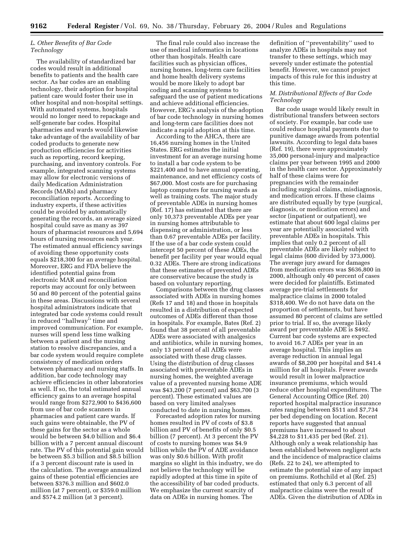# *L. Other Benefits of Bar Code Technology*

The availability of standardized bar codes would result in additional benefits to patients and the health care sector. As bar codes are an enabling technology, their adoption for hospital patient care would foster their use in other hospital and non-hospital settings. With automated systems, hospitals would no longer need to repackage and self-generate bar codes. Hospital pharmacies and wards would likewise take advantage of the availability of bar coded products to generate new production efficiencies for activities such as reporting, record keeping, purchasing, and inventory controls. For example, integrated scanning systems may allow for electronic versions of daily Medication Administration Records (MARs) and pharmacy reconciliation reports. According to industry experts, if these activities could be avoided by automatically generating the records, an average sized hospital could save as many as 397 hours of pharmacist resources and 5,694 hours of nursing resources each year. The estimated annual efficiency savings of avoiding these opportunity costs equals \$218,300 for an average hospital. Moreover, ERG and FDA believe the identified potential gains from electronic MAR and reconciliation reports may account for only between 50 and 80 percent of the potential gains in these areas. Discussions with several hospital administrators indicate that integrated bar code systems could result in reduced ''hallway'' time and improved communication. For example, nurses will spend less time walking between a patient and the nursing station to resolve discrepancies, and a bar code system would require complete consistency of medication orders between pharmacy and nursing staffs. In addition, bar code technology may achieve efficiencies in other laboratories as well. If so, the total estimated annual efficiency gains to an average hospital would range from \$272,900 to \$436,600 from use of bar code scanners in pharmacies and patient care wards. If such gains were obtainable, the PV of these gains for the sector as a whole would be between \$4.0 billion and \$6.4 billion with a 7 percent annual discount rate. The PV of this potential gain would be between \$5.3 billion and \$8.5 billion if a 3 percent discount rate is used in the calculation. The average annualized gains of these potential efficiencies are between \$376.3 million and \$602.0 million (at 7 percent), or \$359.0 million and \$574.2 million (at 3 percent).

The final rule could also increase the use of medical informatics in locations other than hospitals. Health care facilities such as physician offices, nursing homes, long-term care facilities and home health delivery systems would be more likely to adopt bar coding and scanning systems to safeguard the use of patient medications and achieve additional efficiencies. However, ERG's analysis of the adoption of bar code technology in nursing homes and long-term care facilities does not indicate a rapid adoption at this time.

According to the AHCA, there are 16,456 nursing homes in the United States. ERG estimates the initial investment for an average nursing home to install a bar code system to be \$221,400 and to have annual operating, maintenance, and net efficiency costs of \$67,000. Most costs are for purchasing laptop computers for nursing wards as well as training costs. The major study of preventable ADEs in nursing homes (Ref. 17) has estimated that there are only 10,373 preventable ADEs per year in nursing homes attributable to dispensing or administration, or less than 0.67 preventable ADEs per facility. If the use of a bar code system could intercept 50 percent of these ADEs, the benefit per facility per year would equal 0.32 ADEs. There are strong indications that these estimates of prevented ADEs are conservative because the study is based on voluntary reporting.

Comparisons between the drug classes associated with ADEs in nursing homes (Refs 17 and 18) and those in hospitals resulted in a distribution of expected outcomes of ADEs different than those in hospitals. For example, Bates (Ref. 2) found that 38 percent of all preventable ADEs were associated with analgesics and antibiotics, while in nursing homes, only 13 percent of all ADEs were associated with these drug classes. Using the distribution of drug classes associated with preventable ADEs in nursing homes, the weighted average value of a prevented nursing home ADE was \$43,200 (7 percent) and \$63,700 (3 percent). These estimated values are based on very limited analyses conducted to date in nursing homes.

Forecasted adoption rates for nursing homes resulted in PV of costs of \$3.8 billion and PV of benefits of only \$0.5 billion (7 percent). At 3 percent the PV of costs to nursing homes was \$4.9 billion while the PV of ADE avoidance was only \$0.6 billion. With profit margins so slight in this industry, we do not believe the technology will be rapidly adopted at this time in spite of the accessibility of bar coded products. We emphasize the current scarcity of data on ADEs in nursing homes. The

definition of ''preventability'' used to analyze ADEs in hospitals may not transfer to these settings, which may severely under estimate the potential benefit. However, we cannot project impacts of this rule for this industry at this time.

# *M. Distributional Effects of Bar Code Technology*

Bar code usage would likely result in distributional transfers between sectors of society. For example, bar code use could reduce hospital payments due to punitive damage awards from potential lawsuits. According to legal data bases (Ref. 19), there were approximately 35,000 personal-injury and malpractice claims per year between 1995 and 2000 in the health care sector. Approximately half of these claims were for pregnancies with the remainder including surgical claims, misdiagnosis, and medication errors. If these claims are distributed equally by type (surgical, diagnosis, or medication errors) and sector (inpatient or outpatient), we estimate that about 600 legal claims per year are potentially associated with preventable ADEs in hospitals. This implies that only 0.2 percent of all preventable ADEs are likely subject to legal claims (600 divided by 373,000). The average jury award for damages from medication errors was \$636,800 in 2000, although only 40 percent of cases were decided for plaintiffs. Estimated average pre-trial settlements for malpractice claims in 2000 totaled \$318,400. We do not have data on the proportion of settlements, but have assumed 80 percent of claims are settled prior to trial. If so, the average likely award per preventable ADE is \$492. Current bar code systems are expected to avoid 16.7 ADEs per year in an average hospital. This implies an average reduction in annual legal awards of \$8,200 per hospital and \$41.4 million for all hospitals. Fewer awards would result in lower malpractice insurance premiums, which would reduce other hospital expenditures. The General Accounting Office (Ref. 20) reported hospital malpractice insurance rates ranging between \$511 and \$7,734 per bed depending on location. Recent reports have suggested that annual premiums have increased to about \$4,228 to \$11,435 per bed (Ref. 21). Although only a weak relationship has been established between negligent acts and the incidence of malpractice claims (Refs. 22 to 24), we attempted to estimate the potential size of any impact on premiums. Rothchild et al (Ref. 25) estimated that only 6.3 percent of all malpractice claims were the result of ADEs. Given the distribution of ADEs in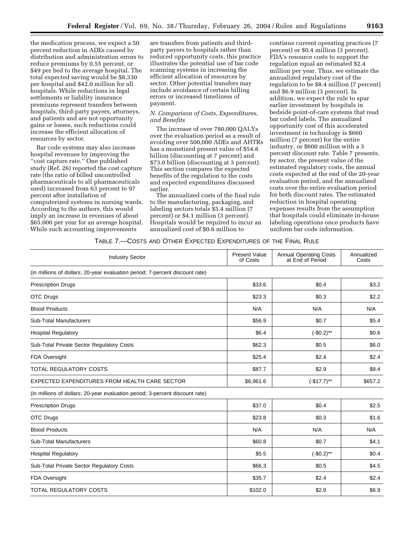the medication process, we expect a 50 percent reduction in ADEs caused by distribution and administration errors to reduce premiums by 0.55 percent, or \$49 per bed to the average hospital. The total expected saving would be \$8,330 per hospital and \$42.0 million for all hospitals. While reductions in legal settlements or liability insurance premiums represent transfers between hospitals, third-party payers, attorneys, and patients and are not opportunity gains or losses, such reductions could increase the efficient allocation of resources by sector.

Bar code systems may also increase hospital revenues by improving the ''cost capture rate.'' One published study (Ref. 26) reported the cost capture rate (the ratio of billed uncontrolled pharmaceuticals to all pharmaceuticals used) increased from 63 percent to 97 percent after installation of computerized systems in nursing wards. According to the authors, this would imply an increase in revenues of about \$65,000 per year for an average hospital. While such accounting improvements

are transfers from patients and thirdparty payers to hospitals rather than reduced opportunity costs, this practice illustrates the potential use of bar code scanning systems in increasing the efficient allocation of resources by sector. Other potential transfers may include avoidance of certain billing errors or increased timeliness of payment.

# *N. Comparison of Costs, Expenditures, and Benefits*

The increase of over 780,000 QALYs over the evaluation period as a result of avoiding over 500,000 ADEs and AHTRs has a monetized present value of \$54.8 billion (discounting at 7 percent) and \$73.0 billion (discounting at 3 percent). This section compares the expected benefits of the regulation to the costs and expected expenditures discussed earlier.

The annualized costs of the final rule to the manufacturing, packaging, and labeling sectors totals \$5.4 million (7 percent) or \$4.1 million (3 percent). Hospitals would be required to incur an annualized cost of \$0.6 million to

continue current operating practices (7 percent) or \$0.4 million (3 percent). FDA's resource costs to support the regulation equal an estimated \$2.4 million per year. Thus, we estimate the annualized regulatory cost of the regulation to be \$8.4 million (7 percent) and \$6.9 million (3 percent). In addition, we expect the rule to spur earlier investment by hospitals in bedside point-of-care systems that read bar coded labels. The annualized opportunity cost of this accelerated investment in technology is \$660 million (7 percent) for the entire industry, or \$600 million with a 3 percent discount rate. Table 7 presents, by sector, the present value of the estimated regulatory costs, the annual costs expected at the end of the 20-year evaluation period, and the annualized costs over the entire evaluation period for both discount rates. The estimated reduction in hospital operating expenses results from the assumption that hospitals could eliminate in-house labeling operations once products have uniform bar code information.

# TABLE 7.—COSTS AND OTHER EXPECTED EXPENDITURES OF THE FINAL RULE

| <b>Industry Sector</b>                                                       | <b>Present Value</b><br>of Costs | <b>Annual Operating Costs</b><br>at End of Period | Annualized<br>Costs |
|------------------------------------------------------------------------------|----------------------------------|---------------------------------------------------|---------------------|
| (in millions of dollars; 20-year evaluation period; 7-percent discount rate) |                                  |                                                   |                     |
| <b>Prescription Drugs</b>                                                    | \$33.6                           | \$0.4                                             | \$3.2               |
| <b>OTC Drugs</b>                                                             | \$23.3                           | \$0.3                                             | \$2.2               |
| <b>Blood Products</b>                                                        | N/A                              | N/A                                               | N/A                 |
| <b>Sub-Total Manufacturers</b>                                               | \$56.9                           | \$0.7                                             | \$5.4               |
| <b>Hospital Regulatory</b>                                                   | \$6.4                            | $(-\$0.2)$ **                                     | \$0.6               |
| Sub-Total Private Sector Regulatory Costs                                    | \$62.3                           | \$0.5                                             | \$6.0               |
| FDA Oversight                                                                | \$25.4                           | \$2.4                                             | \$2.4               |
| <b>TOTAL REGULATORY COSTS</b>                                                | \$87.7                           | \$2.9                                             | \$8.4               |
| EXPECTED EXPENDITURES FROM HEALTH CARE SECTOR                                | \$6,961.6                        | $(-$17.7)**$                                      | \$657.2             |
| (in millions of dollars; 20-year evaluation period; 3-percent discount rate) |                                  |                                                   |                     |
| <b>Prescription Drugs</b>                                                    | \$37.0                           | \$0.4                                             | \$2.5               |
| <b>OTC Drugs</b>                                                             | \$23.8                           | \$0.3                                             | \$1.6               |
| <b>Blood Products</b>                                                        | N/A                              | N/A                                               | N/A                 |
| <b>Sub-Total Manufacturers</b>                                               | \$60.8                           | \$0.7                                             | \$4.1               |
| <b>Hospital Regulatory</b>                                                   | \$5.5                            | $(-$0.2)**$                                       | \$0.4               |
| Sub-Total Private Sector Regulatory Costs                                    | \$66.3                           | \$0.5                                             | \$4.5               |
| FDA Oversight                                                                | \$35.7                           | \$2.4                                             | \$2.4               |
| <b>TOTAL REGULATORY COSTS</b>                                                | \$102.0                          | \$2.9                                             | \$6.9               |
|                                                                              |                                  |                                                   |                     |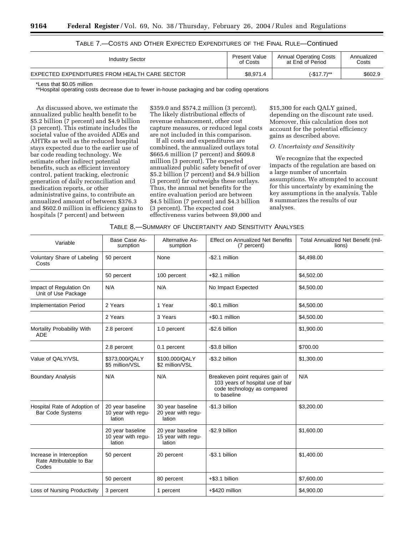| <b>Industry Sector</b>                        | Present Value | <b>Annual Operating Costs</b> | Annualized |  |
|-----------------------------------------------|---------------|-------------------------------|------------|--|
|                                               | of Costs      | at End of Period              | Costs      |  |
| EXPECTED EXPENDITURES FROM HEALTH CARE SECTOR | \$8.971.4     | (-\$17.7)**                   | \$602.9    |  |

# TABLE 7.—COSTS AND OTHER EXPECTED EXPENDITURES OF THE FINAL RULE—Continued

\*Less that \$0.05 million

\*\*Hospital operating costs decrease due to fewer in-house packaging and bar coding operations

As discussed above, we estimate the annualized public health benefit to be \$5.2 billion (7 percent) and \$4.9 billion (3 percent). This estimate includes the societal value of the avoided ADEs and AHTRs as well as the reduced hospital stays expected due to the earlier use of bar code reading technology. We estimate other indirect potential benefits, such as efficient inventory control, patient tracking, electronic generation of daily reconciliation and medication reports, or other administrative gains, to contribute an annualized amount of between \$376.3 and \$602.0 million in efficiency gains to hospitals (7 percent) and between

\$359.0 and \$574.2 million (3 percent). The likely distributional effects of revenue enhancement, other cost capture measures, or reduced legal costs are not included in this comparison.

If all costs and expenditures are combined, the annualized outlays total \$665.6 million (7 percent) and \$609.8 million (3 percent). The expected annualized public safety benefit of over \$5.2 billion (7 percent) and \$4.9 billion (3 percent) far outweighs these outlays. Thus, the annual net benefits for the entire evaluation period are between \$4.5 billion (7 percent) and \$4.3 billion (3 percent). The expected cost effectiveness varies between \$9,000 and \$15,300 for each QALY gained, depending on the discount rate used. Moreover, this calculation does not account for the potential efficiency gains as described above.

# *O. Uncertainty and Sensitivity*

We recognize that the expected impacts of the regulation are based on a large number of uncertain assumptions. We attempted to account for this uncertainty by examining the key assumptions in the analysis. Table 8 summarizes the results of our analyses.

|  |  | TABLE 8.—SUMMARY OF UNCERTAINTY AND SENSITIVITY ANALYSES |
|--|--|----------------------------------------------------------|
|--|--|----------------------------------------------------------|

| Variable                                                      | Base Case As-<br>sumption                        | Alternative As-<br>sumption                      | <b>Effect on Annualized Net Benefits</b><br>(7 percent)                                                            | Total Annualized Net Benefit (mil-<br>lions) |
|---------------------------------------------------------------|--------------------------------------------------|--------------------------------------------------|--------------------------------------------------------------------------------------------------------------------|----------------------------------------------|
| Voluntary Share of Labeling<br>Costs                          | 50 percent                                       | None                                             | -\$2.1 million                                                                                                     | \$4,498.00                                   |
|                                                               | 50 percent                                       | 100 percent                                      | $+$ \$2.1 million                                                                                                  | \$4,502.00                                   |
| Impact of Regulation On<br>Unit of Use Package                | N/A                                              | N/A                                              | No Impact Expected                                                                                                 | \$4,500.00                                   |
| <b>Implementation Period</b>                                  | 2 Years                                          | 1 Year                                           | -\$0.1 million                                                                                                     | \$4,500.00                                   |
|                                                               | 2 Years                                          | 3 Years                                          | $+$ \$0.1 million                                                                                                  | \$4,500.00                                   |
| Mortality Probability With<br><b>ADE</b>                      | 2.8 percent                                      | 1.0 percent                                      | -\$2.6 billion                                                                                                     | \$1,900.00                                   |
|                                                               | 2.8 percent                                      | 0.1 percent                                      | -\$3.8 billion                                                                                                     | \$700.00                                     |
| Value of QALY/VSL                                             | \$373.000/QALY<br>\$5 million/VSL                | \$100,000/QALY<br>\$2 million/VSL                | -\$3.2 billion                                                                                                     | \$1,300.00                                   |
| <b>Boundary Analysis</b>                                      | N/A                                              | N/A                                              | Breakeven point requires gain of<br>103 years of hospital use of bar<br>code technology as compared<br>to baseline | N/A                                          |
| Hospital Rate of Adoption of<br><b>Bar Code Systems</b>       | 20 year baseline<br>10 year with regu-<br>lation | 30 year baseline<br>20 year with regu-<br>lation | -\$1.3 billion                                                                                                     | \$3,200.00                                   |
|                                                               | 20 year baseline<br>10 year with regu-<br>lation | 20 year baseline<br>15 year with regu-<br>lation | -\$2.9 billion                                                                                                     | \$1,600.00                                   |
| Increase in Interception<br>Rate Attributable to Bar<br>Codes | 50 percent                                       | 20 percent                                       | -\$3.1 billion                                                                                                     | \$1,400.00                                   |
|                                                               | 50 percent                                       | 80 percent                                       | $+$ \$3.1 billion                                                                                                  | \$7,600.00                                   |
| Loss of Nursing Productivity                                  | 3 percent                                        | 1 percent                                        | +\$420 million                                                                                                     | \$4,900.00                                   |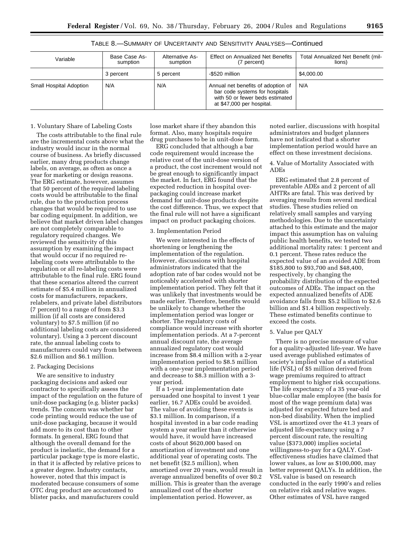| I<br>×<br>v | I<br>×<br>v | ۰. |
|-------------|-------------|----|

| Variable                | Base Case As-<br>sumption | Alternative As-<br>sumption | <b>Effect on Annualized Net Benefits</b><br>(7 percent)                                                                              | Total Annualized Net Benefit (mil-<br>lions) |
|-------------------------|---------------------------|-----------------------------|--------------------------------------------------------------------------------------------------------------------------------------|----------------------------------------------|
|                         | 3 percent                 | 5 percent                   | -\$520 million                                                                                                                       | \$4,000.00                                   |
| Small Hospital Adoption | N/A                       | N/A                         | Annual net benefits of adoption of<br>bar code systems for hospitals<br>with 50 or fewer beds estimated<br>at \$47,000 per hospital. | N/A                                          |

TABLE 8.—SUMMARY OF UNCERTAINTY AND SENSITIVITY ANALYSES—Continued

# 1. Voluntary Share of Labeling Costs

The costs attributable to the final rule are the incremental costs above what the industry would incur in the normal course of business. As briefly discussed earlier, many drug products change labels, on average, as often as once a year for marketing or design reasons. The ERG estimate, however, assumes that 50 percent of the required labeling costs would be attributable to the final rule, due to the production process changes that would be required to use bar coding equipment. In addition, we believe that market driven label changes are not completely comparable to regulatory required changes. We reviewed the sensitivity of this assumption by examining the impact that would occur if no required relabeling costs were attributable to the regulation or all re-labeling costs were attributable to the final rule. ERG found that these scenarios altered the current estimate of \$5.4 million in annualized costs for manufacturers, repackers, relabelers, and private label distributors (7 percent) to a range of from \$3.3 million (if all costs are considered voluntary) to \$7.5 million (if no additional labeling costs are considered voluntary). Using a 3 percent discount rate, the annual labeling costs to manufacturers could vary from between \$2.6 million and \$6.1 million.

### 2. Packaging Decisions

We are sensitive to industry packaging decisions and asked our contractor to specifically assess the impact of the regulation on the future of unit-dose packaging (e.g. blister packs) trends. The concern was whether bar code printing would reduce the use of unit-dose packaging, because it would add more to its cost than to other formats. In general, ERG found that although the overall demand for the product is inelastic, the demand for a particular package type is more elastic, in that it is affected by relative prices to a greater degree. Industry contacts, however, noted that this impact is moderated because consumers of some OTC drug product are accustomed to blister packs, and manufacturers could

lose market share if they abandon this format. Also, many hospitals require drug purchases to be in unit-dose form.

ERG concluded that although a bar code requirement would increase the relative cost of the unit-dose version of a product, the cost increment would not be great enough to significantly impact the market. In fact, ERG found that the expected reduction in hospital overpackaging could increase market demand for unit-dose products despite the cost difference. Thus, we expect that the final rule will not have a significant impact on product packaging choices.

### 3. Implementation Period

We were interested in the effects of shortening or lengthening the implementation of the regulation. However, discussions with hospital administrators indicated that the adoption rate of bar codes would not be noticeably accelerated with shorter implementation period. They felt that it was unlikely that investments would be made earlier. Therefore, benefits would be unlikely to change whether the implementation period was longer or shorter. The regulatory costs of compliance would increase with shorter implementation periods. At a 7-percent annual discount rate, the average annualized regulatory cost would increase from \$8.4 million with a 2-year implementation period to \$8.5 million with a one-year implementation period and decrease to \$8.3 million with a 3 year period.

If a 1-year implementation date persuaded one hospital to invest 1 year earlier, 16.7 ADEs could be avoided. The value of avoiding these events is \$3.1 million. In comparison, if a hospital invested in a bar code reading system a year earlier than it otherwise would have, it would have increased costs of about \$620,000 based on amortization of investment and one additional year of operating costs. The net benefit (\$2.5 million), when amortized over 20 years, would result in average annualized benefits of over \$0.2 million. This is greater than the average annualized cost of the shorter implementation period. However, as

noted earlier, discussions with hospital administrators and budget planners have not indicated that a shorter implementation period would have an effect on these investment decisions.

4. Value of Mortality Associated with ADEs

ERG estimated that 2.8 percent of preventable ADEs and 2 percent of all AHTRs are fatal. This was derived by averaging results from several medical studies. These studies relied on relatively small samples and varying methodologies. Due to the uncertainty attached to this estimate and the major impact this assumption has on valuing public health benefits, we tested two additional mortality rates: 1 percent and 0.1 percent. These rates reduce the expected value of an avoided ADE from \$185,800 to \$93,700 and \$48,400, respectively, by changing the probability distribution of the expected outcomes of ADEs. The impact on the expected annualized benefits of ADE avoidance falls from \$5.2 billion to \$2.6 billion and \$1.4 billion respectively. These estimated benefits continue to exceed the costs.

### 5. Value per QALY

There is no precise measure of value for a quality-adjusted life-year. We have used average published estimates of society's implied value of a statistical life (VSL) of \$5 million derived from wage premiums required to attract employment to higher risk occupations. The life expectancy of a 35 year-old blue-collar male employee (the basis for most of the wage premium data) was adjusted for expected future bed and non-bed disability. When the implied VSL is amortized over the 41.3 years of adjusted life-expectancy using a 7 percent discount rate, the resulting value (\$373,000) implies societal willingness-to-pay for a QALY. Costeffectiveness studies have claimed that lower values, as low as \$100,000, may better represent QALYs. In addition, the VSL value is based on research conducted in the early 1990's and relies on relative risk and relative wages. Other estimates of VSL have ranged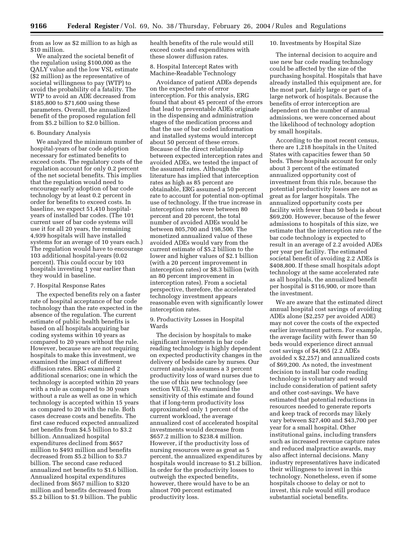from as low as \$2 million to as high as \$10 million.

We analyzed the societal benefit of the regulation using \$100,000 as the QALY value and the low VSL estimate (\$2 million) as the representative of societal willingness to pay (WTP) to avoid the probability of a fatality. The WTP to avoid an ADE decreased from \$185,800 to \$71,600 using these parameters. Overall, the annualized benefit of the proposed regulation fell from \$5.2 billion to \$2.0 billion.

# 6. Boundary Analysis

We analyzed the minimum number of hospital-years of bar code adoption necessary for estimated benefits to exceed costs. The regulatory costs of the regulation account for only 0.2 percent of the net societal benefits. This implies that the regulation would need to encourage early adoption of bar code technology by at least 0.2 percent in order for benefits to exceed costs. In baseline, we expect 51,410 hospitalyears of installed bar codes. (The 101 current user of bar code systems will use it for all 20 years, the remaining 4,939 hospitals will have installed systems for an average of 10 years each.) The regulation would have to encourage 103 additional hospital-years (0.02 percent). This could occur by 103 hospitals investing 1 year earlier than they would in baseline.

### 7. Hospital Response Rates

The expected benefits rely on a faster rate of hospital acceptance of bar code technology than the rate expected in the absence of the regulation. The current estimate of public health benefits is based on all hospitals acquiring bar coding systems within 10 years as compared to 20 years without the rule. However, because we are not requiring hospitals to make this investment, we examined the impact of different diffusion rates. ERG examined 2 additional scenarios; one in which the technology is accepted within 20 years with a rule as compared to 30 years without a rule as well as one in which technology is accepted within 15 years as compared to 20 with the rule. Both cases decrease costs and benefits. The first case reduced expected annualized net benefits from \$4.5 billion to \$3.2 billion. Annualized hospital expenditures declined from \$657 million to \$493 million and benefits decreased from \$5.2 billion to \$3.7 billion. The second case reduced annualized net benefits to \$1.6 billion. Annualized hospital expenditures declined from \$657 million to \$320 million and benefits decreased from \$5.2 billion to \$1.9 billion. The public

health benefits of the rule would still exceed costs and expenditures with these slower diffusion rates.

# 8. Hospital Intercept Rates with Machine-Readable Technology

Avoidance of patient ADEs depends on the expected rate of error interception. For this analysis, ERG found that about 45 percent of the errors that lead to preventable ADEs originate in the dispensing and administration stages of the medication process and that the use of bar coded information and installed systems would intercept about 50 percent of these errors. Because of the direct relationship between expected interception rates and avoided ADEs, we tested the impact of the assumed rates. Although the literature has implied that interception rates as high as 85 percent are obtainable, ERG assumed a 50 percent rate to account for potential non-optimal use of technology. If the true increase in interception rates were between 80 percent and 20 percent, the total number of avoided ADEs would be between 805,700 and 198,500. The monetized annualized value of these avoided ADEs would vary from the current estimate of \$5.2 billion to the lower and higher values of \$2.1 billion (with a 20 percent improvement in interception rates) or \$8.3 billion (with an 80 percent improvement in interception rates). From a societal perspective, therefore, the accelerated technology investment appears reasonable even with significantly lower interception rates.

9. Productivity Losses in Hospital Wards

The decision by hospitals to make significant investments in bar code reading technology is highly dependent on expected productivity changes in the delivery of bedside care by nurses. Our current analysis assumes a 3 percent productivity loss of ward nurses due to the use of this new technology (see section VII.G). We examined the sensitivity of this estimate and found that if long-term productivity loss approximated only 1 percent of the current workload, the average annualized cost of accelerated hospital investments would decrease from \$657.2 million to \$238.4 million. However, if the productivity loss of nursing resources were as great as 5 percent, the annualized expenditures by hospitals would increase to \$1.2 billion. In order for the productivity losses to outweigh the expected benefits, however, there would have to be an almost 700 percent estimated productivity loss.

# 10. Investments by Hospital Size

The internal decision to acquire and use new bar code reading technology could be affected by the size of the purchasing hospital. Hospitals that have already installed this equipment are, for the most part, fairly large or part of a large network of hospitals. Because the benefits of error interception are dependent on the number of annual admissions, we were concerned about the likelihood of technology adoption by small hospitals.

According to the most recent census, there are 1,218 hospitals in the United States with capacities fewer than 50 beds. These hospitals account for only about 3 percent of the estimated annualized opportunity cost of investment from this rule, because the potential productivity losses are not as great as for larger hospitals. The annualized opportunity costs per facility with fewer than 50 beds is about \$69,200. However, because of the fewer admissions to hospitals of this size, we estimate that the interception rate of the bar code technology is expected to result in an average of 2.2 avoided ADEs per year per facility. The estimated societal benefit of avoiding 2.2 ADEs is \$408,800. If these small hospitals adopt technology at the same accelerated rate as all hospitals, the annualized benefit per hospital is \$116,900, or more than the investment.

We are aware that the estimated direct annual hospital cost savings of avoiding ADEs alone (\$2,257 per avoided ADE) may not cover the costs of the expected earlier investment pattern. For example, the average facility with fewer than 50 beds would experience direct annual cost savings of \$4,965 (2.2 ADEs avoided x \$2,257) and annualized costs of \$69,200. As noted, the investment decision to install bar code reading technology is voluntary and would include consideration of patient safety and other cost-savings. We have estimated that potential reductions in resources needed to generate reports and keep track of records may likely vary between \$27,400 and \$43,700 per year for a small hospital. Other institutional gains, including transfers such as increased revenue capture rates and reduced malpractice awards, may also affect internal decisions. Many industry representatives have indicated their willingness to invest in this technology. Nonetheless, even if some hospitals choose to delay or not to invest, this rule would still produce substantial societal benefits.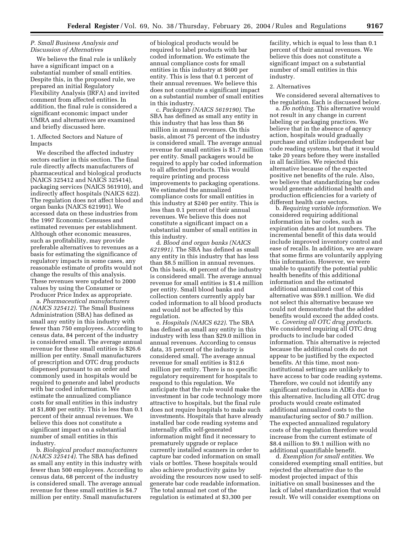# *P. Small Business Analysis and Discussion of Alternatives*

We believe the final rule is unlikely have a significant impact on a substantial number of small entities. Despite this, in the proposed rule, we prepared an initial Regulatory Flexibility Analysis (IRFA) and invited comment from affected entities. In addition, the final rule is considered a significant economic impact under UMRA and alternatives are examined and briefly discussed here.

1. Affected Sectors and Nature of Impacts

We described the affected industry sectors earlier in this section. The final rule directly affects manufacturers of pharmaceutical and biological products (NAICS 325412 and NAICS 325414), packaging services (NAICS 561910), and indirectly affect hospitals (NAICS 622). The regulation does not affect blood and organ banks (NAICS 621991). We accessed data on these industries from the 1997 Economic Censuses and estimated revenues per establishment. Although other economic measures, such as profitability, may provide preferable alternatives to revenues as a basis for estimating the significance of regulatory impacts in some cases, any reasonable estimate of profits would not change the results of this analysis. These revenues were updated to 2000 values by using the Consumer or Producer Price Index as appropriate.

a. *Pharmaceutical manufacturers (NAICS 325412)*. The Small Business Administration (SBA) has defined as small any entity in this industry with fewer than 750 employees. According to census data, 84 percent of the industry is considered small. The average annual revenue for these small entities is \$26.6 million per entity. Small manufacturers of prescription and OTC drug products dispensed pursuant to an order and commonly used in hospitals would be required to generate and label products with bar coded information. We estimate the annualized compliance costs for small entities in this industry at \$1,800 per entity. This is less than 0.1 percent of their annual revenues. We believe this does not constitute a significant impact on a substantial number of small entities in this industry.

b. *Biological product manufacturers (NAICS 325414)*. The SBA has defined as small any entity in this industry with fewer than 500 employees. According to census data, 68 percent of the industry is considered small. The average annual revenue for these small entities is \$4.7 million per entity. Small manufacturers

of biological products would be required to label products with bar coded information. We estimate the annual compliance costs for small entities in this industry at \$600 per entity. This is less that 0.1 percent of their annual revenues. We believe this does not constitute a significant impact on a substantial number of small entities in this industry.

c. *Packagers (NAICS 5619190)*. The SBA has defined as small any entity in this industry that has less than \$6 million in annual revenues. On this basis, almost 75 percent of the industry is considered small. The average annual revenue for small entities is \$1.7 million per entity. Small packagers would be required to apply bar coded information to all affected products. This would require printing and process improvements to packaging operations. We estimated the annualized compliance costs for small entities in this industry at \$240 per entity. This is less than 0.1 percent of their annual revenues. We believe this does not constitute a significant impact on a substantial number of small entities in this industry.

d. *Blood and organ banks (NAICS 621991)*. The SBA has defined as small any entity in this industry that has less than \$8.5 million in annual revenues. On this basis, 40 percent of the industry is considered small. The average annual revenue for small entities is \$1.4 million per entity. Small blood banks and collection centers currently apply bar coded information to all blood products and would not be affected by this regulation.

e. *Hospitals (NAICS 622)*. The SBA has defined as small any entity in this industry with less than \$29.0 million in annual revenues. According to census data, 35 percent of the industry is considered small. The average annual revenue for small entities is \$12.6 million per entity. There is no specific regulatory requirement for hospitals to respond to this regulation. We anticipate that the rule would make the investment in bar code technology more attractive to hospitals, but the final rule does not require hospitals to make such investments. Hospitals that have already installed bar code reading systems and internally affix self-generated information might find it necessary to prematurely upgrade or replace currently installed scanners in order to capture bar coded information on small vials or bottles. These hospitals would also achieve productivity gains by avoiding the resources now used to selfgenerate bar code readable information. The total annual net cost of the regulation is estimated at \$3,300 per

facility, which is equal to less than 0.1 percent of their annual revenues. We believe this does not constitute a significant impact on a substantial number of small entities in this industry.

### 2. Alternatives

We considered several alternatives to the regulation. Each is discussed below.

a. *Do nothing*. This alternative would not result in any change in current labeling or packaging practices. We believe that in the absence of agency action, hospitals would gradually purchase and utilize independent bar code reading systems, but that it would take 20 years before they were installed in all facilities. We rejected this alternative because of the expected positive net benefits of the rule. Also, we believe that standardizing bar codes would generate additional health and production efficiencies for a variety of different health care sectors.

b. *Requiring variable information*. We considered requiring additional information in bar codes, such as expiration dates and lot numbers. The incremental benefit of this data would include improved inventory control and ease of recalls. In addition, we are aware that some firms are voluntarily applying this information. However, we were unable to quantify the potential public health benefits of this additional information and the estimated additional annualized cost of this alternative was \$59.1 million. We did not select this alternative because we could not demonstrate that the added benefits would exceed the added costs.

c. *Covering all OTC drug products*. We considered requiring all OTC drug products to include bar coded information. This alternative is rejected because the additional costs do not appear to be justified by the expected benefits. At this time, most noninstitutional settings are unlikely to have access to bar code reading systems. Therefore, we could not identify any significant reductions in ADEs due to this alternative. Including all OTC drug products would create estimated additional annualized costs to the manufacturing sector of \$0.7 million. The expected annualized regulatory costs of the regulation therefore would increase from the current estimate of \$8.4 million to \$9.1 million with no additional quantifiable benefit.

d. *Exemption for small entities*. We considered exempting small entities, but rejected the alternative due to the modest projected impact of this initiative on small businesses and the lack of label standardization that would result. We will consider exemptions on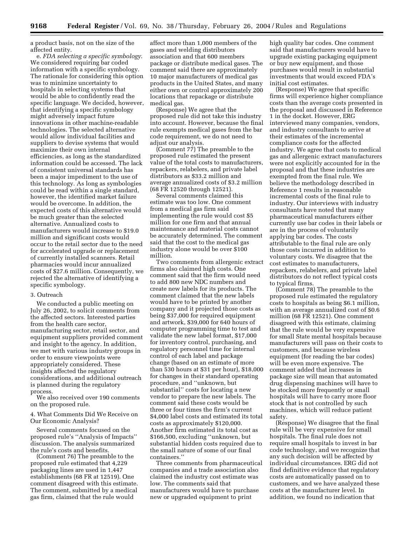a product basis, not on the size of the affected entity.

e. *FDA selecting a specific symbology*. We considered requiring bar coded information with a specific symbology. The rationale for considering this option was to minimize uncertainty to hospitals in selecting systems that would be able to confidently read the specific language. We decided, however, that identifying a specific symbology might adversely impact future innovations in other machine-readable technologies. The selected alternative would allow individual facilities and suppliers to devise systems that would maximize their own internal efficiencies, as long as the standardized information could be accessed. The lack of consistent universal standards has been a major impediment to the use of this technology. As long as symbologies could be read within a single standard, however, the identified market failure would be overcome. In addition, the expected costs of this alternative would be much greater than the selected alternative. Annualized costs to manufacturers would increase to \$19.0 million and significant costs would occur to the retail sector due to the need for accelerated upgrade or replacement of currently installed scanners. Retail pharmacies would incur annualized costs of \$27.6 million. Consequently, we rejected the alternative of identifying a specific symbology.

### 3. Outreach

We conducted a public meeting on July 26, 2002, to solicit comments from the affected sectors. Interested parties from the health care sector, manufacturing sector, retail sector, and equipment suppliers provided comment and insight to the agency. In addition, we met with various industry groups in order to ensure viewpoints were appropriately considered. These insights affected the regulatory considerations, and additional outreach is planned during the regulatory process.

We also received over 190 comments on the proposed rule.

4. What Comments Did We Receive on Our Economic Analysis?

Several comments focused on the proposed rule's ''Analysis of Impacts'' discussion. The analysis summarized the rule's costs and benefits.

(Comment 76) The preamble to the proposed rule estimated that 4,229 packaging lines are used in 1,447 establishments (68 FR at 12519). One comment disagreed with this estimate. The comment, submitted by a medical gas firm, claimed that the rule would

affect more than 1,000 members of the gases and welding distributors association and that 600 members package or distribute medical gases. The comment said there are approximately 10 major manufacturers of medical gas products in the United States, and many either own or control approximately 200 locations that repackage or distribute medical gas.

(Response) We agree that the proposed rule did not take this industry into account. However, because the final rule exempts medical gases from the bar code requirement, we do not need to adjust our analysis.

(Comment 77) The preamble to the proposed rule estimated the present value of the total costs to manufacturers, repackers, relabelers, and private label distributors as \$33.2 million and average annualized costs of \$3.2 million (68 FR 12520 through 12521).

Several comments claimed this estimate was too low. One comment from a medical gas firm said implementing the rule would cost \$5 million for one firm and that annual maintenance and material costs cannot be accurately determined. The comment said that the cost to the medical gas industry alone would be over \$100 million.

Two comments from allergenic extract firms also claimed high costs. One comment said that the firm would need to add 800 new NDC numbers and create new labels for its products. The comment claimed that the new labels would have to be printed by another company and it projected those costs as being \$37,000 for required equipment and artwork, \$39,000 for 640 hours of computer programming time to test and validate the new label format, \$17,000 for inventory control, purchasing, and regulatory personnel time for internal control of each label and package change (based on an estimate of more than 530 hours at \$31 per hour), \$18,000 for changes in their standard operating procedure, and ''unknown, but substantial'' costs for locating a new vendor to prepare the new labels. The comment said these costs would be three or four times the firm's current \$4,000 label costs and estimated its total costs as approximately \$120,000. Another firm estimated its total cost as \$166,500, excluding ''unknown, but substantial hidden costs required due to the small nature of some of our final containers.''

Three comments from pharmaceutical companies and a trade association also claimed the industry cost estimate was low. The comments said that manufacturers would have to purchase new or upgraded equipment to print

high quality bar codes. One comment said that manufacturers would have to upgrade existing packaging equipment or buy new equipment, and those purchases would result in substantial investments that would exceed FDA's initial cost estimates.

(Response) We agree that specific firms will experience higher compliance costs than the average costs presented in the proposal and discussed in Reference 1 in the docket. However, ERG interviewed many companies, vendors, and industry consultants to arrive at their estimates of the incremental compliance costs for the affected industry. We agree that costs to medical gas and allergenic extract manufacturers were not explicitly accounted for in the proposal and that these industries are exempted from the final rule. We believe the methodology described in Reference 1 results in reasonable incremental costs of the final rule to industry. Our interviews with industry consultants have noted that many pharmaceutical manufacturers either currently use bar codes in their labels or are in the process of voluntarily applying bar codes. The costs attributable to the final rule are only those costs incurred in addition to voluntary costs. We disagree that the cost estimates to manufacturers, repackers, relabelers, and private label distributors do not reflect typical costs to typical firms.

(Comment 78) The preamble to the proposed rule estimated the regulatory costs to hospitals as being \$6.1 million, with an average annualized cost of \$0.6 million (68 FR 12521). One comment disagreed with this estimate, claiming that the rule would be very expensive for small State mental hospitals because manufacturers will pass on their costs to customers, and because wireless equipment (for reading the bar codes) will be even more expensive. The comment added that increases in package size will mean that automated drug dispensing machines will have to be stocked more frequently or small hospitals will have to carry more floor stock that is not controlled by such machines, which will reduce patient safety.

(Response) We disagree that the final rule will be very expensive for small hospitals. The final rule does not require small hospitals to invest in bar code technology, and we recognize that any such decision will be affected by individual circumstances. ERG did not find definitive evidence that regulatory costs are automatically passed on to customers, and we have analyzed these costs at the manufacturer level. In addition, we found no indication that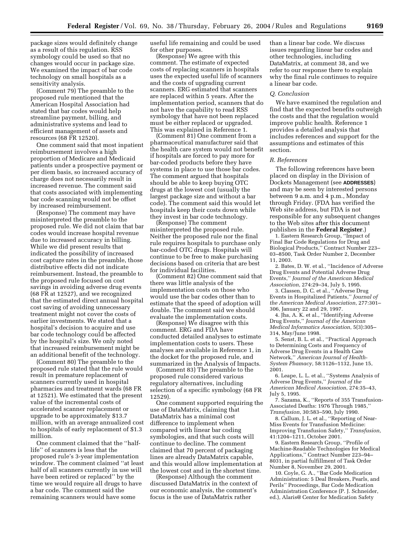package sizes would definitely change as a result of this regulation. RSS symbology could be used so that no changes would occur in package size. We examined the impact of bar code technology on small hospitals as a sensitivity analysis.

(Comment 79) The preamble to the proposed rule mentioned that the American Hospital Association had stated that bar codes would help streamline payment, billing, and administrative systems and lead to efficient management of assets and resources (68 FR 12520).

One comment said that most inpatient reimbursement involves a high proportion of Medicare and Medicaid patients under a prospective payment or per diem basis, so increased accuracy of charge does not necessarily result in increased revenue. The comment said that costs associated with implementing bar code scanning would not be offset by increased reimbursement.

(Response) The comment may have misinterpreted the preamble to the proposed rule. We did not claim that bar codes would increase hospital revenue due to increased accuracy in billing. While we did present results that indicated the possibility of increased cost capture rates in the preamble, those distributive effects did not indicate reimbursement. Instead, the preamble to the proposed rule focused on cost savings in avoiding adverse drug events (68 FR at 12527), and we recognized that the estimated direct annual hospital cost saving of avoiding unnecessary treatment might not cover the costs of earlier investments. We stated that a hospital's decision to acquire and use bar code technology could be affected by the hospital's size. We only noted that increased reimbursement might be an additional benefit of the technology.

(Comment 80) The preamble to the proposed rule stated that the rule would result in premature replacement of scanners currently used in hospital pharmacies and treatment wards (68 FR at 12521). We estimated that the present value of the incremental costs of accelerated scanner replacement or upgrade to be approximately \$13.7 million, with an average annualized cost to hospitals of early replacement of \$1.3 million.

One comment claimed that the ''halflife'' of scanners is less that the proposed rule's 3-year implementation window. The comment claimed ''at least half of all scanners currently in use will have been retired or replaced'' by the time we would require all drugs to have a bar code. The comment said the remaining scanners would have some

useful life remaining and could be used for other purposes.

(Response) We agree with this comment. The estimate of expected costs of replacing scanners in hospitals uses the expected useful life of scanners and the costs of upgrading current scanners. ERG estimated that scanners are replaced within 5 years. After the implementation period, scanners that do not have the capability to read RSS symbology that have not been replaced must be either replaced or upgraded. This was explained in Reference 1.

(Comment 81) One comment from a pharmaceutical manufacturer said that the health care system would not benefit if hospitals are forced to pay more for bar-coded products before they have systems in place to use those bar codes. The comment argued that hospitals should be able to keep buying OTC drugs at the lowest cost (usually the largest package size and without a bar code). The comment said this would let hospitals keep their costs down while they invest in bar code technology.

(Response) The comment misinterpreted the proposed rule. Neither the proposed rule nor the final rule requires hospitals to purchase only bar-coded OTC drugs. Hospitals will continue to be free to make purchasing decisions based on criteria that are best for individual facilities.

(Comment 82) One comment said that there was little analysis of the implementation costs on those who would use the bar codes other than to estimate that the speed of adoption will double. The comment said we should evaluate the implementation costs.

(Response) We disagree with this comment. ERG and FDA have conducted detailed analyses to estimate implementation costs to users. These analyses are available in Reference 1, in the docket for the proposed rule, and summarized in the Analysis of Impacts.

(Comment 83) The preamble to the proposed rule considered various regulatory alternatives, including selection of a specific symbology (68 FR 12529).

One comment supported requiring the use of DataMatrix, claiming that DataMatrix has a minimal cost difference to implement when compared with linear bar coding symbologies, and that such costs will continue to decline. The comment claimed that 70 percent of packaging lines are already DataMatrix capable, and this would allow implementation at the lowest cost and in the shortest time.

(Response) Although the comment discussed DataMatrix in the context of our economic analysis, the comment's focus is the use of DataMatrix rather

than a linear bar code. We discuss issues regarding linear bar codes and other technologies, including DataMatrix, at comment 38, and we refer to our response there to explain why the final rule continues to require a linear bar code.

#### *Q. Conclusion*

We have examined the regulation and find that the expected benefits outweigh the costs and that the regulation would improve public health. Reference 1 provides a detailed analysis that includes references and support for the assumptions and estimates of this section.

### *R. References*

The following references have been placed on display in the Division of Dockets Management (see **ADDRESSES**) and may be seen by interested persons between 9 a.m. and 4 p.m., Monday through Friday. (FDA has verified the Web site address, but FDA is not responsible for any subsequent changes to the Web sites after this document publishes in the **Federal Register**.)

1. Eastern Research Group, ''Impact of Final Bar Code Regulations for Drug and Biological Products,'' Contract Number 223– 03–8500, Task Order Number 2, December 11, 2003.

2. Bates, D. W. et al., ''Incidence of Adverse Drug Events and Potential Adverse Drug Events,'' *Journal of the American Medical Association*, 274:29–34, July 5, 1995.

3. Classen, D. C. et al., ''Adverse Drug Events in Hospitalized Patients,'' *Journal of the American Medical Association*, 277:301– 306, January 22 and 29, 1997.

4. Jha, A. K. et al., ''Identifying Adverse Drug Events,'' *Journal of the American Medical Informatics Association*, 5(3):305– 314, May/June 1998.

5. Senst, B. L. et al., ''Practical Approach to Determining Costs and Frequency of Adverse Drug Events in a Health Care Network,'' *American Journal of Health-System Phamacy*, 58:1126–1132, June 15, 2001.

6. Leape, L. L. et al., ''Systems Analysis of Adverse Drug Events,'' *Journal of the American Medical Association*, 274:35–43, July 5, 1995.

7. Sazama, K., ''Reports of 355 Transfusion-Associated Deaths: 1976 Through 1985,'' *Transfusion*, 30:583–590, July 1990.

8. Callum, J. L. et al., ''Reporting of Near-Miss Events for Transfusion Medicine: Improving Transfusion Safety,'' *Transfusion,* 41:1204–1211, October 2001.

9. Eastern Research Group, ''Profile of Machine-Readable Technologies for Medical Applications,'' Contract Number 223–94– 8031, in partial fulfillment of Task Order Number 8, November 29, 2001.

10. Coyle, G. A., ''Bar Code Medication Administration: 5 Deal Breakers, Pearls, and Perils'' Proceedings, Bar Code Medication Administration Conference (P. J. Schneider, ed.), Alaris@ Center for Medication Safety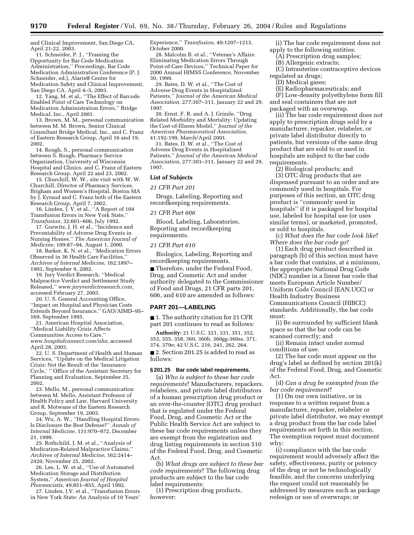and Clinical Improvement, San Diego CA, April 21-22, 2003.

11. Schneider, P. J., ''Framing the Opportunity for Bar Code Medication Administration,'' Proceedings, Bar Code Medication Administration Conference (P. J. Schneider, ed.), Alaris@ Center for Medication Safety and Clinical Improvement, San Diego CA, April 4–5, 2003.

12. Yang, M. et al., ''The Effect of Barcode Enabled Point of Care Technology on Medication Administration Errors,'' Bridge Medical, Inc., April 2001.

13. Brown, M. M., personal communication between M. M. Brown, Senior Clinical Consultant Bridge Medical, Inc., and C. Franz of Eastern Research Group, April 16 and 19, 2002.

14. Rough, S., personal communication between S. Rough, Pharmacy Service Organization, University of Wisconsin Hospital and Clinics, and C. Franz of Eastern Research Group, April 22 and 23, 2002.

15. Churchill, W. W., site visit with W. W. Churchill, Director of Pharmacy Services, Brigham and Women's Hospital, Boston MA by J. Eyraud and C. Franz both of the Eastern Research Group, April 7, 2002.

16. Linden, J. V. et al., ''A Report of 104 Transfusion Errors in New York State,'' *Transfusion*, 32:601–606, July 1992.

17. Gurwitz, J. H. et al., ''Incidence and Preventability of Adverse Drug Events in Nursing Homes,'' *The American Journal of Medicine*, 109:87–94, August 1, 2000.

18. Barker, K. N. et al., ''Medication Errors Observed in 36 Health Care Facilities,'' *Archives of Internal Medicine*, 162:1897– 1903, September 9, 2002.

19. Jury Verdict Research, ''Medical Malpractice Verdict and Settlement Study Released,'' *www.juryverdictresearch.com,* accessed February 27, 2003.

20. U. S. General Accounting Office, ''Impact on Hospital and Physician Costs Extends Beyond Insurance,'' GAO/AIMD–95– 169, September 1995.

21. American Hospital Association, ''Medical Liability Crisis Affects

Communities Access to Care,''

*www.hospitalconnect.com/aha*, accessed April 28, 2003.

22. U. S. Department of Health and Human Services, ''Update on the Medical Litigation Crisis: Not the Result of the 'Insurance Cycle,' '' Office of the Assistant Secretary for Planning and Evaluation, September 25, 2002.

23. Mello, M., personal communication between M. Mello, Assistant Professor of Health Policy and Law, Harvard University and R. Motwane of the Eastern Research Group, September 19, 2003.

24. Wu, A. W., "Handling Hospital Errors: Is Disclosure the Best Defense?'' *Annals of Internal Medicine*, 131:970–972, December 21, 1999.

25. Rothchild, J. M. et al., ''Analysis of Medication-Related Malpractice Claims,'' *Archives of Internal Medicine*, 162:2414– 2420, November 25, 2002.

26. Lee, L. W. et al., ''Use of Automated Medication Storage and Distribution System,'' *American Journal of Hospital Pharmacistis*, 49:851–855, April 1992.

27. Linden, J.V. et al., ''Transfusion Errors in New York State: An Analysis of 10 Years'

Experience,'' *Transfusion*, 40:1207–1213, October 2000.

28. Malcolm B. et al., ''Veteran's Affairs: Eliminating Medication Errors Through Point-of-Care Devices,'' Technical Paper for 2000 Annual HIMSS Conference, November 30, 1999.

29. Bates, D. W. et al., ''The Cost of Adverse Drug Events in Hospitalized Patients,'' *Journal of the American Medical Association*, 277:307–311, January 22 and 29, 1997.

30. Ernst, F. R. and A. J. Grizzle, ''Drug Related Morbidity and Mortality: Updating the Cost-of-Illness Model,'' *Journal of the American Pharmaceutical Association*, 41:192-199, March/April 2001.

31. Bates, D. W. et al., ''The Cost of Adverse Drug Events in Hospitalized Patients,'' *Journal of the American Medical Association*, 277:301–311, January 22 and 29, 1997.

# **List of Subjects**

#### *21 CFR Part 201*

Drugs, Labeling, Reporting and recordkeeping requirements.

### *21 CFR Part 606*

Blood, Labeling, Laboratories, Reporting and recordkeeping requirements.

### *21 CFR Part 610*

Biologics, Labeling, Reporting and recordkeeping requirements.

■ Therefore, under the Federal Food, Drug, and Cosmetic Act and under authority delegated to the Commissioner of Food and Drugs, 21 CFR parts 201, 606, and 610 are amended as follows:

### **PART 201—LABELING**

■ 1. The authority citation for 21 CFR part 201 continues to read as follows:

**Authority:** 21 U.S.C. 321, 331, 351, 352, 353, 355, 358, 360, 360b, 360gg-360ss, 371, 374, 379e; 42 U.S.C. 216, 241, 262, 264.

■ 2. Section 201.25 is added to read as follows:

### **§ 201.25 Bar code label requirements.**

(a) *Who is subject to these bar code requirements*? Manufacturers, repackers, relabelers, and private label distributors of a human prescription drug product or an over-the-counter (OTC) drug product that is regulated under the Federal Food, Drug, and Cosmetic Act or the Public Health Service Act are subject to these bar code requirements unless they are exempt from the registration and drug listing requirements in section 510 of the Federal Food, Drug, and Cosmetic Act.

(b) *What drugs are subject to these bar code requirements*? The following drug products are subject to the bar code label requirements:

(1) Prescription drug products, however:

(i) The bar code requirement does not apply to the following entities:

(A) Prescription drug samples;

(B) Allergenic extracts;

(C) Intrauterine contraceptive devices regulated as drugs;

(D) Medical gases;

(E) Radiopharmaceuticals; and

(F) Low-density polyethylene form fill and seal containers that are not packaged with an overwrap.

(ii) The bar code requirement does not apply to prescription drugs sold by a manufacturer, repacker, relabeler, or private label distributor directly to patients, but versions of the same drug product that are sold to or used in hospitals are subject to the bar code requirements.

(2) Biological products; and (3) OTC drug products that are dispensed pursuant to an order and are commonly used in hospitals. For purposes of this section, an OTC drug product is ''commonly used in hospitals'' if it is packaged for hospital use, labeled for hospital use (or uses similar terms), or marketed, promoted, or sold to hospitals.

(c) *What does the bar code look like*? *Where does the bar code go*?

(1) Each drug product described in paragraph (b) of this section must have a bar code that contains, at a minimum, the appropriate National Drug Code (NDC) number in a linear bar code that meets European Article Number/ Uniform Code Council (EAN.UCC) or Health Industry Business Communications Council (HIBCC) standards. Additionally, the bar code must:

(i) Be surrounded by sufficient blank space so that the bar code can be scanned correctly; and

(ii) Remain intact under normal conditions of use.

(2) The bar code must appear on the drug's label as defined by section 201(k) of the Federal Food, Drug, and Cosmetic Act.

(d) *Can a drug be exempted from the bar code requirement*?

(1) On our own initiative, or in response to a written request from a manufacturer, repacker, relabeler or private label distributor, we may exempt a drug product from the bar code label requirements set forth in this section. The exemption request must document why:

(i) compliance with the bar code requirement would adversely affect the safety, effectiveness, purity or potency of the drug or not be technologically feasible, and the concerns underlying the request could not reasonably be addressed by measures such as package redesign or use of overwraps; or